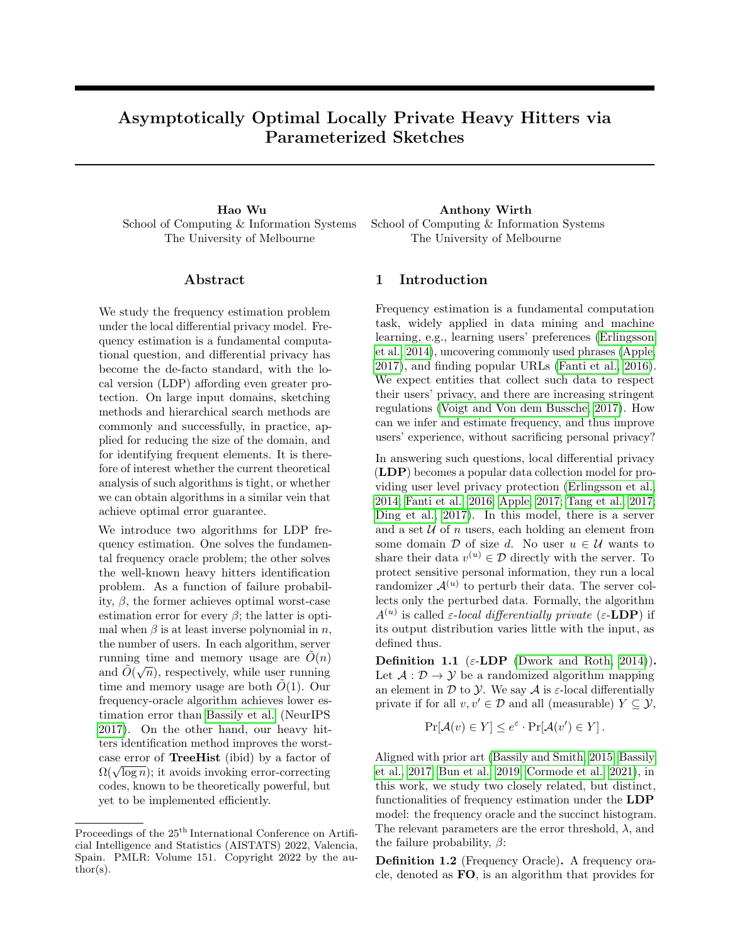# Asymptotically Optimal Locally Private Heavy Hitters via Parameterized Sketches

School of Computing & Information Systems The University of Melbourne

# Abstract

We study the frequency estimation problem under the local differential privacy model. Frequency estimation is a fundamental computational question, and differential privacy has become the de-facto standard, with the local version (LDP) affording even greater protection. On large input domains, sketching methods and hierarchical search methods are commonly and successfully, in practice, applied for reducing the size of the domain, and for identifying frequent elements. It is therefore of interest whether the current theoretical analysis of such algorithms is tight, or whether we can obtain algorithms in a similar vein that achieve optimal error guarantee.

We introduce two algorithms for LDP frequency estimation. One solves the fundamental frequency oracle problem; the other solves the well-known heavy hitters identification problem. As a function of failure probability, β, the former achieves optimal worst-case estimation error for every  $\beta$ ; the latter is optimal when  $\beta$  is at least inverse polynomial in n, the number of users. In each algorithm, server running time and memory usage are  $\tilde{O}(n)$ and  $\widetilde{O}(\sqrt{n})$ , respectively, while user running time and memory usage are both  $\ddot{O}(1)$ . Our frequency-oracle algorithm achieves lower estimation error than [Bassily et al.](#page-8-0) (NeurIPS [2017\)](#page-8-0). On the other hand, our heavy hitters identification method improves the worstcase error of TreeHist (ibid) by a factor of case error of **Treemst** (1010) by a factor of  $\Omega(\sqrt{\log n})$ ; it avoids invoking error-correcting codes, known to be theoretically powerful, but yet to be implemented efficiently.

Hao Wu Anthony Wirth School of Computing & Information Systems The University of Melbourne

# 1 Introduction

Frequency estimation is a fundamental computation task, widely applied in data mining and machine learning, e.g., learning users' preferences [\(Erlingsson](#page-8-1) [et al., 2014\)](#page-8-1), uncovering commonly used phrases [\(Apple,](#page-8-2) [2017\)](#page-8-2), and finding popular URLs [\(Fanti et al., 2016\)](#page-8-3). We expect entities that collect such data to respect their users' privacy, and there are increasing stringent regulations [\(Voigt and Von dem Bussche, 2017\)](#page-8-4). How can we infer and estimate frequency, and thus improve users' experience, without sacrificing personal privacy?

In answering such questions, local differential privacy (LDP) becomes a popular data collection model for providing user level privacy protection [\(Erlingsson et al.,](#page-8-1) [2014;](#page-8-1) [Fanti et al., 2016;](#page-8-3) [Apple, 2017;](#page-8-2) [Tang et al., 2017;](#page-8-5) [Ding et al., 2017\)](#page-8-6). In this model, there is a server and a set  $U$  of n users, each holding an element from some domain  $\mathcal D$  of size d. No user  $u \in \mathcal U$  wants to share their data  $v^{(u)} \in \mathcal{D}$  directly with the server. To protect sensitive personal information, they run a local randomizer  $\mathcal{A}^{(u)}$  to perturb their data. The server collects only the perturbed data. Formally, the algorithm  $A^{(u)}$  is called  $\varepsilon$ -local differentially private ( $\varepsilon$ -LDP) if its output distribution varies little with the input, as defined thus.

<span id="page-0-0"></span>Definition 1.1 ( $\varepsilon$ -LDP [\(Dwork and Roth, 2014\)](#page-8-7)). Let  $\mathcal{A}: \mathcal{D} \to \mathcal{Y}$  be a randomized algorithm mapping an element in  $\mathcal D$  to  $\mathcal Y$ . We say  $\mathcal A$  is  $\varepsilon$ -local differentially private if for all  $v, v' \in \mathcal{D}$  and all (measurable)  $Y \subseteq \mathcal{Y}$ ,

$$
\Pr[\mathcal{A}(v) \in Y] \le e^{\varepsilon} \cdot \Pr[\mathcal{A}(v') \in Y].
$$

Aligned with prior art [\(Bassily and Smith, 2015;](#page-8-8) [Bassily](#page-8-0) [et al., 2017;](#page-8-0) [Bun et al., 2019;](#page-8-9) [Cormode et al., 2021\)](#page-8-10), in this work, we study two closely related, but distinct, functionalities of frequency estimation under the LDP model: the frequency oracle and the succinct histogram. The relevant parameters are the error threshold,  $\lambda$ , and the failure probability,  $\beta$ :

Definition 1.2 (Frequency Oracle). A frequency oracle, denoted as FO, is an algorithm that provides for

Proceedings of the  $25^{\text{th}}$  International Conference on Artificial Intelligence and Statistics (AISTATS) 2022, Valencia, Spain. PMLR: Volume 151. Copyright 2022 by the au- $\text{thor}(s)$ .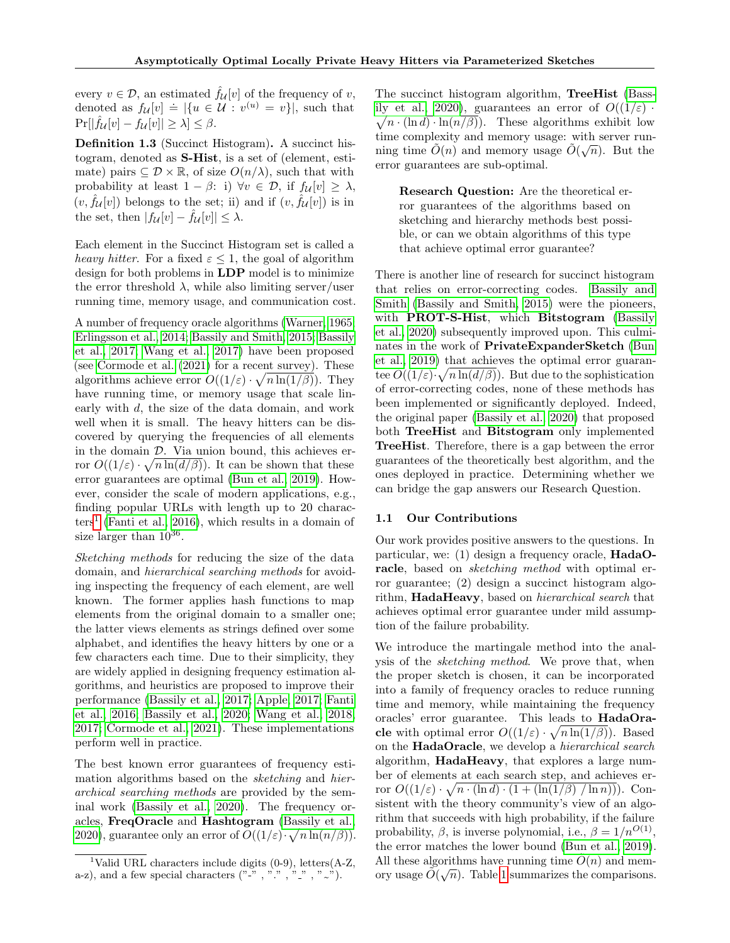every  $v \in \mathcal{D}$ , an estimated  $\hat{f}_{\mathcal{U}}[v]$  of the frequency of v, denoted as  $f_{\mathcal{U}}[v] \doteq {\mathcal{U}} : v^{(u)} = v$ , such that  $\Pr[|\hat{f}_{\mathcal{U}}[v] - f_{\mathcal{U}}[v]| \geq \lambda] \leq \beta.$ 

Definition 1.3 (Succinct Histogram). A succinct histogram, denoted as S-Hist, is a set of (element, estimate) pairs  $\subseteq \mathcal{D} \times \mathbb{R}$ , of size  $O(n/\lambda)$ , such that with probability at least  $1 - \beta$ : i)  $\forall v \in \mathcal{D}$ , if  $f_{\mathcal{U}}[v] \geq \lambda$ ,  $(v, \hat{f}_{\mathcal{U}}[v])$  belongs to the set; ii) and if  $(v, \hat{f}_{\mathcal{U}}[v])$  is in the set, then  $|f_{\mathcal{U}}[v] - \hat{f}_{\mathcal{U}}[v]| \leq \lambda$ .

Each element in the Succinct Histogram set is called a heavy hitter. For a fixed  $\varepsilon \leq 1$ , the goal of algorithm design for both problems in LDP model is to minimize the error threshold  $\lambda$ , while also limiting server/user running time, memory usage, and communication cost.

A number of frequency oracle algorithms [\(Warner, 1965;](#page-8-11) [Erlingsson et al., 2014;](#page-8-1) [Bassily and Smith, 2015;](#page-8-8) [Bassily](#page-8-0) [et al., 2017;](#page-8-0) [Wang et al., 2017\)](#page-8-12) have been proposed (see [Cormode et al. \(2021\)](#page-8-10) for a recent survey). These algorithms achieve error  $O((1/\varepsilon) \cdot \sqrt{n \ln(1/\beta)})$ . They have running time, or memory usage that scale linearly with d, the size of the data domain, and work well when it is small. The heavy hitters can be discovered by querying the frequencies of all elements in the domain  $D$ . Via union bound, this achieves error  $O((1/\varepsilon) \cdot \sqrt{n \ln(d/\beta)})$ . It can be shown that these error guarantees are optimal [\(Bun et al., 2019\)](#page-8-9). However, consider the scale of modern applications, e.g., finding popular URLs with length up to 20 charac- $\text{ters}^1$  $\text{ters}^1$  [\(Fanti et al., 2016\)](#page-8-3), which results in a domain of size larger than  $10^{36}$ .

Sketching methods for reducing the size of the data domain, and hierarchical searching methods for avoiding inspecting the frequency of each element, are well known. The former applies hash functions to map elements from the original domain to a smaller one; the latter views elements as strings defined over some alphabet, and identifies the heavy hitters by one or a few characters each time. Due to their simplicity, they are widely applied in designing frequency estimation algorithms, and heuristics are proposed to improve their performance [\(Bassily et al., 2017;](#page-8-0) [Apple, 2017;](#page-8-2) [Fanti](#page-8-3) [et al., 2016;](#page-8-3) [Bassily et al., 2020;](#page-8-13) [Wang et al., 2018,](#page-8-14) [2017;](#page-8-12) [Cormode et al., 2021\)](#page-8-10). These implementations perform well in practice.

The best known error guarantees of frequency estimation algorithms based on the *sketching* and *hier*archical searching methods are provided by the seminal work [\(Bassily et al., 2020\)](#page-8-13). The frequency oracles, FreqOracle and Hashtogram [\(Bassily et al.,](#page-8-13) [2020\)](#page-8-13), guarantee only an error of  $O((1/\varepsilon)\cdot\sqrt{n\ln(n/\beta)})$ . The succinct histogram algorithm, TreeHist [\(Bass](#page-8-13)[ily et al., 2020\)](#page-8-13), guarantees an error of  $O((1/\varepsilon))$ .  $\sqrt{n \cdot (\ln d) \cdot \ln(n/\beta)}$ . These algorithms exhibit low time complexity and memory usage: with server running time  $\tilde{O}(n)$  and memory usage  $\tilde{O}(\sqrt{n})$ . But the error guarantees are sub-optimal.

Research Question: Are the theoretical error guarantees of the algorithms based on sketching and hierarchy methods best possible, or can we obtain algorithms of this type that achieve optimal error guarantee?

There is another line of research for succinct histogram that relies on error-correcting codes. [Bassily and](#page-8-8) [Smith \(Bassily and Smith, 2015\)](#page-8-8) were the pioneers, with **PROT-S-Hist**, which **Bitstogram** [\(Bassily](#page-8-13) [et al., 2020\)](#page-8-13) subsequently improved upon. This culminates in the work of PrivateExpanderSketch [\(Bun](#page-8-9) [et al., 2019\)](#page-8-9) that achieves the optimal error guarantee  $O((1/\varepsilon)\cdot \sqrt{n \ln(d/\beta)})$ . But due to the sophistication of error-correcting codes, none of these methods has been implemented or significantly deployed. Indeed, the original paper [\(Bassily et al., 2020\)](#page-8-13) that proposed both TreeHist and Bitstogram only implemented TreeHist. Therefore, there is a gap between the error guarantees of the theoretically best algorithm, and the ones deployed in practice. Determining whether we can bridge the gap answers our Research Question.

# 1.1 Our Contributions

Our work provides positive answers to the questions. In particular, we: (1) design a frequency oracle, HadaOracle, based on *sketching method* with optimal error guarantee; (2) design a succinct histogram algorithm, HadaHeavy, based on *hierarchical search* that achieves optimal error guarantee under mild assumption of the failure probability.

We introduce the martingale method into the analysis of the sketching method. We prove that, when the proper sketch is chosen, it can be incorporated into a family of frequency oracles to reduce running time and memory, while maintaining the frequency oracles' error guarantee. This leads to HadaOracle with optimal error  $O((1/\varepsilon) \cdot \sqrt{n \ln(1/\beta)})$ . Based on the HadaOracle, we develop a hierarchical search algorithm, HadaHeavy, that explores a large number of elements at each search step, and achieves error  $O((1/\varepsilon) \cdot \sqrt{n \cdot (\ln d) \cdot (1 + (\ln(1/\beta) / \ln n))})$ . Consistent with the theory community's view of an algorithm that succeeds with high probability, if the failure probability,  $\beta$ , is inverse polynomial, i.e.,  $\beta = 1/n^{O(1)}$ , the error matches the lower bound [\(Bun et al., 2019\)](#page-8-9). All these algorithms have running time  $\tilde{O}(n)$  and memory usage  $\widetilde{O}(\sqrt{n})$ . Table [1](#page-2-0) summarizes the comparisons.

<span id="page-1-0"></span><sup>&</sup>lt;sup>1</sup>Valid URL characters include digits  $(0-9)$ , letters $(A-Z,$ a-z), and a few special characters  $($ "-", ".", ".", ".").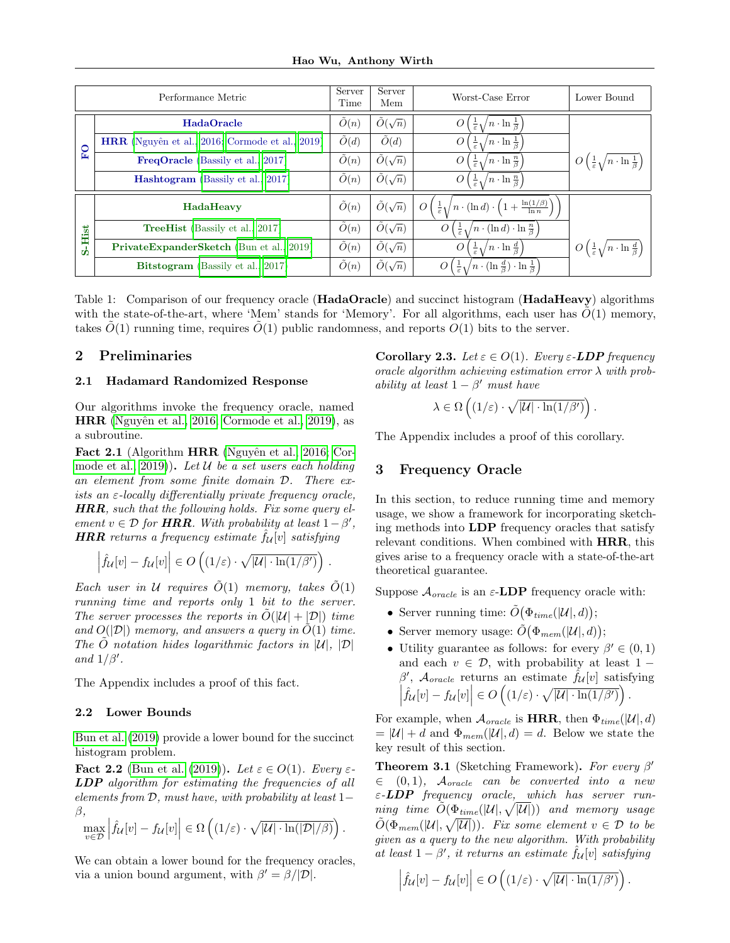| Performance Metric |                                                        | Server<br>Time | Server<br>Mem         | Worst-Case Error                                                                                                                | Lower Bound                                                               |
|--------------------|--------------------------------------------------------|----------------|-----------------------|---------------------------------------------------------------------------------------------------------------------------------|---------------------------------------------------------------------------|
| $\overline{F}$ O   | <b>HadaOracle</b>                                      | $\tilde{O}(n)$ | $\tilde{O}(\sqrt{n})$ | $\sqrt{n} \cdot \ln \frac{1}{\beta}$<br>$\frac{1}{\varepsilon}$                                                                 |                                                                           |
|                    | <b>HRR</b> (Nguyên et al., 2016; Cormode et al., 2019) | $\tilde{O}(d)$ | $\tilde{O}(d)$        | $/n \cdot \ln \frac{1}{\beta}$<br>O<br>$\frac{1}{\varepsilon}$ $\Lambda$                                                        |                                                                           |
|                    | <b>FreqOracle</b> (Bassily et al., 2017)               | $\tilde{O}(n)$ | $\tilde{O}(\sqrt{n})$ | $\sqrt{n} \cdot \ln \frac{n}{\beta}$<br>$\mathcal{O}$<br>$\frac{1}{\varepsilon}$ 1                                              | O <br>$\left(\frac{1}{\varepsilon}\sqrt{n\cdot\ln\frac{1}{\beta}}\right)$ |
|                    | <b>Hashtogram</b> (Bassily et al., 2017)               | $\tilde{O}(n)$ | $\tilde{O}(\sqrt{n})$ | $\big/n\cdot \ln\frac{n}{\beta}\big)$<br>$\frac{1}{\varepsilon}$<br>O                                                           |                                                                           |
| S-Hist             | HadaHeavy                                              | $\tilde{O}(n)$ | $\tilde{O}(\sqrt{n})$ | $\left(n \cdot (\ln d) \cdot \left(1 + \frac{\ln(1/\beta)}{\ln n}\right)\right)$<br>$\overline{O}$<br>$\frac{1}{\varepsilon}$ 1 |                                                                           |
|                    | <b>TreeHist</b> (Bassily et al., 2017)                 | $\tilde{O}(n)$ | $\tilde{O}(\sqrt{n})$ | $\left\langle n\cdot(\ln d)\cdot\ln\frac{n}{\beta}\right\rangle$<br>$\overline{O}$<br>$rac{1}{\varepsilon}$ 1                   |                                                                           |
|                    | <b>PrivateExpanderSketch</b> (Bun et al., 2019)        | $\tilde{O}(n)$ | $\tilde{O}(\sqrt{n})$ | $\frac{1}{\varepsilon}\sqrt{n\cdot\ln\frac{d}{\beta}}$                                                                          | O <br>$\frac{1}{\varepsilon}\sqrt{n\cdot\ln\frac{d}{\beta}}$              |
|                    | Bitstogram (Bassily et al., 2017)                      | O(n)           | $O(\sqrt{n})$         | $\left(\frac{1}{\varepsilon}\sqrt{n\cdot(\ln\frac{d}{\beta})\cdot\ln\frac{1}{\beta}}\right)$<br>$\theta$                        |                                                                           |

Table 1: Comparison of our frequency oracle (HadaOracle) and succinct histogram (HadaHeavy) algorithms with the state-of-the-art, where 'Mem' stands for 'Memory'. For all algorithms, each user has  $O(1)$  memory, takes  $O(1)$  running time, requires  $O(1)$  public randomness, and reports  $O(1)$  bits to the server.

# <span id="page-2-1"></span>2 Preliminaries

# 2.1 Hadamard Randomized Response

Our algorithms invoke the frequency oracle, named HRR [\(Nguyˆen et al., 2016;](#page-9-0) [Cormode et al., 2019\)](#page-9-1), as a subroutine.

<span id="page-2-3"></span>Fact 2.1 (Algorithm HRR (Nguyên et al., 2016; [Cor](#page-9-1)[mode et al., 2019\)](#page-9-1)). Let  $U$  be a set users each holding an element from some finite domain D. There exists an  $\varepsilon$ -locally differentially private frequency oracle,  $HRR$ , such that the following holds. Fix some query element  $v \in \mathcal{D}$  for **HRR**. With probability at least  $1 - \beta'$ , **HRR** returns a frequency estimate  $\hat{f}_{\mathcal{U}}[v]$  satisfying

$$
\left|\hat{f}_{\mathcal{U}}[v] - f_{\mathcal{U}}[v]\right| \in O\left((1/\varepsilon) \cdot \sqrt{|\mathcal{U}| \cdot \ln(1/\beta')}\right) .
$$

Each user in U requires  $\tilde{O}(1)$  memory, takes  $\tilde{O}(1)$ running time and reports only 1 bit to the server. The server processes the reports in  $\tilde{O}(|\mathcal{U}| + |\mathcal{D}|)$  time and  $O(|\mathcal{D}|)$  memory, and answers a query in  $\tilde{O}(1)$  time. The  $\ddot{O}$  notation hides logarithmic factors in  $|\mathcal{U}|$ ,  $|\mathcal{D}|$ and  $1/\beta'$ .

The Appendix includes a proof of this fact.

# 2.2 Lower Bounds

[Bun et al. \(2019\)](#page-8-9) provide a lower bound for the succinct histogram problem.

<span id="page-2-5"></span>Fact 2.2 [\(Bun et al. \(2019\)](#page-8-9)). Let  $\varepsilon \in O(1)$ . Every  $\varepsilon$ -LDP algorithm for estimating the frequencies of all elements from  $D$ , must have, with probability at least 1 $$ β,

$$
\max_{v \in \mathcal{D}} \left| \hat{f}_{\mathcal{U}}[v] - f_{\mathcal{U}}[v] \right| \in \Omega \left( (1/\varepsilon) \cdot \sqrt{|\mathcal{U}| \cdot \ln(|\mathcal{D}|/\beta)} \right).
$$

We can obtain a lower bound for the frequency oracles, via a union bound argument, with  $\beta' = \beta/|\mathcal{D}|$ .

<span id="page-2-4"></span><span id="page-2-0"></span>Corollary 2.3. Let  $\varepsilon \in O(1)$ . Every  $\varepsilon$ -LDP frequency oracle algorithm achieving estimation error  $\lambda$  with probability at least  $1 - \beta'$  must have

$$
\lambda \in \Omega\left((1/\varepsilon)\cdot \sqrt{|\mathcal{U}|\cdot \ln(1/\beta')}\right)
$$

.

The Appendix includes a proof of this corollary.

# <span id="page-2-2"></span>3 Frequency Oracle

In this section, to reduce running time and memory usage, we show a framework for incorporating sketching methods into LDP frequency oracles that satisfy relevant conditions. When combined with HRR, this gives arise to a frequency oracle with a state-of-the-art theoretical guarantee.

Suppose  $\mathcal{A}_{oracle}$  is an  $\varepsilon$ -LDP frequency oracle with:

- Server running time:  $\tilde{O}(\Phi_{time}(|\mathcal{U}|, d));$
- Server memory usage:  $\tilde{O}(\Phi_{mem}(|\mathcal{U}|, d));$
- Utility guarantee as follows: for every  $\beta' \in (0,1)$ and each  $v \in \mathcal{D}$ , with probability at least 1 − β',  $A_{oracle}$  returns an estimate  $\hat{f}_{\mathcal{U}}[v]$  satisfying  $\left| \hat{f}_{\mathcal{U}}[v] - f_{\mathcal{U}}[v] \right| \in O\left( (1/\varepsilon) \cdot \sqrt{|\mathcal{U}| \cdot \ln(1/\beta') }\right).$

For example, when  $A_{oracle}$  is HRR, then  $\Phi_{time}(|\mathcal{U}|, d)$  $= |\mathcal{U}| + d$  and  $\Phi_{mem}(|\mathcal{U}|, d) = d$ . Below we state the key result of this section.

<span id="page-2-6"></span>**Theorem 3.1** (Sketching Framework). For every  $\beta'$  $\in (0, 1)$ ,  $\mathcal{A}_{oracle}$  can be converted into a new  $\varepsilon$ -LDP frequency oracle, which has server run- $\emph{ning time} \ \ \tilde{O}(\Phi_{time}(|\mathcal{U}|,\sqrt{|\mathcal{U}|})) \ \ \emph{and memory usage}$  $\tilde{O}(\Phi_{mem}(|\mathcal{U}|, \sqrt{|\mathcal{U}|}))$ . Fix some element  $v \in \mathcal{D}$  to be given as a query to the new algorithm. With probability at least  $1 - \beta'$ , it returns an estimate  $\hat{f}_{\mathcal{U}}[v]$  satisfying

$$
\left| \hat{f}_{\mathcal{U}}[v] - f_{\mathcal{U}}[v] \right| \in O\left( (1/\varepsilon) \cdot \sqrt{|\mathcal{U}| \cdot \ln(1/\beta') }\right)
$$

.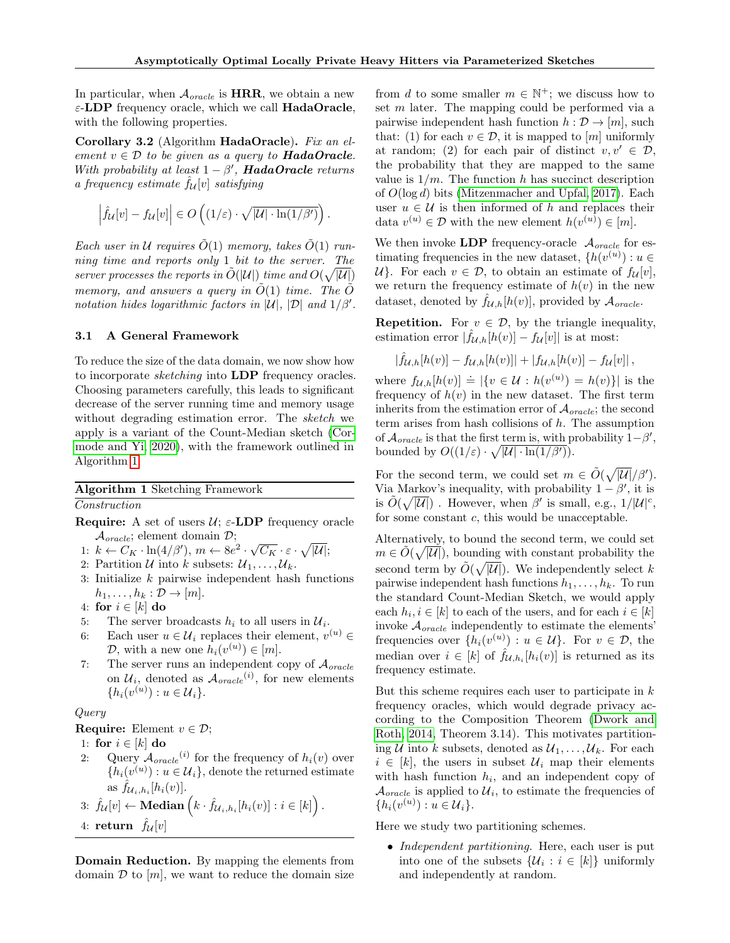.

In particular, when  $\mathcal{A}_{oracle}$  is HRR, we obtain a new  $\varepsilon$ -LDP frequency oracle, which we call **HadaOracle**, with the following properties.

<span id="page-3-2"></span>Corollary 3.2 (Algorithm HadaOracle). Fix an element  $v \in \mathcal{D}$  to be given as a query to **HadaOracle**. With probability at least  $1 - \beta'$ , **HadaOracle** returns a frequency estimate  $\hat{f}_{\mathcal{U}}[v]$  satisfying

$$
\left| \hat{f}_{\mathcal{U}}[v] - f_{\mathcal{U}}[v] \right| \in O\left( (1/\varepsilon) \cdot \sqrt{|\mathcal{U}| \cdot \ln(1/\beta') }\right)
$$

Each user in U requires  $\tilde{O}(1)$  memory, takes  $\tilde{O}(1)$  running time and reports only 1 bit to the server. The server processes the reports in  $\tilde{O}(|\mathcal{U}|)$  time and  $O(\sqrt{|\mathcal{U}|})$ memory, and answers a query in  $\tilde{O}(1)$  time. The  $\tilde{O}$ notation hides logarithmic factors in  $|\mathcal{U}|$ ,  $|\mathcal{D}|$  and  $1/\beta'$ .

#### <span id="page-3-1"></span>3.1 A General Framework

To reduce the size of the data domain, we now show how to incorporate *sketching* into **LDP** frequency oracles. Choosing parameters carefully, this leads to significant decrease of the server running time and memory usage without degrading estimation error. The sketch we apply is a variant of the Count-Median sketch [\(Cor](#page-9-2)[mode and Yi, 2020\)](#page-9-2), with the framework outlined in Algorithm [1.](#page-3-0)

Algorithm 1 Sketching Framework Construction

- <span id="page-3-0"></span>**Require:** A set of users  $\mathcal{U}$ ;  $\varepsilon$ -LDP frequency oracle  $\mathcal{A}_{oracle}$ ; element domain  $\mathcal{D}$ ;
- $\mathcal{A}_{oracle}$ ; element domain  $D$ ;<br>1:  $k \leftarrow C_K \cdot \ln(4/\beta'), m \leftarrow 8e^2 \cdot \sqrt{C_K} \cdot \varepsilon \cdot \sqrt{|\mathcal{U}|};$
- 2: Partition  $\mathcal U$  into k subsets:  $\mathcal U_1,\ldots,\mathcal U_k$ .
- 3: Initialize  $k$  pairwise independent hash functions  $h_1, \ldots, h_k : \mathcal{D} \to [m].$
- 4: for  $i \in [k]$  do
- 5: The server broadcasts  $h_i$  to all users in  $\mathcal{U}_i$ .
- 6: Each user  $u \in \mathcal{U}_i$  replaces their element,  $v^{(u)} \in$  $D$ , with a new one  $h_i(v^{(u)}) \in [m]$ .
- 7: The server runs an independent copy of  $\mathcal{A}_{oracle}$ on  $\mathcal{U}_i$ , denoted as  $\mathcal{A}_{oracle}^{(i)}$ , for new elements  ${h_i(v^{(u)}) : u \in \mathcal{U}_i}.$

# Query

**Require:** Element  $v \in \mathcal{D}$ ;

- 1: for  $i \in [k]$  do
- 2: Query  $\mathcal{A}_{oracle}(i)$  for the frequency of  $h_i(v)$  over  $\{h_i(v^{(u)}): u \in \mathcal{U}_i\}$ , denote the returned estimate as  $\hat{f}_{\mathcal{U}_i,h_i}[h_i(v)]$ .  $\setminus$

$$
3: \hat{f}_{\mathcal{U}}[v] \leftarrow \mathbf{Median}\left(k \cdot \hat{f}_{\mathcal{U}_i,h_i}[h_i(v)] : i \in [k]\right).
$$

4: return  $f_{\mathcal{U}}[v]$ 

Domain Reduction. By mapping the elements from domain  $\mathcal D$  to  $[m]$ , we want to reduce the domain size

from d to some smaller  $m \in \mathbb{N}^+$ ; we discuss how to set m later. The mapping could be performed via a pairwise independent hash function  $h : \mathcal{D} \to [m]$ , such that: (1) for each  $v \in \mathcal{D}$ , it is mapped to [m] uniformly at random; (2) for each pair of distinct  $v, v' \in \mathcal{D}$ , the probability that they are mapped to the same value is  $1/m$ . The function h has succinct description of  $O(\log d)$  bits [\(Mitzenmacher and Upfal, 2017\)](#page-9-3). Each user  $u \in \mathcal{U}$  is then informed of h and replaces their data  $v^{(u)} \in \mathcal{D}$  with the new element  $h(v^{(u)}) \in [m]$ .

We then invoke LDP frequency-oracle  $\mathcal{A}_{oracle}$  for estimating frequencies in the new dataset,  $\{h(v^{(u)}) : u \in$  $\mathcal{U}$ . For each  $v \in \mathcal{D}$ , to obtain an estimate of  $f_{\mathcal{U}}[v]$ , we return the frequency estimate of  $h(v)$  in the new dataset, denoted by  $f_{\mathcal{U},h}[h(v)]$ , provided by  $\mathcal{A}_{oracle}$ .

**Repetition.** For  $v \in \mathcal{D}$ , by the triangle inequality, estimation error  $|\hat{f}_{\mathcal{U},h}[h(v)] - f_{\mathcal{U}}[v]|$  is at most:

$$
|\hat{f}_{\mathcal{U},h}[h(v)] - f_{\mathcal{U},h}[h(v)]| + |f_{\mathcal{U},h}[h(v)] - f_{\mathcal{U}}[v]|,
$$

where  $f_{\mathcal{U},h}[h(v)] \doteq |\{v \in \mathcal{U} : h(v^{(u)}) = h(v)\}|$  is the frequency of  $h(v)$  in the new dataset. The first term inherits from the estimation error of  $\mathcal{A}_{oracle}$ ; the second term arises from hash collisions of  $h$ . The assumption of  $\mathcal{A}_{oracle}$  is that the first term is, with probability  $1-\beta'$ , bounded by  $O((1/\varepsilon) \cdot \sqrt{|\mathcal{U}| \cdot \ln(1/\beta')}).$ 

For the second term, we could set  $m \in \tilde{O}(\sqrt{|\mathcal{U}|}/\beta')$ . Via Markov's inequality, with probability  $1 - \beta'$ , it is is  $\tilde{O}(\sqrt{|\mathcal{U}|})$ . However, when  $\beta'$  is small, e.g.,  $1/|\mathcal{U}|^c$ , for some constant c, this would be unacceptable.

Alternatively, to bound the second term, we could set  $m \in \tilde{O}(\sqrt{|\mathcal{U}|})$ , bounding with constant probability the second term by  $\tilde{O}(\sqrt{|\mathcal{U}|})$ . We independently select k pairwise independent hash functions  $h_1, \ldots, h_k$ . To run the standard Count-Median Sketch, we would apply each  $h_i, i \in [k]$  to each of the users, and for each  $i \in [k]$ invoke  $A_{oracle}$  independently to estimate the elements' frequencies over  $\{h_i(v^{(u)}) : u \in \mathcal{U}\}\$ . For  $v \in \mathcal{D}$ , the median over  $i \in [k]$  of  $\hat{f}_{\mathcal{U},h_i}[h_i(v)]$  is returned as its frequency estimate.

But this scheme requires each user to participate in  $k$ frequency oracles, which would degrade privacy according to the Composition Theorem [\(Dwork and](#page-8-7) [Roth, 2014,](#page-8-7) Theorem 3.14). This motivates partitioning U into k subsets, denoted as  $\mathcal{U}_1, \ldots, \mathcal{U}_k$ . For each  $i \in [k]$ , the users in subset  $\mathcal{U}_i$  map their elements with hash function  $h_i$ , and an independent copy of  $\mathcal{A}_{oracle}$  is applied to  $\mathcal{U}_i$ , to estimate the frequencies of  ${h_i(v^{(u)}) : u \in \mathcal{U}_i}.$ 

Here we study two partitioning schemes.

• *Independent partitioning*. Here, each user is put into one of the subsets  $\{\mathcal{U}_i : i \in [k]\}$  uniformly and independently at random.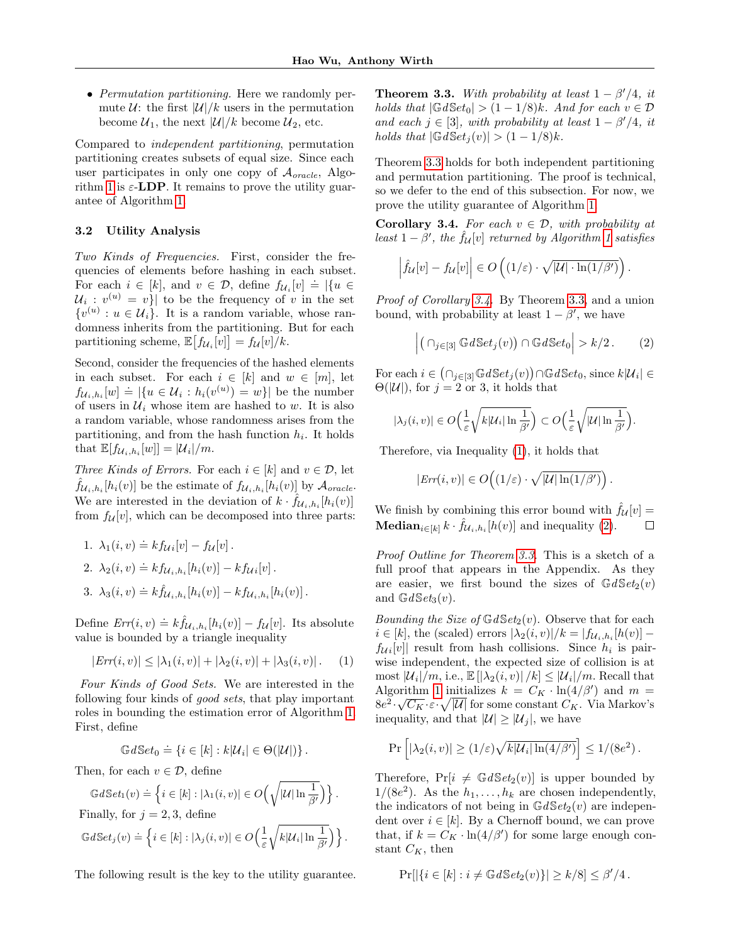• *Permutation partitioning*. Here we randomly permute  $U$ : the first  $|U|/k$  users in the permutation become  $\mathcal{U}_1$ , the next  $|\mathcal{U}|/k$  become  $\mathcal{U}_2$ , etc.

Compared to independent partitioning, permutation partitioning creates subsets of equal size. Since each user participates in only one copy of  $\mathcal{A}_{oracle}$ , Algo-rithm [1](#page-3-0) is  $\varepsilon$ -**LDP**. It remains to prove the utility guarantee of Algorithm [1.](#page-3-0)

#### 3.2 Utility Analysis

Two Kinds of Frequencies. First, consider the frequencies of elements before hashing in each subset. For each  $i \in [k]$ , and  $v \in \mathcal{D}$ , define  $f_{\mathcal{U}_i}[v] \doteq |\{u \in$  $\mathcal{U}_i: v^{(u)} = v$  to be the frequency of v in the set  $\{v^{(u)}: u \in \mathcal{U}_i\}.$  It is a random variable, whose randomness inherits from the partitioning. But for each partitioning scheme,  $\mathbb{E}\big[f_{\mathcal{U}_i}[v]\big] = f_{\mathcal{U}}[v]/k.$ 

Second, consider the frequencies of the hashed elements in each subset. For each  $i \in [k]$  and  $w \in [m]$ , let  $f_{\mathcal{U}_i, h_i}[w] \doteq |\{u \in \mathcal{U}_i : h_i(v^{(u)}) = w\}|$  be the number of users in  $\mathcal{U}_i$  whose item are hashed to w. It is also a random variable, whose randomness arises from the partitioning, and from the hash function  $h_i$ . It holds that  $\mathbb{E}[f_{\mathcal{U}_i,h_i}[w]] = |\mathcal{U}_i|/m$ .

Three Kinds of Errors. For each  $i \in [k]$  and  $v \in \mathcal{D}$ , let  $\hat{f}_{\mathcal{U}_i,h_i}[h_i(v)]$  be the estimate of  $f_{\mathcal{U}_i,h_i}[h_i(v)]$  by  $\mathcal{A}_{oracle}$ . We are interested in the deviation of  $k \cdot \hat{f}_{\mathcal{U}_i,h_i}[h_i(v)]$ from  $f_{\mathcal{U}}[v]$ , which can be decomposed into three parts:

1. 
$$
\lambda_1(i, v) \doteq k f_{\mathcal{U}i}[v] - f_{\mathcal{U}}[v].
$$
  
\n2. 
$$
\lambda_2(i, v) \doteq k f_{\mathcal{U}_i, h_i}[h_i(v)] - k f_{\mathcal{U}i}[v].
$$
  
\n3. 
$$
\lambda_3(i, v) \doteq k \hat{f}_{\mathcal{U}_i, h_i}[h_i(v)] - k f_{\mathcal{U}_i, h_i}[h_i(v)].
$$

Define  $Err(i, v) \doteq k \hat{f}_{\mathcal{U}_i, h_i}[h_i(v)] - f_{\mathcal{U}}[v]$ . Its absolute value is bounded by a triangle inequality

<span id="page-4-2"></span>
$$
|Err(i, v)| \le |\lambda_1(i, v)| + |\lambda_2(i, v)| + |\lambda_3(i, v)|. \tag{1}
$$

Four Kinds of Good Sets. We are interested in the following four kinds of good sets, that play important roles in bounding the estimation error of Algorithm [1.](#page-3-0) First, define

$$
\mathbb{G}dSet_0 \doteq \{ i \in [k] : k|\mathcal{U}_i| \in \Theta(|\mathcal{U}|) \}.
$$

Then, for each  $v \in \mathcal{D}$ , define

$$
\mathbb{G}d\mathbb{S}et_1(v) \doteq \left\{ i \in [k] : |\lambda_1(i,v)| \in O\left(\sqrt{|\mathcal{U}| \ln \frac{1}{\beta'}}\right) \right\}.
$$

Finally, for  $j = 2, 3$ , define

$$
\mathbb{G}d\mathbb{S}et_j(v) \doteq \left\{ i \in [k] : |\lambda_j(i,v)| \in O\left(\frac{1}{\varepsilon}\sqrt{k|\mathcal{U}_i| \ln \frac{1}{\beta'}}\right) \right\}.
$$

The following result is the key to the utility guarantee.

<span id="page-4-0"></span>**Theorem 3.3.** With probability at least  $1 - \beta'/4$ , it holds that  $|\mathbb{G}dSet_0| > (1 - 1/8)k$ . And for each  $v \in \mathcal{D}$ and each  $j \in [3]$ , with probability at least  $1 - \beta'/4$ , it holds that  $|\mathbb{G}dSet_i(v)| > (1 - 1/8)k$ .

Theorem [3.3](#page-4-0) holds for both independent partitioning and permutation partitioning. The proof is technical, so we defer to the end of this subsection. For now, we prove the utility guarantee of Algorithm [1.](#page-3-0)

<span id="page-4-1"></span>Corollary 3.4. For each  $v \in \mathcal{D}$ , with probability at least  $1 - \beta'$ , the  $\hat{f}_{\mathcal{U}}[v]$  returned by Algorithm [1](#page-3-0) satisfies

$$
\left|\hat{f}_{\mathcal{U}}[v] - f_{\mathcal{U}}[v]\right| \in O\left((1/\varepsilon) \cdot \sqrt{|\mathcal{U}| \cdot \ln(1/\beta')}\right).
$$

Proof of Corollary [3.4.](#page-4-1) By Theorem [3.3,](#page-4-0) and a union bound, with probability at least  $1 - \beta'$ , we have

<span id="page-4-3"></span>
$$
\left| \left( \cap_{j \in [3]} \mathbb{G} d\mathbb{S} et_j(v) \right) \cap \mathbb{G} d\mathbb{S} et_0 \right| > k/2. \tag{2}
$$

For each  $i \in (\bigcap_{j \in [3]} \mathbb{G}dSet_j(v)) \cap \mathbb{G}dSet_0$ , since  $k|\mathcal{U}_i| \in$  $\Theta(|\mathcal{U}|)$ , for  $j = 2$  or 3, it holds that

$$
|\lambda_j(i,v)| \in O\Big(\frac{1}{\varepsilon}\sqrt{k|\mathcal{U}_i|\ln\frac{1}{\beta'}}\Big) \subset O\Big(\frac{1}{\varepsilon}\sqrt{|\mathcal{U}|\ln\frac{1}{\beta'}}\Big).
$$

Therefore, via Inequality [\(1\)](#page-4-2), it holds that

$$
|Err(i, v)| \in O\Big((1/\varepsilon) \cdot \sqrt{|\mathcal{U}| \ln(1/\beta')}\Big) .
$$

We finish by combining this error bound with  $\hat{f}_{\mathcal{U}}[v] =$ **Median**<sub>i∈[k]</sub>  $k \cdot \hat{f}_{\mathcal{U}_i,h_i}[h(v)]$  and inequality [\(2\)](#page-4-3).  $\Box$ 

Proof Outline for Theorem [3.3.](#page-4-0) This is a sketch of a full proof that appears in the Appendix. As they are easier, we first bound the sizes of  $GdSet_2(v)$ and  $GdSet<sub>3</sub>(v)$ .

*Bounding the Size of*  $GdSet_2(v)$ . Observe that for each  $i \in [k]$ , the (scaled) errors  $|\lambda_2(i, v)|/k = |f_{\mathcal{U}_i, h_i}[h(v)]$  $f_{\mathcal{U}i}[v]$  result from hash collisions. Since  $h_i$  is pairwise independent, the expected size of collision is at most  $|\mathcal{U}_i|/m$ , i.e.,  $\mathbb{E}[\vert \lambda_2(i, v) \vert / k] \leq |\mathcal{U}_i|/m$ . Recall that Algorithm [1](#page-3-0) initializes  $k = C_K \cdot \ln(4/\beta')$  and  $m =$  $8e^2\cdot \sqrt{C_K}\cdot \varepsilon \cdot \sqrt{|\mathcal{U}|}$  for some constant  $C_K$ . Via Markov's inequality, and that  $|\mathcal{U}| \geq |\mathcal{U}_i|$ , we have

$$
\Pr\left[|\lambda_2(i,v)| \ge (1/\varepsilon)\sqrt{k|\mathcal{U}_i| \ln(4/\beta')}\right] \le 1/(8e^2).
$$

Therefore,  $Pr[i \neq \mathbb{G}dSet_2(v)]$  is upper bounded by  $1/(8e^2)$ . As the  $h_1, \ldots, h_k$  are chosen independently, the indicators of not being in  $GdSet_2(v)$  are independent over  $i \in [k]$ . By a Chernoff bound, we can prove that, if  $k = C_K \cdot \ln(4/\beta')$  for some large enough constant  $C_K$ , then

$$
\Pr[|\{i \in [k] : i \neq \mathbb{G}dSet_2(v)\}| \geq k/8] \leq \beta'/4.
$$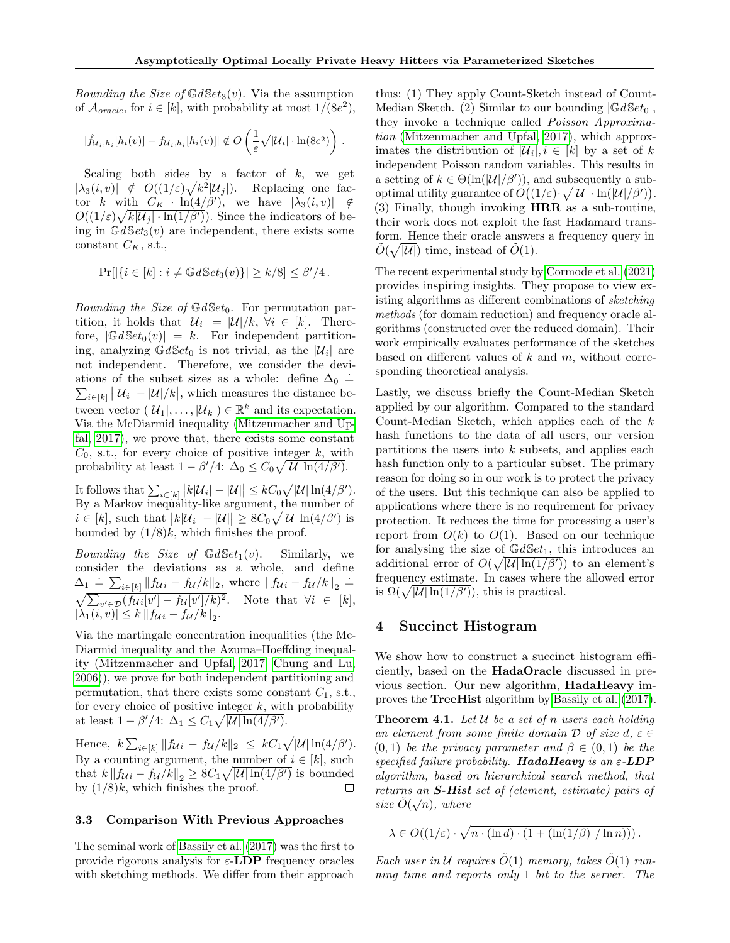Bounding the Size of  $GdSet_3(v)$ . Via the assumption of  $\mathcal{A}_{oracle}$ , for  $i \in [k]$ , with probability at most  $1/(8e^2)$ ,

$$
|\hat{f}_{\mathcal{U}_i,h_i}[h_i(v)] - f_{\mathcal{U}_i,h_i}[h_i(v)]| \notin O\left(\frac{1}{\varepsilon}\sqrt{|\mathcal{U}_i| \cdot \ln(8e^2)}\right).
$$

Scaling both sides by a factor of  $k$ , we get  $|\lambda_3(i, v)| \notin O((1/\varepsilon)\sqrt{k^2|\mathcal{U}_j|}).$  Replacing one factor k with  $C_K \cdot \ln(4/\beta')$ , we have  $|\lambda_3(i, v)| \notin$  $O((1/\varepsilon)\sqrt{k|\mathcal{U}_j|\cdot\ln(1/\beta')})$ . Since the indicators of being in  $GdSet<sub>3</sub>(v)$  are independent, there exists some constant  $C_K$ , s.t.,

$$
\Pr[|\{i \in [k] : i \neq \mathbb{G}d\mathbb{S}et_3(v)\}| \geq k/8] \leq \beta'/4.
$$

Bounding the Size of  $GdSet_0$ . For permutation partition, it holds that  $|\mathcal{U}_i| = |\mathcal{U}|/k, \ \forall i \in [k]$ . Therefore,  $|\mathbb{G}dSet_0(v)| = k$ . For independent partitioning, analyzing  $GdSet_0$  is not trivial, as the  $|\mathcal{U}_i|$  are not independent. Therefore, we consider the deviations of the subset sizes as a whole: define  $\Delta_0$  = ations of the subset sizes as a whole: define  $\Delta_0 = \sum_{i \in [k]} ||\mathcal{U}_i| - |\mathcal{U}|/k|$ , which measures the distance between vector  $(|U_1|, \ldots, |U_k|) \in \mathbb{R}^k$  and its expectation. Via the McDiarmid inequality [\(Mitzenmacher and Up](#page-9-3)[fal, 2017\)](#page-9-3), we prove that, there exists some constant  $C_0$ , s.t., for every choice of positive integer k, with probability at least  $1 - \beta'/4$ :  $\Delta_0 \leq C_0 \sqrt{|\mathcal{U}| \ln(4/\beta')}$ .

It follows that  $\sum_{i\in[k]} |k|\mathcal{U}_i| - |\mathcal{U}|| \leq kC_0\sqrt{|\mathcal{U}|\ln(4/\beta')}$ . By a Markov inequality-like argument, the number of  $i \in [k]$ , such that  $|k|\mathcal{U}_i| - |\mathcal{U}| \ge 8C_0 \sqrt{|\mathcal{U}|\ln(4/\beta')}$  is bounded by  $(1/8)k$ , which finishes the proof.

*Bounding the Size of*  $GdSet_1(v)$ *.* Similarly, we consider the deviations as a whole, and define  $\Delta_1 \doteq \sum_{i \in [k]} \|f_{\mathcal{U}_i} - f_{\mathcal{U}}/k\|_2$ , where  $\|f_{\mathcal{U}_i} - f_{\mathcal{U}}/k\|_2 \doteq$  $\sqrt{\sum_{v' \in \mathcal{D}} (f_{\mathcal{U}}_i[v'] - f_{\mathcal{U}}[v']/k)^2}$ . Note that  $\forall i \in [k],$  $|\lambda_1(i, v)| \leq k \| f_{\mathcal{U}i} - f_{\mathcal{U}}/k \|_2.$ 

Via the martingale concentration inequalities (the Mc-Diarmid inequality and the Azuma–Hoeffding inequality [\(Mitzenmacher and Upfal, 2017;](#page-9-3) [Chung and Lu,](#page-9-4) [2006\)](#page-9-4)), we prove for both independent partitioning and permutation, that there exists some constant  $C_1$ , s.t., for every choice of positive integer  $k$ , with probability at least  $1 - \beta'/4$ :  $\Delta_1 \leq C_1 \sqrt{|\mathcal{U}| \ln(4/\beta')}$ .

Hence,  $k \sum_{i \in [k]} ||f_{U_i} - f_{U_i} / k||_2 \leq k C_1 \sqrt{|U| \ln(4/\beta')}$ . By a counting argument, the number of  $i \in [k]$ , such that  $k \| f_{\mathcal{U}i} - f_{\mathcal{U}}/k \|_2 \geq 8C_1 \sqrt{|\mathcal{U}| \ln(4/\beta')}$  is bounded by  $(1/8)k$ , which finishes the proof.  $\Box$ 

### 3.3 Comparison With Previous Approaches

The seminal work of [Bassily et al. \(2017\)](#page-8-0) was the first to provide rigorous analysis for  $\varepsilon$ -LDP frequency oracles with sketching methods. We differ from their approach

thus: (1) They apply Count-Sketch instead of Count-Median Sketch. (2) Similar to our bounding  $|\mathbb{G}dSet_0|$ , they invoke a technique called Poisson Approximation [\(Mitzenmacher and Upfal, 2017\)](#page-9-3), which approximates the distribution of  $|\mathcal{U}_i|, i \in [k]$  by a set of k independent Poisson random variables. This results in a setting of  $k \in \Theta(\ln(|\mathcal{U}|/\beta'))$ , and subsequently a suboptimal utility guarantee of  $O((1/\varepsilon)\cdot\sqrt{|\mathcal{U}| \cdot \ln(|\mathcal{U}|/\beta')})$ . (3) Finally, though invoking HRR as a sub-routine, their work does not exploit the fast Hadamard transform. Hence their oracle answers a frequency query in  $\tilde{O}(\sqrt{|\mathcal{U}|})$  time, instead of  $\tilde{O}(1)$ .

The recent experimental study by [Cormode et al. \(2021\)](#page-8-10) provides inspiring insights. They propose to view existing algorithms as different combinations of sketching methods (for domain reduction) and frequency oracle algorithms (constructed over the reduced domain). Their work empirically evaluates performance of the sketches based on different values of  $k$  and  $m$ , without corresponding theoretical analysis.

Lastly, we discuss briefly the Count-Median Sketch applied by our algorithm. Compared to the standard Count-Median Sketch, which applies each of the  $k$ hash functions to the data of all users, our version partitions the users into  $k$  subsets, and applies each hash function only to a particular subset. The primary reason for doing so in our work is to protect the privacy of the users. But this technique can also be applied to applications where there is no requirement for privacy protection. It reduces the time for processing a user's report from  $O(k)$  to  $O(1)$ . Based on our technique for analysing the size of  $GdSet_1$ , this introduces an additional error of  $O(\sqrt{|\mathcal{U}| \ln(1/\beta')})$  to an element's frequency estimate. In cases where the allowed error is  $\Omega(\sqrt{|\mathcal{U}| \ln(1/\beta)})$ , this is practical.

# <span id="page-5-0"></span>4 Succinct Histogram

We show how to construct a succinct histogram efficiently, based on the HadaOracle discussed in previous section. Our new algorithm, HadaHeavy improves the TreeHist algorithm by [Bassily et al. \(2017\)](#page-8-0).

**Theorem 4.1.** Let  $U$  be a set of n users each holding an element from some finite domain  $\mathcal D$  of size  $d, \varepsilon \in$  $(0, 1)$  be the privacy parameter and  $\beta \in (0, 1)$  be the specified failure probability. HadaHeavy is an  $\varepsilon$ -LDP algorithm, based on hierarchical search method, that returns an **S-Hist** set of (element, estimate) pairs of size  $\tilde{O}(\sqrt{n})$ , where

$$
\lambda \in O((1/\varepsilon) \cdot \sqrt{n \cdot (\ln d) \cdot (1 + (\ln(1/\beta) / \ln n)))}.
$$

Each user in U requires  $\tilde{O}(1)$  memory, takes  $\tilde{O}(1)$  running time and reports only 1 bit to the server. The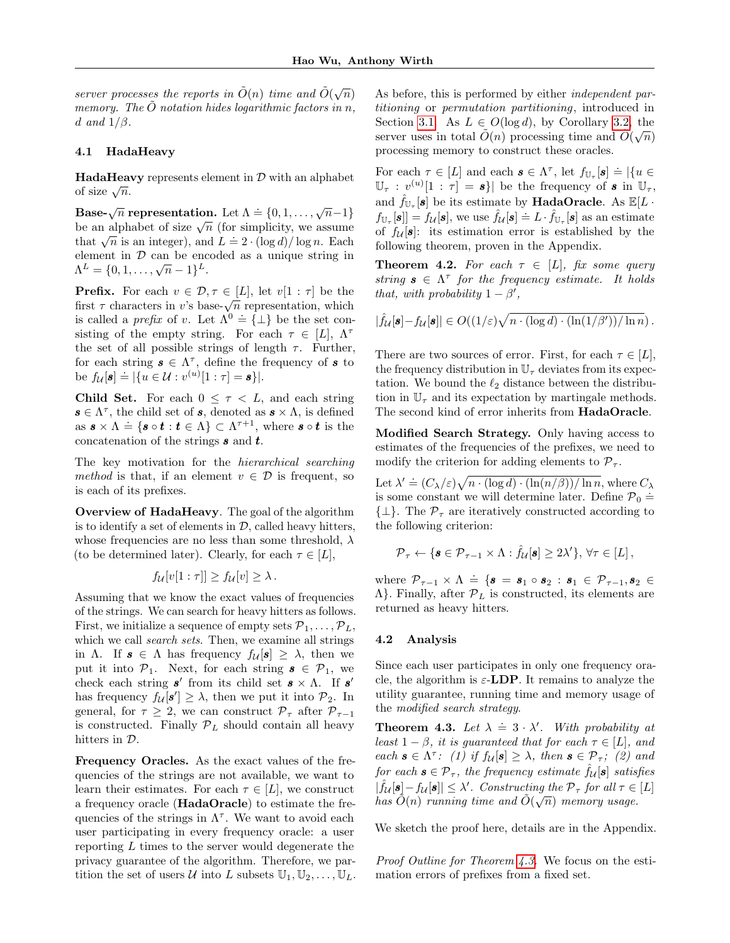server processes the reports in  $\tilde{O}(n)$  time and  $\tilde{O}(\sqrt{n})$ memory. The  $\ddot{O}$  notation hides logarithmic factors in n, d and  $1/\beta$ .

# 4.1 HadaHeavy

**HadaHeavy** represents element in  $D$  with an alphabet **пачанеа**<br>of size  $\sqrt{n}$ .

Base- $\sqrt{n}$  representation. Let  $\Lambda = \{0, 1, \ldots, \sqrt{n-1}\}$ **base-** $\sqrt{n}$  representation. Let  $\Lambda = \{0, 1, ..., \sqrt{n-1}\}$  be an alphabet of size  $\sqrt{n}$  (for simplicity, we assume be an alphabet of size  $\sqrt{n}$  (for simplicity, we assume<br>that  $\sqrt{n}$  is an integer), and  $L = 2 \cdot (\log d)/\log n$ . Each element in  $D$  can be encoded as a unique string in element in D can be enc<br>  $\Lambda^L = \{0, 1, \ldots, \sqrt{n} - 1\}^L$ .

**Prefix.** For each  $v \in \mathcal{D}, \tau \in [L]$ , let  $v[1:\tau]$  be the **FIGUX:** For each  $v \in D$ ,  $\gamma \in [L]$ , let  $v[1:T]$  be the first  $\tau$  characters in v's base- $\sqrt{n}$  representation, which is called a *prefix* of v. Let  $\Lambda^0 = \{\perp\}$  be the set consisting of the empty string. For each  $\tau \in [L], \Lambda^{\tau}$ the set of all possible strings of length  $\tau$ . Further, for each string  $s \in \Lambda^{\tau}$ , define the frequency of s to be  $f_{\mathcal{U}}[\mathbf{s}] \doteq |\{u \in \mathcal{U} : v^{(u)}[1:\tau] = \mathbf{s}\}|.$ 

**Child Set.** For each  $0 \leq \tau \leq L$ , and each string  $s \in \Lambda^{\tau}$ , the child set of s, denoted as  $s \times \Lambda$ , is defined as  $\mathbf{s} \times \Lambda \doteq \{\mathbf{s} \circ \mathbf{t} : \mathbf{t} \in \Lambda\} \subset \Lambda^{\tau+1}$ , where  $\mathbf{s} \circ \mathbf{t}$  is the concatenation of the strings  $s$  and  $t$ .

The key motivation for the hierarchical searching method is that, if an element  $v \in \mathcal{D}$  is frequent, so is each of its prefixes.

Overview of HadaHeavy. The goal of the algorithm is to identify a set of elements in  $D$ , called heavy hitters, whose frequencies are no less than some threshold,  $\lambda$ (to be determined later). Clearly, for each  $\tau \in [L]$ ,

$$
f_{\mathcal{U}}[v[1:\tau]] \ge f_{\mathcal{U}}[v] \ge \lambda.
$$

Assuming that we know the exact values of frequencies of the strings. We can search for heavy hitters as follows. First, we initialize a sequence of empty sets  $\mathcal{P}_1, \ldots, \mathcal{P}_L$ , which we call *search sets*. Then, we examine all strings in Λ. If  $\mathbf{s} \in \Lambda$  has frequency  $f_{\mathcal{U}}[\mathbf{s}] \geq \lambda$ , then we put it into  $\mathcal{P}_1$ . Next, for each string  $\mathbf{s} \in \mathcal{P}_1$ , we check each string  $s'$  from its child set  $s \times \Lambda$ . If s' has frequency  $f_{\mathcal{U}}[\mathbf{s}'] \geq \lambda$ , then we put it into  $\mathcal{P}_2$ . In general, for  $\tau \geq 2$ , we can construct  $\mathcal{P}_{\tau}$  after  $\mathcal{P}_{\tau-1}$ is constructed. Finally  $\mathcal{P}_L$  should contain all heavy hitters in D.

Frequency Oracles. As the exact values of the frequencies of the strings are not available, we want to learn their estimates. For each  $\tau \in [L]$ , we construct a frequency oracle (HadaOracle) to estimate the frequencies of the strings in  $\Lambda^{\tau}$ . We want to avoid each user participating in every frequency oracle: a user reporting  $L$  times to the server would degenerate the privacy guarantee of the algorithm. Therefore, we partition the set of users U into L subsets  $\mathbb{U}_1, \mathbb{U}_2, \ldots, \mathbb{U}_L$ . As before, this is performed by either *independent par*titioning or permutation partitioning, introduced in Section [3.1.](#page-3-1) As  $L \in O(\log d)$ , by Corollary [3.2,](#page-3-2) the section 3.1. As  $L \in \mathcal{O}(\log a)$ , by Coronary 3.2, the<br>server uses in total  $\tilde{O}(n)$  processing time and  $\tilde{O}(\sqrt{n})$ processing memory to construct these oracles.

For each  $\tau \in [L]$  and each  $\mathbf{s} \in \Lambda^{\tau}$ , let  $f_{\mathbb{U}_{\tau}}[\mathbf{s}] \doteq |\{u \in$  $\mathbb{U}_{\tau} : v^{(u)}[1:\tau] = \mathbf{s}$  be the frequency of  $\mathbf{s}$  in  $\mathbb{U}_{\tau}$ , and  $\hat{f}_{\mathbb{U}_{\tau}}[\boldsymbol{s}]$  be its estimate by **HadaOracle**. As  $\mathbb{E}[L \cdot]$  $f_{\mathbb{U}_{\tau}}[\mathbf{s}] = f_{\mathcal{U}}[\mathbf{s}]$ , we use  $\hat{f}_{\mathcal{U}}[\mathbf{s}] = L \cdot \hat{f}_{\mathbb{U}_{\tau}}[\mathbf{s}]$  as an estimate of  $f_{\mathcal{U}}[\boldsymbol{s}]$ : its estimation error is established by the following theorem, proven in the Appendix.

<span id="page-6-1"></span>**Theorem 4.2.** For each  $\tau \in [L]$ , fix some query string  $s \in \Lambda^{\tau}$  for the frequency estimate. It holds that, with probability  $1 - \beta'$ ,

$$
|\hat{f}_{\mathcal{U}}[\boldsymbol{s}] - f_{\mathcal{U}}[\boldsymbol{s}]| \in O((1/\varepsilon)\sqrt{n \cdot (\log d) \cdot (\ln(1/\beta'))/\ln n}).
$$

There are two sources of error. First, for each  $\tau \in [L]$ , the frequency distribution in  $\mathbb{U}_{\tau}$  deviates from its expectation. We bound the  $\ell_2$  distance between the distribution in  $\mathbb{U}_{\tau}$  and its expectation by martingale methods. The second kind of error inherits from HadaOracle.

Modified Search Strategy. Only having access to estimates of the frequencies of the prefixes, we need to modify the criterion for adding elements to  $\mathcal{P}_{\tau}$ .

Let  $\lambda' \doteq (C_{\lambda}/\varepsilon) \sqrt{n \cdot (\log d) \cdot (\ln(n/\beta)) / \ln n}$ , where  $C_{\lambda}$ is some constant we will determine later. Define  $\mathcal{P}_0 \doteq$  $\{\perp\}.$  The  $\mathcal{P}_{\tau}$  are iteratively constructed according to the following criterion:

$$
\mathcal{P}_{\tau} \leftarrow \{\mathbf{s} \in \mathcal{P}_{\tau-1} \times \Lambda : \hat{f}_{\mathcal{U}}[\mathbf{s}] \geq 2\lambda'\}, \forall \tau \in [L],
$$

where  $\mathcal{P}_{\tau-1} \times \Lambda \doteq \{ \mathbf{s} = \mathbf{s}_1 \circ \mathbf{s}_2 : \mathbf{s}_1 \in \mathcal{P}_{\tau-1}, \mathbf{s}_2 \in \mathcal{P}_{\tau-1} \}$  $\Lambda$ . Finally, after  $\mathcal{P}_L$  is constructed, its elements are returned as heavy hitters.

#### 4.2 Analysis

Since each user participates in only one frequency oracle, the algorithm is  $\varepsilon$ -LDP. It remains to analyze the utility guarantee, running time and memory usage of the modified search strategy.

<span id="page-6-0"></span>**Theorem 4.3.** Let  $\lambda = 3 \cdot \lambda'$ . With probability at least  $1 - \beta$ , it is guaranteed that for each  $\tau \in [L]$ , and each  $\mathbf{s} \in \Lambda^{\tau}$ : (1) if  $f_{\mathcal{U}}[\mathbf{s}] \geq \lambda$ , then  $\mathbf{s} \in \mathcal{P}_{\tau}$ ; (2) and for each  $\mathbf{s} \in \mathcal{P}_{\tau}$ , the frequency estimate  $\hat{f}_{\mathcal{U}}[\mathbf{s}]$  satisfies  $|\hat{f}_{\mathcal{U}}[\mathbf{s}] - f_{\mathcal{U}}[\mathbf{s}]| \leq \lambda'.$  Constructing the  $\mathcal{P}_{\tau}$  for all  $\tau \in [L]$ has  $\tilde{O}(n)$  running time and  $\tilde{O}(\sqrt{n})$  memory usage.

We sketch the proof here, details are in the Appendix.

Proof Outline for Theorem [4.3.](#page-6-0) We focus on the estimation errors of prefixes from a fixed set.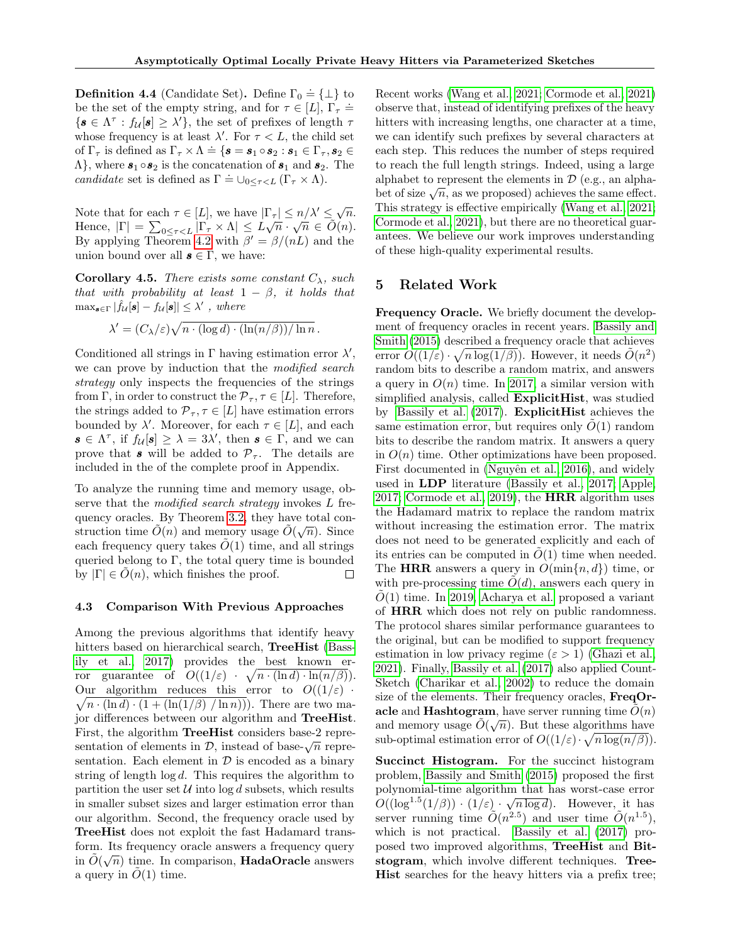<span id="page-7-0"></span>**Definition 4.4** (Candidate Set). Define  $\Gamma_0 \doteq {\{\perp\}}$  to be the set of the empty string, and for  $\tau \in [L], \Gamma_{\tau} \doteq$  $\{s \in \Lambda^{\tau}: f_{\mathcal{U}}[s] \geq \lambda'\},\$  the set of prefixes of length  $\tau$ whose frequency is at least  $\lambda'$ . For  $\tau < L$ , the child set of  $\Gamma_{\tau}$  is defined as  $\Gamma_{\tau} \times \Lambda \doteq {\bf \{s = s_1 \circ s_2 : s_1 \in \Gamma_{\tau}, s_2 \in \Gamma_{\tau}\}}$  $\Lambda$ , where  $s_1 \circ s_2$  is the concatenation of  $s_1$  and  $s_2$ . The candidate set is defined as  $\Gamma \doteq \cup_{0 \leq \tau \leq L} (\Gamma_{\tau} \times \Lambda)$ .

Note that for each  $\tau \in [L]$ , we have  $|\Gamma_{\tau}| \leq n/\lambda' \leq \sqrt{n}$ . Hence,  $|\Gamma| = \sum_{0 \leq \tau < L} |\Gamma_{\tau} \times \Lambda| \leq L \sqrt{n} \cdot \sqrt{n} \in \tilde{O}(n).$ By applying Theorem [4.2](#page-6-1) with  $\beta' = \beta/(nL)$  and the union bound over all  $s \in \Gamma$ , we have:

<span id="page-7-1"></span>**Corollary 4.5.** There exists some constant  $C_{\lambda}$ , such that with probability at least  $1 - \beta$ , it holds that  $\max_{\mathbf{s}\in\Gamma}|\hat{f}_{\mathcal{U}}|\mathbf{s}|-f_{\mathcal{U}}|\mathbf{s}||\leq \lambda'$ , where

$$
\lambda' = (C_{\lambda}/\varepsilon) \sqrt{n \cdot (\log d) \cdot (\ln(n/\beta)) / \ln n}.
$$

Conditioned all strings in  $\Gamma$  having estimation error  $\lambda'$ , we can prove by induction that the modified search strategy only inspects the frequencies of the strings from Γ, in order to construct the  $\mathcal{P}_{\tau}$ ,  $\tau \in [L]$ . Therefore, the strings added to  $\mathcal{P}_{\tau}, \tau \in [L]$  have estimation errors bounded by  $\lambda'$ . Moreover, for each  $\tau \in [L]$ , and each  $\mathbf{s} \in \Lambda^{\tau}$ , if  $f_{\mathcal{U}}[\mathbf{s}] \geq \lambda = 3\lambda'$ , then  $\mathbf{s} \in \Gamma$ , and we can prove that s will be added to  $\mathcal{P}_{\tau}$ . The details are included in the of the complete proof in Appendix.

To analyze the running time and memory usage, observe that the *modified search strategy* invokes L fre-quency oracles. By Theorem [3.2,](#page-3-2) they have total construction time  $\tilde{O}(n)$  and memory usage  $\tilde{O}(\sqrt{n})$ . Since each frequency query takes  $O(1)$  time, and all strings queried belong to  $\Gamma$ , the total query time is bounded by  $|\Gamma| \in O(n)$ , which finishes the proof. П

#### 4.3 Comparison With Previous Approaches

Among the previous algorithms that identify heavy hitters based on hierarchical search, TreeHist [\(Bass](#page-8-0)[ily et al., 2017\)](#page-8-0) provides the best known error guarantee of  $O((1/\varepsilon) \cdot \sqrt{n \cdot (\ln d) \cdot \ln(n/\beta)})$ . Our algorithm reduces this error to  $O((1/\varepsilon))$ .  $\sqrt{n \cdot (\ln d) \cdot (1 + (\ln(1/\beta) / \ln n))})$ . There are two major differences between our algorithm and TreeHist. First, the algorithm TreeHist considers base-2 repre-FILSE, the algorithm **Treemst** considers base- $\chi$  representation of elements in  $\mathcal{D}$ , instead of base- $\sqrt{n}$  representation. Each element in  $\mathcal D$  is encoded as a binary string of length  $log d$ . This requires the algorithm to partition the user set  $U$  into  $\log d$  subsets, which results in smaller subset sizes and larger estimation error than our algorithm. Second, the frequency oracle used by TreeHist does not exploit the fast Hadamard transform. Its frequency oracle answers a frequency query in  $\tilde{O}(\sqrt{n})$  time. In comparison, **HadaOracle** answers a query in  $O(1)$  time.

Recent works [\(Wang et al., 2021;](#page-9-5) [Cormode et al., 2021\)](#page-8-10) observe that, instead of identifying prefixes of the heavy hitters with increasing lengths, one character at a time, we can identify such prefixes by several characters at each step. This reduces the number of steps required to reach the full length strings. Indeed, using a large alphabet to represent the elements in  $\mathcal{D}$  (e.g., an alphaalphabet to represent the elements in  $\nu$  (e.g., an alphabet of size  $\sqrt{n}$ , as we proposed) achieves the same effect. This strategy is effective empirically [\(Wang et al., 2021;](#page-9-5) [Cormode et al., 2021\)](#page-8-10), but there are no theoretical guarantees. We believe our work improves understanding of these high-quality experimental results.

# 5 Related Work

Frequency Oracle. We briefly document the development of frequency oracles in recent years. [Bassily and](#page-8-8) [Smith \(2015\)](#page-8-8) described a frequency oracle that achieves error  $O((1/\varepsilon) \cdot \sqrt{n \log(1/\beta)})$ . However, it needs  $\tilde{O}(n^2)$ random bits to describe a random matrix, and answers a query in  $O(n)$  time. In [2017,](#page-8-0) a similar version with simplified analysis, called ExplicitHist, was studied by [Bassily et al. \(2017\)](#page-8-0). ExplicitHist achieves the same estimation error, but requires only  $O(1)$  random bits to describe the random matrix. It answers a query in  $O(n)$  time. Other optimizations have been proposed. First documented in (Nguyên et al., 2016), and widely used in LDP literature [\(Bassily et al., 2017;](#page-8-0) [Apple,](#page-8-2) [2017;](#page-8-2) [Cormode et al., 2019\)](#page-9-1), the HRR algorithm uses the Hadamard matrix to replace the random matrix without increasing the estimation error. The matrix does not need to be generated explicitly and each of its entries can be computed in  $O(1)$  time when needed. The HRR answers a query in  $O(\min\{n, d\})$  time, or with pre-processing time  $\tilde{O}(d)$ , answers each query in  $\tilde{O}(1)$  time. In [2019, Acharya et al.](#page-9-6) proposed a variant of HRR which does not rely on public randomness. The protocol shares similar performance guarantees to the original, but can be modified to support frequency estimation in low privacy regime  $(\varepsilon > 1)$  [\(Ghazi et al.,](#page-9-7) [2021\)](#page-9-7). Finally, [Bassily et al. \(2017\)](#page-8-0) also applied Count-Sketch [\(Charikar et al., 2002\)](#page-9-8) to reduce the domain size of the elements. Their frequency oracles, FreqOracle and Hashtogram, have server running time  $\tilde{O}(n)$ and memory usage  $\tilde{O}(\sqrt{n})$ . But these algorithms have sub-optimal estimation error of  $O((1/\varepsilon) \cdot \sqrt{n \log(n/\beta)})$ .

Succinct Histogram. For the succinct histogram problem, [Bassily and Smith \(2015\)](#page-8-8) proposed the first polynomial-time algorithm that has worst-case error  $O((\log^{1.5}(1/\beta)) \cdot (1/\varepsilon) \cdot \sqrt{n \log d})$ . However, it has server running time  $\tilde{O}(n^{2.5})$  and user time  $\tilde{O}(n^{1.5})$ , which is not practical. [Bassily et al. \(2017\)](#page-8-0) proposed two improved algorithms, TreeHist and Bitstogram, which involve different techniques. Tree-Hist searches for the heavy hitters via a prefix tree;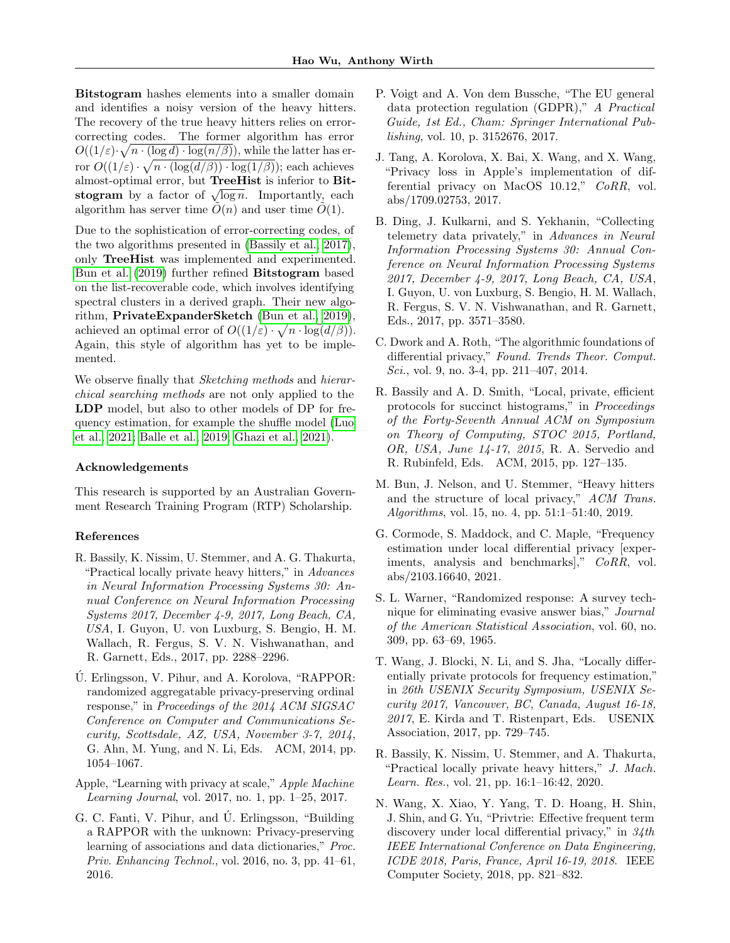Bitstogram hashes elements into a smaller domain and identifies a noisy version of the heavy hitters. The recovery of the true heavy hitters relies on errorcorrecting codes. The former algorithm has error  $O((1/\varepsilon)\cdot\sqrt{n\cdot(\log d)\cdot\log(n/\beta)})$ , while the latter has error  $O((1/\varepsilon) \cdot \sqrt{n \cdot (\log(d/\beta)) \cdot \log(1/\beta)})$ ; each achieves almost-optimal error, but TreeHist is inferior to Bitalmost-optimal error, but **Treemst** is interior to **Dit-**<br>stogram by a factor of  $\sqrt{\log n}$ . Importantly, each algorithm has server time  $O(n)$  and user time  $O(1)$ .

Due to the sophistication of error-correcting codes, of the two algorithms presented in [\(Bassily et al., 2017\)](#page-8-0), only TreeHist was implemented and experimented. [Bun et al. \(2019\)](#page-8-9) further refined Bitstogram based on the list-recoverable code, which involves identifying spectral clusters in a derived graph. Their new algorithm, PrivateExpanderSketch [\(Bun et al., 2019\)](#page-8-9), achieved an optimal error of  $O((1/\varepsilon) \cdot \sqrt{n \cdot \log(d/\beta)})$ . Again, this style of algorithm has yet to be implemented.

We observe finally that *Sketching methods* and *hierar*chical searching methods are not only applied to the LDP model, but also to other models of DP for frequency estimation, for example the shuffle model [\(Luo](#page-9-9) [et al., 2021;](#page-9-9) [Balle et al., 2019;](#page-9-10) [Ghazi et al., 2021\)](#page-9-7).

#### Acknowledgements

This research is supported by an Australian Government Research Training Program (RTP) Scholarship.

# References

- <span id="page-8-0"></span>R. Bassily, K. Nissim, U. Stemmer, and A. G. Thakurta, "Practical locally private heavy hitters," in Advances in Neural Information Processing Systems 30: Annual Conference on Neural Information Processing Systems 2017, December 4-9, 2017, Long Beach, CA, USA, I. Guyon, U. von Luxburg, S. Bengio, H. M. Wallach, R. Fergus, S. V. N. Vishwanathan, and R. Garnett, Eds., 2017, pp. 2288–2296.
- <span id="page-8-1"></span>U. Erlingsson, V. Pihur, and A. Korolova, "RAPPOR: ´ randomized aggregatable privacy-preserving ordinal response," in Proceedings of the 2014 ACM SIGSAC Conference on Computer and Communications Security, Scottsdale, AZ, USA, November 3-7, 2014, G. Ahn, M. Yung, and N. Li, Eds. ACM, 2014, pp. 1054–1067.
- <span id="page-8-2"></span>Apple, "Learning with privacy at scale," Apple Machine Learning Journal, vol. 2017, no. 1, pp. 1–25, 2017.
- <span id="page-8-3"></span>G. C. Fanti, V. Pihur, and Ú. Erlingsson, "Building" a RAPPOR with the unknown: Privacy-preserving learning of associations and data dictionaries," Proc. Priv. Enhancing Technol., vol. 2016, no. 3, pp. 41–61, 2016.
- <span id="page-8-4"></span>P. Voigt and A. Von dem Bussche, "The EU general data protection regulation (GDPR)," A Practical Guide, 1st Ed., Cham: Springer International Publishing, vol. 10, p. 3152676, 2017.
- <span id="page-8-5"></span>J. Tang, A. Korolova, X. Bai, X. Wang, and X. Wang, "Privacy loss in Apple's implementation of differential privacy on MacOS 10.12," CoRR, vol. abs/1709.02753, 2017.
- <span id="page-8-6"></span>B. Ding, J. Kulkarni, and S. Yekhanin, "Collecting telemetry data privately," in Advances in Neural Information Processing Systems 30: Annual Conference on Neural Information Processing Systems 2017, December 4-9, 2017, Long Beach, CA, USA, I. Guyon, U. von Luxburg, S. Bengio, H. M. Wallach, R. Fergus, S. V. N. Vishwanathan, and R. Garnett, Eds., 2017, pp. 3571–3580.
- <span id="page-8-7"></span>C. Dwork and A. Roth, "The algorithmic foundations of differential privacy," Found. Trends Theor. Comput. Sci., vol. 9, no. 3-4, pp. 211–407, 2014.
- <span id="page-8-8"></span>R. Bassily and A. D. Smith, "Local, private, efficient protocols for succinct histograms," in Proceedings of the Forty-Seventh Annual ACM on Symposium on Theory of Computing, STOC 2015, Portland, OR, USA, June 14-17, 2015, R. A. Servedio and R. Rubinfeld, Eds. ACM, 2015, pp. 127–135.
- <span id="page-8-9"></span>M. Bun, J. Nelson, and U. Stemmer, "Heavy hitters and the structure of local privacy," ACM Trans. Algorithms, vol. 15, no. 4, pp. 51:1–51:40, 2019.
- <span id="page-8-10"></span>G. Cormode, S. Maddock, and C. Maple, "Frequency estimation under local differential privacy [experiments, analysis and benchmarks]," CoRR, vol. abs/2103.16640, 2021.
- <span id="page-8-11"></span>S. L. Warner, "Randomized response: A survey technique for eliminating evasive answer bias," Journal of the American Statistical Association, vol. 60, no. 309, pp. 63–69, 1965.
- <span id="page-8-12"></span>T. Wang, J. Blocki, N. Li, and S. Jha, "Locally differentially private protocols for frequency estimation," in 26th USENIX Security Symposium, USENIX Security 2017, Vancouver, BC, Canada, August 16-18, 2017, E. Kirda and T. Ristenpart, Eds. USENIX Association, 2017, pp. 729–745.
- <span id="page-8-13"></span>R. Bassily, K. Nissim, U. Stemmer, and A. Thakurta, "Practical locally private heavy hitters," J. Mach. Learn. Res., vol. 21, pp. 16:1–16:42, 2020.
- <span id="page-8-14"></span>N. Wang, X. Xiao, Y. Yang, T. D. Hoang, H. Shin, J. Shin, and G. Yu, "Privtrie: Effective frequent term discovery under local differential privacy," in  $34$ th IEEE International Conference on Data Engineering, ICDE 2018, Paris, France, April 16-19, 2018. IEEE Computer Society, 2018, pp. 821–832.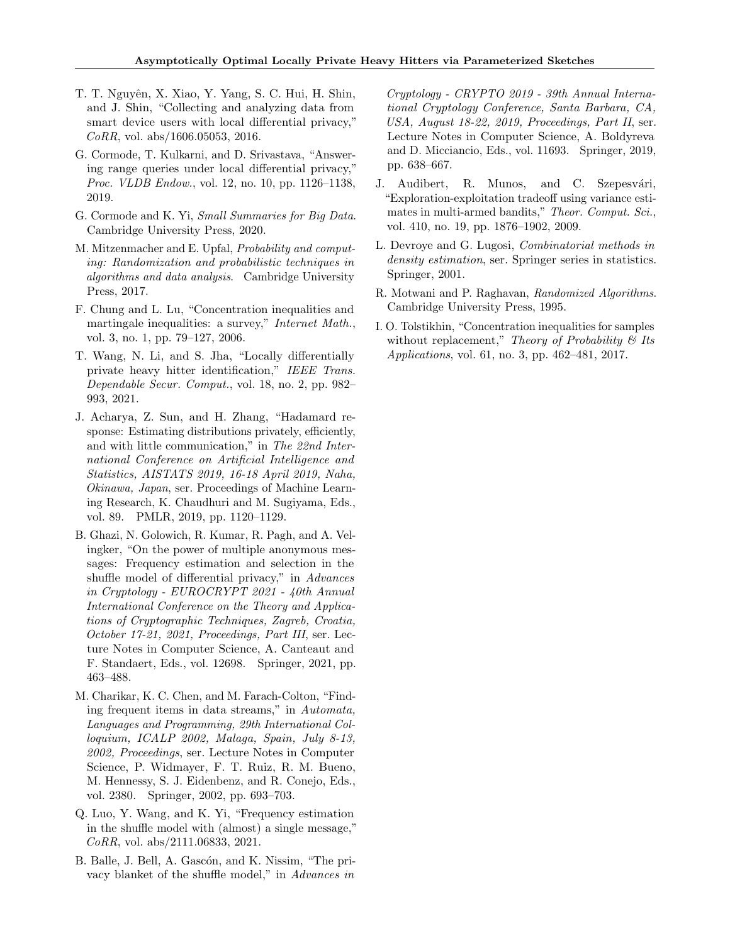- <span id="page-9-0"></span>T. T. Nguyên, X. Xiao, Y. Yang, S. C. Hui, H. Shin, and J. Shin, "Collecting and analyzing data from smart device users with local differential privacy," CoRR, vol. abs/1606.05053, 2016.
- <span id="page-9-1"></span>G. Cormode, T. Kulkarni, and D. Srivastava, "Answering range queries under local differential privacy," Proc. VLDB Endow., vol. 12, no. 10, pp. 1126-1138, 2019.
- <span id="page-9-2"></span>G. Cormode and K. Yi, Small Summaries for Big Data. Cambridge University Press, 2020.
- <span id="page-9-3"></span>M. Mitzenmacher and E. Upfal, Probability and computing: Randomization and probabilistic techniques in algorithms and data analysis. Cambridge University Press, 2017.
- <span id="page-9-4"></span>F. Chung and L. Lu, "Concentration inequalities and martingale inequalities: a survey," *Internet Math.*, vol. 3, no. 1, pp. 79–127, 2006.
- <span id="page-9-5"></span>T. Wang, N. Li, and S. Jha, "Locally differentially private heavy hitter identification," IEEE Trans. Dependable Secur. Comput., vol. 18, no. 2, pp. 982– 993, 2021.
- <span id="page-9-6"></span>J. Acharya, Z. Sun, and H. Zhang, "Hadamard response: Estimating distributions privately, efficiently, and with little communication," in The 22nd International Conference on Artificial Intelligence and Statistics, AISTATS 2019, 16-18 April 2019, Naha, Okinawa, Japan, ser. Proceedings of Machine Learning Research, K. Chaudhuri and M. Sugiyama, Eds., vol. 89. PMLR, 2019, pp. 1120–1129.
- <span id="page-9-7"></span>B. Ghazi, N. Golowich, R. Kumar, R. Pagh, and A. Velingker, "On the power of multiple anonymous messages: Frequency estimation and selection in the shuffle model of differential privacy," in Advances in Cryptology - EUROCRYPT 2021 - 40th Annual International Conference on the Theory and Applications of Cryptographic Techniques, Zagreb, Croatia, October 17-21, 2021, Proceedings, Part III, ser. Lecture Notes in Computer Science, A. Canteaut and F. Standaert, Eds., vol. 12698. Springer, 2021, pp. 463–488.
- <span id="page-9-8"></span>M. Charikar, K. C. Chen, and M. Farach-Colton, "Finding frequent items in data streams," in Automata, Languages and Programming, 29th International Colloquium, ICALP 2002, Malaga, Spain, July 8-13, 2002, Proceedings, ser. Lecture Notes in Computer Science, P. Widmayer, F. T. Ruiz, R. M. Bueno, M. Hennessy, S. J. Eidenbenz, and R. Conejo, Eds., vol. 2380. Springer, 2002, pp. 693–703.
- <span id="page-9-9"></span>Q. Luo, Y. Wang, and K. Yi, "Frequency estimation in the shuffle model with (almost) a single message," CoRR, vol. abs/2111.06833, 2021.
- <span id="page-9-10"></span>B. Balle, J. Bell, A. Gascón, and K. Nissim, "The privacy blanket of the shuffle model," in Advances in

Cryptology - CRYPTO 2019 - 39th Annual International Cryptology Conference, Santa Barbara, CA, USA, August 18-22, 2019, Proceedings, Part II, ser. Lecture Notes in Computer Science, A. Boldyreva and D. Micciancio, Eds., vol. 11693. Springer, 2019, pp. 638–667.

- <span id="page-9-11"></span>J. Audibert, R. Munos, and C. Szepesvári, "Exploration-exploitation tradeoff using variance estimates in multi-armed bandits," Theor. Comput. Sci., vol. 410, no. 19, pp. 1876–1902, 2009.
- <span id="page-9-12"></span>L. Devroye and G. Lugosi, Combinatorial methods in density estimation, ser. Springer series in statistics. Springer, 2001.
- <span id="page-9-13"></span>R. Motwani and P. Raghavan, Randomized Algorithms. Cambridge University Press, 1995.
- <span id="page-9-14"></span>I. O. Tolstikhin, "Concentration inequalities for samples without replacement," Theory of Probability  $\mathcal B$  Its Applications, vol. 61, no. 3, pp. 462–481, 2017.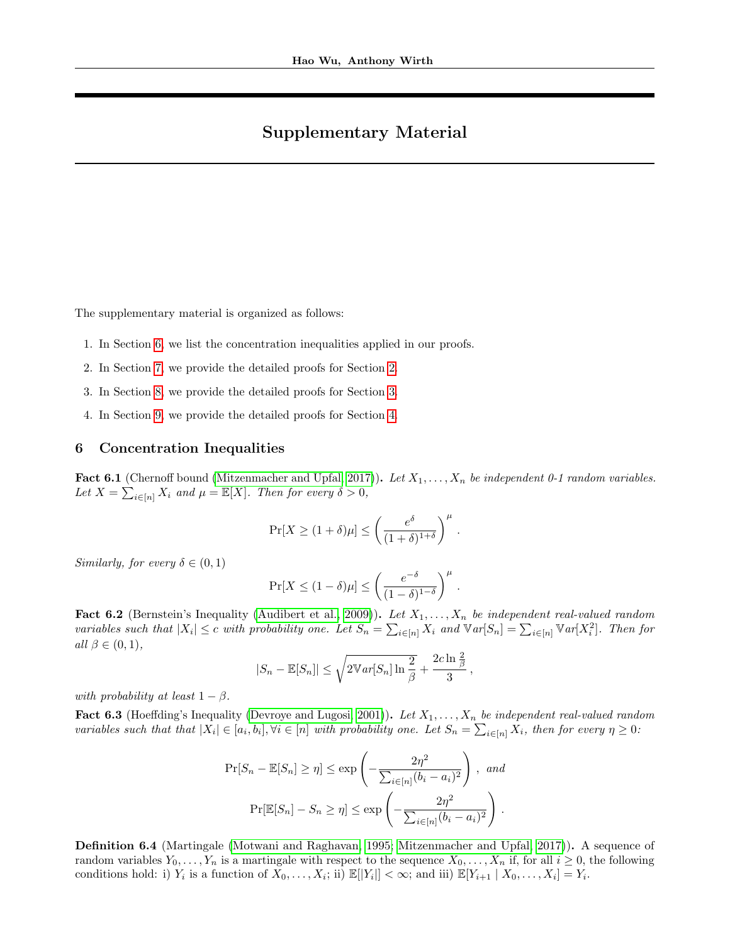# Supplementary Material

The supplementary material is organized as follows:

- 1. In Section [6,](#page-10-0) we list the concentration inequalities applied in our proofs.
- 2. In Section [7,](#page-12-0) we provide the detailed proofs for Section [2.](#page-2-1)
- 3. In Section [8,](#page-16-0) we provide the detailed proofs for Section [3.](#page-2-2)
- 4. In Section [9,](#page-26-0) we provide the detailed proofs for Section [4.](#page-5-0)

# <span id="page-10-0"></span>6 Concentration Inequalities

<span id="page-10-2"></span>**Fact 6.1** (Chernoff bound [\(Mitzenmacher and Upfal, 2017\)](#page-9-3)). Let  $X_1, \ldots, X_n$  be independent 0-1 random variables. Let  $X = \sum_{i \in [n]} X_i$  and  $\mu = \mathbb{E}[X]$ . Then for every  $\delta > 0$ ,

$$
\Pr[X \ge (1+\delta)\mu] \le \left(\frac{e^{\delta}}{(1+\delta)^{1+\delta}}\right)^{\mu}.
$$

Similarly, for every  $\delta \in (0,1)$ 

$$
\Pr[X \le (1 - \delta)\mu] \le \left(\frac{e^{-\delta}}{(1 - \delta)^{1 - \delta}}\right)^{\mu}.
$$

**Fact 6.2** (Bernstein's Inequality [\(Audibert et al., 2009\)](#page-9-11)). Let  $X_1, \ldots, X_n$  be independent real-valued random variables such that  $|X_i| \leq c$  with probability one. Let  $S_n = \sum_{i \in [n]} X_i$  and  $\mathbb{V}ar[S_n] = \sum_{i \in [n]} \mathbb{V}ar[X_i^2]$ . Then for all  $\beta \in (0,1)$ ,

$$
|S_n - \mathbb{E}[S_n]| \leq \sqrt{2\mathbb{V}ar[S_n]\ln\frac{2}{\beta}} + \frac{2c\ln\frac{2}{\beta}}{3},
$$

with probability at least  $1 - \beta$ .

<span id="page-10-1"></span>Fact 6.3 (Hoeffding's Inequality [\(Devroye and Lugosi, 2001\)](#page-9-12)). Let  $X_1, \ldots, X_n$  be independent real-valued random variables such that that  $|X_i| \in [a_i, b_i], \forall i \in [n]$  with probability one. Let  $S_n = \sum_{i \in [n]} X_i$ , then for every  $\eta \geq 0$ :

$$
\Pr[S_n - \mathbb{E}[S_n] \ge \eta] \le \exp\left(-\frac{2\eta^2}{\sum_{i \in [n]} (b_i - a_i)^2}\right), \text{ and}
$$

$$
\Pr[\mathbb{E}[S_n] - S_n \ge \eta] \le \exp\left(-\frac{2\eta^2}{\sum_{i \in [n]} (b_i - a_i)^2}\right).
$$

<span id="page-10-3"></span>Definition 6.4 (Martingale [\(Motwani and Raghavan, 1995;](#page-9-13) [Mitzenmacher and Upfal, 2017\)](#page-9-3)). A sequence of random variables  $Y_0, \ldots, Y_n$  is a martingale with respect to the sequence  $X_0, \ldots, X_n$  if, for all  $i \geq 0$ , the following conditions hold: i)  $Y_i$  is a function of  $X_0, \ldots, X_i$ ; ii)  $\mathbb{E}[|Y_i|] < \infty$ ; and iii)  $\mathbb{E}[Y_{i+1} | X_0, \ldots, X_i] = Y_i$ .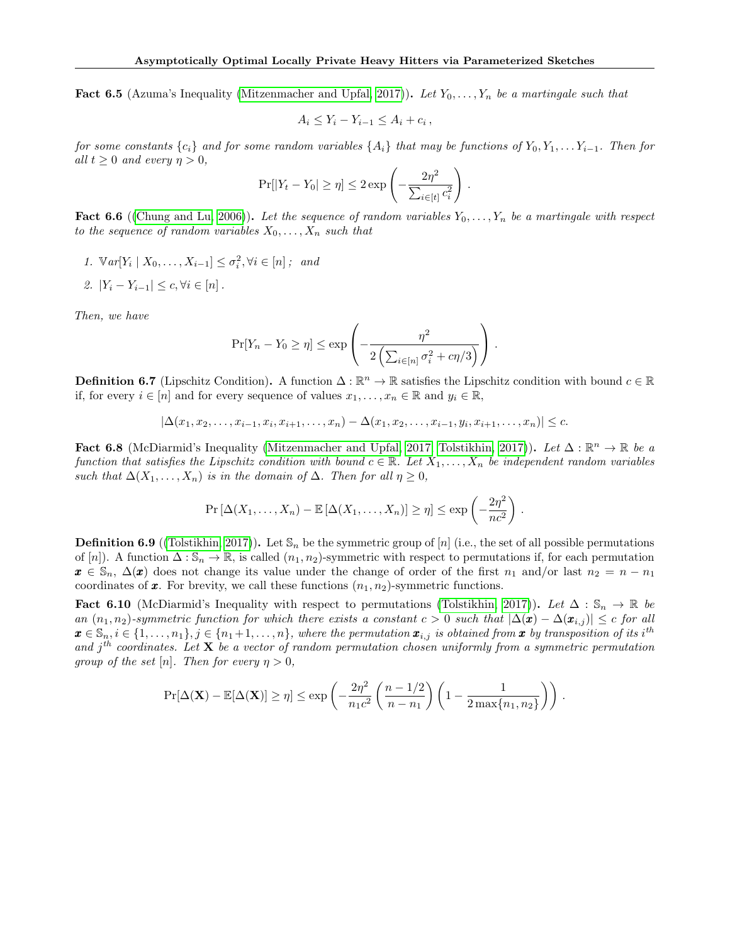<span id="page-11-2"></span>**Fact 6.5** (Azuma's Inequality [\(Mitzenmacher and Upfal, 2017\)](#page-9-3)). Let  $Y_0, \ldots, Y_n$  be a martingale such that

$$
A_i \leq Y_i - Y_{i-1} \leq A_i + c_i ,
$$

for some constants  $\{c_i\}$  and for some random variables  $\{A_i\}$  that may be functions of  $Y_0, Y_1, \ldots, Y_{i-1}$ . Then for all  $t \geq 0$  and every  $\eta > 0$ ,

$$
\Pr[|Y_t - Y_0| \ge \eta] \le 2 \exp\left(-\frac{2\eta^2}{\sum_{i \in [t]} c_i^2}\right).
$$

<span id="page-11-5"></span>**Fact 6.6** ([\(Chung and Lu, 2006\)](#page-9-4)). Let the sequence of random variables  $Y_0, \ldots, Y_n$  be a martingale with respect to the sequence of random variables  $X_0, \ldots, X_n$  such that

1.  $\mathbb{V}ar[Y_i \mid X_0, \ldots, X_{i-1}] \leq \sigma_i^2, \forall i \in [n]$ ; and 2.  $|Y_i - Y_{i-1}| \leq c, \forall i \in [n]$ .

Then, we have

$$
\Pr[Y_n - Y_0 \ge \eta] \le \exp\left(-\frac{\eta^2}{2\left(\sum_{i \in [n]} \sigma_i^2 + c\eta/3\right)}\right).
$$

<span id="page-11-1"></span>**Definition 6.7** (Lipschitz Condition). A function  $\Delta : \mathbb{R}^n \to \mathbb{R}$  satisfies the Lipschitz condition with bound  $c \in \mathbb{R}$ if, for every  $i \in [n]$  and for every sequence of values  $x_1, \ldots, x_n \in \mathbb{R}$  and  $y_i \in \mathbb{R}$ ,

$$
|\Delta(x_1, x_2, \ldots, x_{i-1}, x_i, x_{i+1}, \ldots, x_n) - \Delta(x_1, x_2, \ldots, x_{i-1}, y_i, x_{i+1}, \ldots, x_n)| \leq c.
$$

<span id="page-11-0"></span>Fact 6.8 (McDiarmid's Inequality [\(Mitzenmacher and Upfal, 2017;](#page-9-3) [Tolstikhin, 2017\)](#page-9-14)). Let  $\Delta : \mathbb{R}^n \to \mathbb{R}$  be a function that satisfies the Lipschitz condition with bound  $c \in \mathbb{R}$ . Let  $X_1, \ldots, X_n$  be independent random variables such that  $\Delta(X_1, \ldots, X_n)$  is in the domain of  $\Delta$ . Then for all  $\eta \geq 0$ ,

$$
\Pr\left[\Delta(X_1,\ldots,X_n)-\mathbb{E}\left[\Delta(X_1,\ldots,X_n)\right]\geq \eta\right]\leq \exp\left(-\frac{2\eta^2}{nc^2}\right).
$$

<span id="page-11-3"></span>**Definition 6.9** ([\(Tolstikhin, 2017\)](#page-9-14)). Let  $\mathbb{S}_n$  be the symmetric group of [n] (i.e., the set of all possible permutations of [n]). A function  $\Delta : \mathbb{S}_n \to \mathbb{R}$ , is called  $(n_1, n_2)$ -symmetric with respect to permutations if, for each permutation  $x \in \mathbb{S}_n$ ,  $\Delta(x)$  does not change its value under the change of order of the first  $n_1$  and/or last  $n_2 = n - n_1$ coordinates of  $x$ . For brevity, we call these functions  $(n_1, n_2)$ -symmetric functions.

<span id="page-11-4"></span>Fact 6.10 (McDiarmid's Inequality with respect to permutations [\(Tolstikhin, 2017\)](#page-9-14)). Let  $\Delta : \mathbb{S}_n \to \mathbb{R}$  be an  $(n_1, n_2)$ -symmetric function for which there exists a constant  $c > 0$  such that  $|\Delta(\pmb{x}) - \Delta(\pmb{x}_{i,j})| \leq c$  for all  $\mathbf{x} \in \mathbb{S}_n, i \in \{1,\ldots,n_1\}, j \in \{n_1+1,\ldots,n\},\$  where the permutation  $\mathbf{x}_{i,j}$  is obtained from  $\mathbf{x}$  by transposition of its i<sup>th</sup> and  $j<sup>th</sup> coordinates.$  Let **X** be a vector of random permutation chosen uniformly from a symmetric permutation group of the set [n]. Then for every  $\eta > 0$ ,

$$
\Pr[\Delta(\mathbf{X}) - \mathbb{E}[\Delta(\mathbf{X})] \ge \eta] \le \exp\left(-\frac{2\eta^2}{n_1c^2} \left(\frac{n-1/2}{n-n_1}\right) \left(1 - \frac{1}{2\max\{n_1, n_2\}}\right)\right).
$$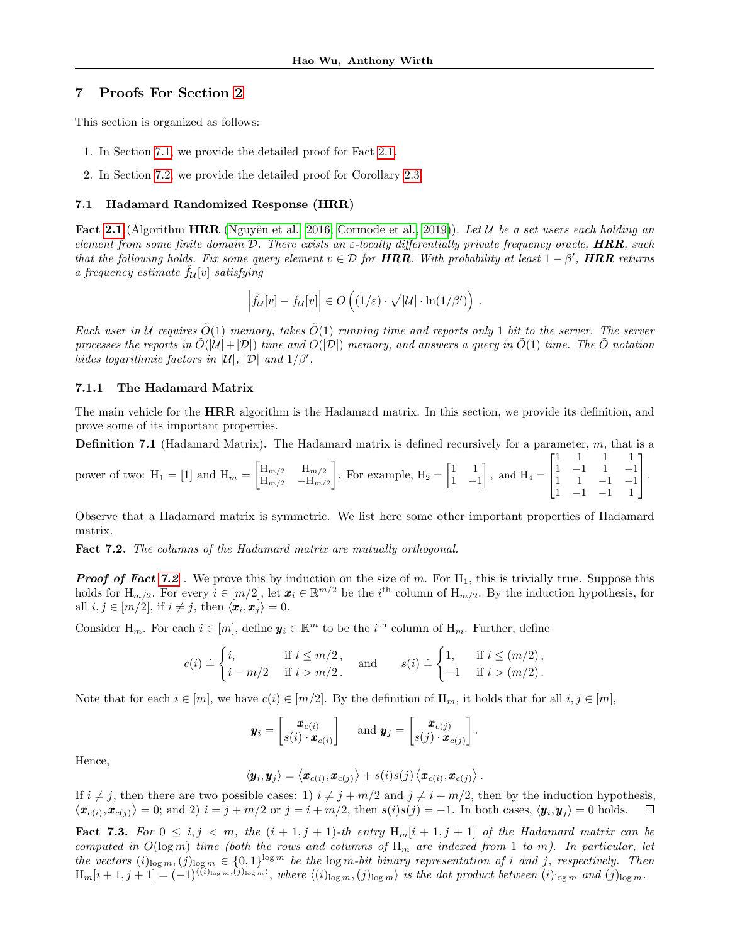# <span id="page-12-0"></span>7 Proofs For Section [2](#page-2-1)

This section is organized as follows:

- 1. In Section [7.1,](#page-12-1) we provide the detailed proof for Fact [2.1.](#page-2-3)
- 2. In Section [7.2,](#page-15-0) we provide the detailed proof for Corollary [2.3.](#page-2-4)

#### <span id="page-12-1"></span>7.1 Hadamard Randomized Response (HRR)

Fact [2.1](#page-2-3) (Algorithm HRR (Nguyên et al., 2016; [Cormode et al., 2019\)](#page-9-1)). Let  $\mathcal U$  be a set users each holding an element from some finite domain D. There exists an  $\varepsilon$ -locally differentially private frequency oracle, **HRR**, such that the following holds. Fix some query element  $v \in \mathcal{D}$  for HRR. With probability at least  $1 - \beta'$ , HRR returns a frequency estimate  $f_{\mathcal{U}}[v]$  satisfying

$$
\left|\widehat{f}_{\mathcal{U}}[v] - f_{\mathcal{U}}[v]\right| \in O\left((1/\varepsilon) \cdot \sqrt{|\mathcal{U}| \cdot \ln(1/\beta')}\right).
$$

Each user in U requires  $\tilde{O}(1)$  memory, takes  $\tilde{O}(1)$  running time and reports only 1 bit to the server. The server processes the reports in  $\tilde{O}(|\mathcal{U}|+|\mathcal{D}|)$  time and  $O(|\mathcal{D}|)$  memory, and answers a query in  $\tilde{O}(1)$  time. The  $\tilde{O}$  notation hides logarithmic factors in  $|\mathcal{U}|$ ,  $|\mathcal{D}|$  and  $1/\beta'$ .

## 7.1.1 The Hadamard Matrix

The main vehicle for the HRR algorithm is the Hadamard matrix. In this section, we provide its definition, and prove some of its important properties.

**Definition 7.1** (Hadamard Matrix). The Hadamard matrix is defined recursively for a parameter,  $m$ , that is a

power of two: 
$$
H_1 = [1]
$$
 and  $H_m = \begin{bmatrix} H_{m/2} & H_{m/2} \\ H_{m/2} & -H_{m/2} \end{bmatrix}$ . For example,  $H_2 = \begin{bmatrix} 1 & 1 \\ 1 & -1 \end{bmatrix}$ , and  $H_4 = \begin{bmatrix} 1 & 1 & 1 & 1 \\ 1 & -1 & 1 & -1 \\ 1 & 1 & -1 & -1 \\ 1 & -1 & -1 & 1 \end{bmatrix}$ .

Observe that a Hadamard matrix is symmetric. We list here some other important properties of Hadamard matrix.

<span id="page-12-2"></span>Fact 7.2. The columns of the Hadamard matrix are mutually orthogonal.

**Proof of Fact [7.2](#page-12-2)**. We prove this by induction on the size of m. For  $H_1$ , this is trivially true. Suppose this holds for  $H_{m/2}$ . For every  $i \in [m/2]$ , let  $x_i \in \mathbb{R}^{m/2}$  be the i<sup>th</sup> column of  $H_{m/2}$ . By the induction hypothesis, for all  $i, j \in [m/2]$ , if  $i \neq j$ , then  $\langle x_i, x_j \rangle = 0$ .

Consider H<sub>m</sub>. For each  $i \in [m]$ , define  $\mathbf{y}_i \in \mathbb{R}^m$  to be the  $i^{\text{th}}$  column of H<sub>m</sub>. Further, define

$$
c(i) \doteq \begin{cases} i, & \text{if } i \leq m/2, \\ i - m/2 & \text{if } i > m/2. \end{cases} \quad \text{and} \quad s(i) \doteq \begin{cases} 1, & \text{if } i \leq (m/2), \\ -1 & \text{if } i > (m/2). \end{cases}
$$

Note that for each  $i \in [m]$ , we have  $c(i) \in [m/2]$ . By the definition of  $H_m$ , it holds that for all  $i, j \in [m]$ ,

$$
\boldsymbol{y}_i = \begin{bmatrix} \boldsymbol{x}_{c(i)} \\ s(i) \cdot \boldsymbol{x}_{c(i)} \end{bmatrix} \quad \text{ and } \boldsymbol{y}_j = \begin{bmatrix} \boldsymbol{x}_{c(j)} \\ s(j) \cdot \boldsymbol{x}_{c(j)} \end{bmatrix}.
$$

Hence,

$$
\langle \boldsymbol{y}_i, \boldsymbol{y}_j \rangle = \left\langle \boldsymbol{x}_{c(i)}, \boldsymbol{x}_{c(j)} \right\rangle + s(i) s(j) \left\langle \boldsymbol{x}_{c(i)}, \boldsymbol{x}_{c(j)} \right\rangle.
$$

If  $i \neq j$ , then there are two possible cases: 1)  $i \neq j + m/2$  and  $j \neq i + m/2$ , then by the induction hypothesis,  $\langle \boldsymbol{x}_{c(i)}, \boldsymbol{x}_{c(j)} \rangle = 0$ ; and 2)  $i = j + m/2$  or  $j = i + m/2$ , then  $s(i)s(j) = -1$ . In both cases,  $\langle \boldsymbol{y}_i, \boldsymbol{y}_j \rangle = 0$  holds.  $\Box$ 

<span id="page-12-3"></span>Fact 7.3. For  $0 \le i, j \le m$ , the  $(i + 1, j + 1)$ -th entry  $H_m[i + 1, j + 1]$  of the Hadamard matrix can be computed in  $O(\log m)$  time (both the rows and columns of  $H_m$  are indexed from 1 to m). In particular, let the vectors  $(i)_{\log m}, (j)_{\log m} \in \{0,1\}^{\log m}$  be the  $\log m$ -bit binary representation of i and j, respectively. Then  $H_m[i+1,j+1] = (-1)^{\langle (i)_{\log m},(j)_{\log m}\rangle}$ , where  $\langle (i)_{\log m},(j)_{\log m}\rangle$  is the dot product between  $(i)_{\log m}$  and  $(j)_{\log m}$ .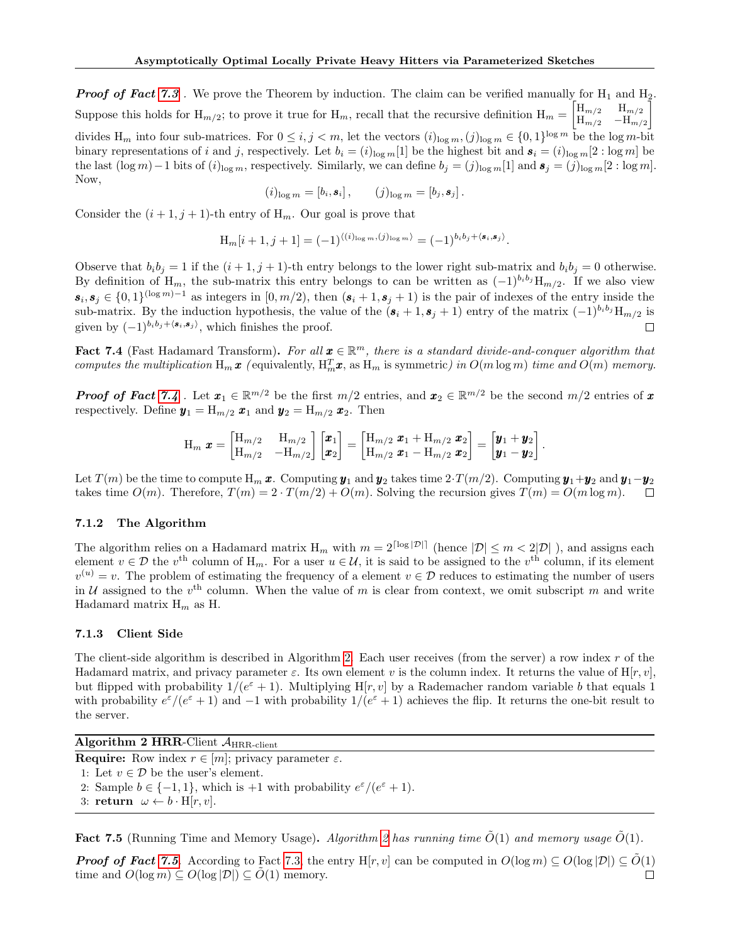**Proof of Fact [7.3](#page-12-3)**. We prove the Theorem by induction. The claim can be verified manually for  $H_1$  and  $H_2$ . Suppose this holds for  $H_{m/2}$ ; to prove it true for  $H_m$ , recall that the recursive definition  $H_m = \begin{bmatrix} H_{m/2} & H_{m/2} \\ H_{m/2} & -H_{m/2} \end{bmatrix}$  $H_{m/2}$  –  $H_{m/2}$ 1 divides  $H_m$  into four sub-matrices. For  $0 \le i, j < m$ , let the vectors  $(i)_{\log m}, (j)_{\log m} \in \{0, 1\}^{\log m}$  be the  $\log m$ -bit binary representations of i and j, respectively. Let  $b_i = (i)_{\log m}[1]$  be the highest bit and  $s_i = (i)_{\log m}[2 : \log m]$  be the last  $(\log m)-1$  bits of  $(i)_{\log m}$ , respectively. Similarly, we can define  $b_j = (j)_{\log m}[1]$  and  $\mathbf{s}_j = (j)_{\log m}[2 : \log m]$ . Now,

$$
(i)_{\log m} = [b_i, \mathbf{s}_i], \qquad (j)_{\log m} = [b_j, \mathbf{s}_j].
$$

Consider the  $(i + 1, j + 1)$ -th entry of  $H_m$ . Our goal is prove that

$$
\mathrm{H}_m[i+1,j+1] = (-1)^{\langle (i)_{\log m}, (j)_{\log m} \rangle} = (-1)^{b_i b_j + \langle \mathbf{s}_i, \mathbf{s}_j \rangle}.
$$

Observe that  $b_i b_j = 1$  if the  $(i + 1, j + 1)$ -th entry belongs to the lower right sub-matrix and  $b_i b_j = 0$  otherwise. By definition of H<sub>m</sub>, the sub-matrix this entry belongs to can be written as  $(-1)^{b_i b_j} H_{m/2}$ . If we also view  $s_i, s_j \in \{0,1\}^{\log m)-1}$  as integers in  $[0, m/2)$ , then  $(s_i + 1, s_j + 1)$  is the pair of indexes of the entry inside the sub-matrix. By the induction hypothesis, the value of the  $(s_i + 1, s_j + 1)$  entry of the matrix  $(-1)^{b_i b_j} H_{m/2}$  is given by  $(-1)^{b_i b_j + \langle s_i, s_j \rangle}$ , which finishes the proof.  $\Box$ 

<span id="page-13-0"></span>Fact 7.4 (Fast Hadamard Transform). For all  $\boldsymbol{x} \in \mathbb{R}^m$ , there is a standard divide-and-conquer algorithm that computes the multiplication  $H_m x$  (equivalently,  $H_m^T x$ , as  $H_m$  is symmetric) in  $O(m \log m)$  time and  $O(m)$  memory.

**Proof of Fact [7.4](#page-13-0)** . Let  $x_1 \in \mathbb{R}^{m/2}$  be the first  $m/2$  entries, and  $x_2 \in \mathbb{R}^{m/2}$  be the second  $m/2$  entries of x respectively. Define  $y_1 = H_{m/2} x_1$  and  $y_2 = H_{m/2} x_2$ . Then

$$
\text{H}_m \ \pmb{x} = \begin{bmatrix} \text{H}_{m/2} & \text{H}_{m/2} \\ \text{H}_{m/2} & -\text{H}_{m/2} \end{bmatrix} \begin{bmatrix} \pmb{x}_1 \\ \pmb{x}_2 \end{bmatrix} = \begin{bmatrix} \text{H}_{m/2} \ \pmb{x}_1 + \text{H}_{m/2} \ \pmb{x}_2 \\ \text{H}_{m/2} \ \pmb{x}_1 - \text{H}_{m/2} \ \pmb{x}_2 \end{bmatrix} = \begin{bmatrix} \pmb{y}_1 + \pmb{y}_2 \\ \pmb{y}_1 - \pmb{y}_2 \end{bmatrix}.
$$

Let  $T(m)$  be the time to compute  $H_m$  x. Computing  $y_1$  and  $y_2$  takes time  $2 \cdot T(m/2)$ . Computing  $y_1 + y_2$  and  $y_1 - y_2$ takes time  $O(m)$ . Therefore,  $T(m) = 2 \cdot T(m/2) + O(m)$ . Solving the recursion gives  $T(m) = O(m \log m)$ .  $\Box$ 

# 7.1.2 The Algorithm

The algorithm relies on a Hadamard matrix  $H_m$  with  $m = 2^{\lceil \log |\mathcal{D}| \rceil}$  (hence  $|\mathcal{D}| \leq m < 2|\mathcal{D}|$ ), and assigns each element  $v \in \mathcal{D}$  the  $v^{\text{th}}$  column of  $H_m$ . For a user  $u \in \mathcal{U}$ , it is said to be assigned to the  $v^{\text{th}}$  column, if its element  $v^{(u)} = v$ . The problem of estimating the frequency of a element  $v \in \mathcal{D}$  reduces to estimating the number of users in U assigned to the  $v^{\text{th}}$  column. When the value of m is clear from context, we omit subscript m and write Hadamard matrix  $H_m$  as H.

# 7.1.3 Client Side

The client-side algorithm is described in Algorithm [2.](#page-13-1) Each user receives (from the server) a row index  $r$  of the Hadamard matrix, and privacy parameter  $\varepsilon$ . Its own element v is the column index. It returns the value of  $H[r, v]$ , but flipped with probability  $1/(e^{\epsilon}+1)$ . Multiplying H[r, v] by a Rademacher random variable b that equals 1 with probability  $e^{\varepsilon}/(e^{\varepsilon}+1)$  and  $-1$  with probability  $1/(e^{\varepsilon}+1)$  achieves the flip. It returns the one-bit result to the server.

Algorithm 2 HRR-Client  $A_{\rm HRR\text{-}client}$ 

<span id="page-13-1"></span>**Require:** Row index  $r \in [m]$ ; privacy parameter  $\varepsilon$ .

- 1: Let  $v \in \mathcal{D}$  be the user's element.
- 2: Sample  $b \in \{-1, 1\}$ , which is  $+1$  with probability  $e^{\varepsilon}/(e^{\varepsilon}+1)$ .
- 3: return  $\omega \leftarrow b \cdot H[r, v].$

<span id="page-13-2"></span>**Fact 7.5** (Running Time and Memory Usage). Algorithm [2](#page-13-1) has running time  $\tilde{O}(1)$  and memory usage  $\tilde{O}(1)$ .

**Proof of Fact [7.5](#page-13-2).** According to Fact [7.3,](#page-12-3) the entry H[r, v] can be computed in  $O(\log m) \subseteq O(\log |\mathcal{D}|) \subseteq O(1)$ time and  $O(\log m) \subseteq O(\log |\mathcal{D}|) \subseteq O(1)$  memory. П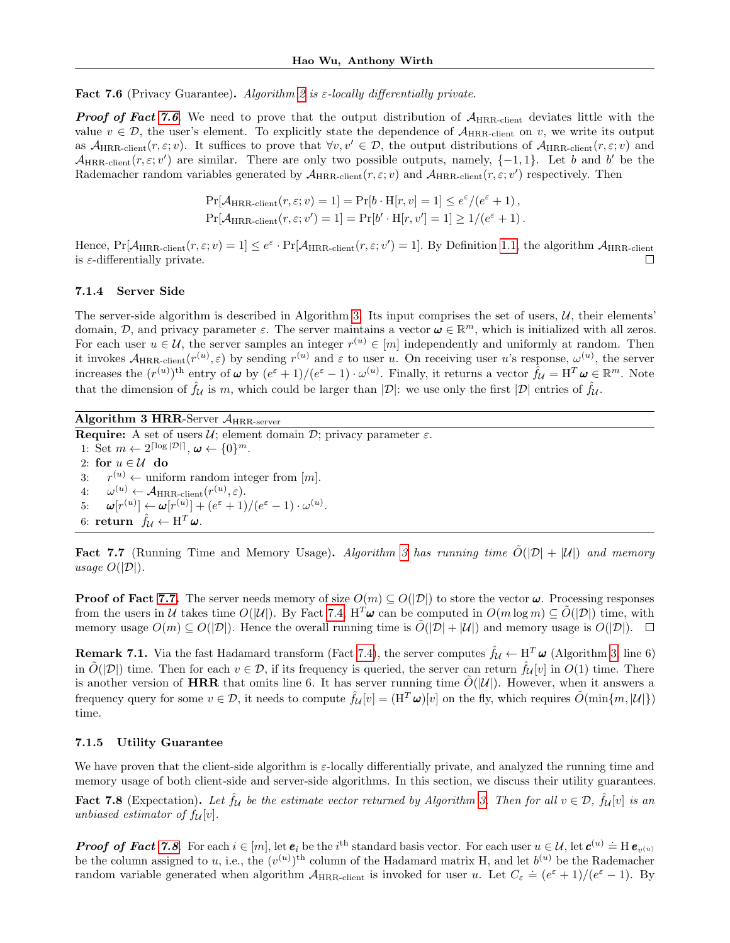<span id="page-14-0"></span>**Fact 7.6** (Privacy Guarantee). Algorithm [2](#page-13-1) is  $\varepsilon$ -locally differentially private.

**Proof of Fact [7.6](#page-14-0).** We need to prove that the output distribution of  $A_{\text{HRR-client}}$  deviates little with the value  $v \in \mathcal{D}$ , the user's element. To explicitly state the dependence of  $\mathcal{A}_{\text{HRR-client}}$  on v, we write its output as  $\mathcal{A}_{\text{HRR-client}}(r, \varepsilon; v)$ . It suffices to prove that  $\forall v, v' \in \mathcal{D}$ , the output distributions of  $\mathcal{A}_{\text{HRR-client}}(r, \varepsilon; v)$  and  $\mathcal{A}_{HRR\text{-client}}(r, \varepsilon; v')$  are similar. There are only two possible outputs, namely,  $\{-1, 1\}$ . Let b and b' be the Rademacher random variables generated by  $\mathcal{A}_{HRR\text{-client}}(r, \varepsilon; v)$  and  $\mathcal{A}_{HRR\text{-client}}(r, \varepsilon; v')$  respectively. Then

$$
\Pr[\mathcal{A}_{HRR\text{-client}}(r,\varepsilon;v) = 1] = \Pr[b \cdot \text{H}[r,v] = 1] \le e^{\varepsilon}/(e^{\varepsilon} + 1),
$$
  

$$
\Pr[\mathcal{A}_{HRR\text{-client}}(r,\varepsilon;v') = 1] = \Pr[b' \cdot \text{H}[r,v'] = 1] \ge 1/(e^{\varepsilon} + 1).
$$

Hence,  $Pr[\mathcal{A}_{HRR\text{-client}}(r, \varepsilon; v) = 1] \leq e^{\varepsilon} \cdot Pr[\mathcal{A}_{HRR\text{-client}}(r, \varepsilon; v') = 1]$ . By Definition [1.1,](#page-0-0) the algorithm  $\mathcal{A}_{HRR\text{-client}}$ is  $\varepsilon$ -differentially private.  $\Box$ 

#### 7.1.4 Server Side

The server-side algorithm is described in Algorithm [3.](#page-14-1) Its input comprises the set of users,  $U$ , their elements' domain, D, and privacy parameter  $\varepsilon$ . The server maintains a vector  $\omega \in \mathbb{R}^m$ , which is initialized with all zeros. For each user  $u \in \mathcal{U}$ , the server samples an integer  $r^{(u)} \in [m]$  independently and uniformly at random. Then it invokes  $\mathcal{A}_{HRR\text{-client}}(r^{(u)},\varepsilon)$  by sending  $r^{(u)}$  and  $\varepsilon$  to user u. On receiving user u's response,  $\omega^{(u)}$ , the server increases the  $(r^{(u)})^{\text{th}}$  entry of  $\boldsymbol{\omega}$  by  $(e^{\varepsilon}+1)/(e^{\varepsilon}-1) \cdot \omega^{(u)}$ . Finally, it returns a vector  $\hat{f}_{\mathcal{U}} = \mathbf{H}^T \boldsymbol{\omega} \in \mathbb{R}^m$ . Note that the dimension of  $\hat{f}_{\mathcal{U}}$  is m, which could be larger than  $|\mathcal{D}|$ : we use only the first  $|\mathcal{D}|$  entries of  $\hat{f}_{\mathcal{U}}$ .

Algorithm 3 HRR-Server AHRR-server

<span id="page-14-1"></span>**Require:** A set of users  $\mathcal{U}$ ; element domain  $\mathcal{D}$ ; privacy parameter  $\varepsilon$ . 1: Set  $m \leftarrow 2^{\lceil \log |\mathcal{D}| \rceil}, \boldsymbol{\omega} \leftarrow \{0\}^m$ . 2: for  $u \in \mathcal{U}$  do  $3:$  $r^{(u)} \leftarrow$  uniform random integer from  $[m]$ . 4:  $\omega^{(u)} \leftarrow \mathcal{A}_{\text{HRR-client}}(r^{(u)}, \varepsilon).$ 5:  $\omega[r^{(u)}] \leftarrow \omega[r^{(u)}] + (e^{\varepsilon} + 1)/(e^{\varepsilon} - 1) \cdot \omega^{(u)}$ . 6: return  $\hat{f}_{\mathcal{U}} \leftarrow \mathbf{H}^T \boldsymbol{\omega}$ .

<span id="page-14-2"></span>**Fact 7.7** (Running Time and Memory Usage). Algorithm [3](#page-14-1) has running time  $\tilde{O}(|\mathcal{D}| + |\mathcal{U}|)$  and memory usage  $O(|\mathcal{D}|)$ .

**Proof of Fact [7.7.](#page-14-2)** The server needs memory of size  $O(m) \subseteq O(|\mathcal{D}|)$  to store the vector  $\boldsymbol{\omega}$ . Processing responses from the users in U takes time  $O(|U|)$ . By Fact [7.4,](#page-13-0)  $H^T\omega$  can be computed in  $O(m \log m) \subseteq \tilde{O}(|D|)$  time, with memory usage  $O(m) \subseteq O(|\mathcal{D}|)$ . Hence the overall running time is  $\tilde{O}(|\mathcal{D}| + |\mathcal{U}|)$  and memory usage is  $O(|\mathcal{D}|)$ .

**Remark 7.1.** Via the fast Hadamard transform (Fact [7.4\)](#page-13-0), the server computes  $\hat{f}_{\mathcal{U}} \leftarrow H^T \omega$  (Algorithm [3,](#page-14-1) line 6) in  $\tilde{O}(|\mathcal{D}|)$  time. Then for each  $v \in \mathcal{D}$ , if its frequency is queried, the server can return  $\hat{f}_{\mathcal{U}}[v]$  in  $O(1)$  time. There is another version of HRR that omits line 6. It has server running time  $\tilde{O}(|U|)$ . However, when it answers a frequency query for some  $v \in \mathcal{D}$ , it needs to compute  $\hat{f}_{\mathcal{U}}[v] = (H^T \omega)[v]$  on the fly, which requires  $\tilde{O}(\min\{m, |\mathcal{U}|\})$ time.

#### 7.1.5 Utility Guarantee

We have proven that the client-side algorithm is  $\varepsilon$ -locally differentially private, and analyzed the running time and memory usage of both client-side and server-side algorithms. In this section, we discuss their utility guarantees.

<span id="page-14-3"></span>**Fact 7.8** (Expectation). Let  $\hat{f}_{\mathcal{U}}$  be the estimate vector returned by Algorithm [3.](#page-14-1) Then for all  $v \in \mathcal{D}$ ,  $\hat{f}_{\mathcal{U}}[v]$  is an unbiased estimator of  $f_{\mathcal{U}}[v]$ .

**Proof of Fact [7.8](#page-14-3).** For each  $i \in [m]$ , let  $e_i$  be the i<sup>th</sup> standard basis vector. For each user  $u \in \mathcal{U}$ , let  $c^{(u)} \doteq H e_{v^{(u)}}$ be the column assigned to u, i.e., the  $(v^{(u)})^{\text{th}}$  column of the Hadamard matrix H, and let  $b^{(u)}$  be the Rademacher random variable generated when algorithm  $A_{\text{HRR-client}}$  is invoked for user u. Let  $C_{\varepsilon} \doteq (e^{\varepsilon} + 1)/(e^{\varepsilon} - 1)$ . By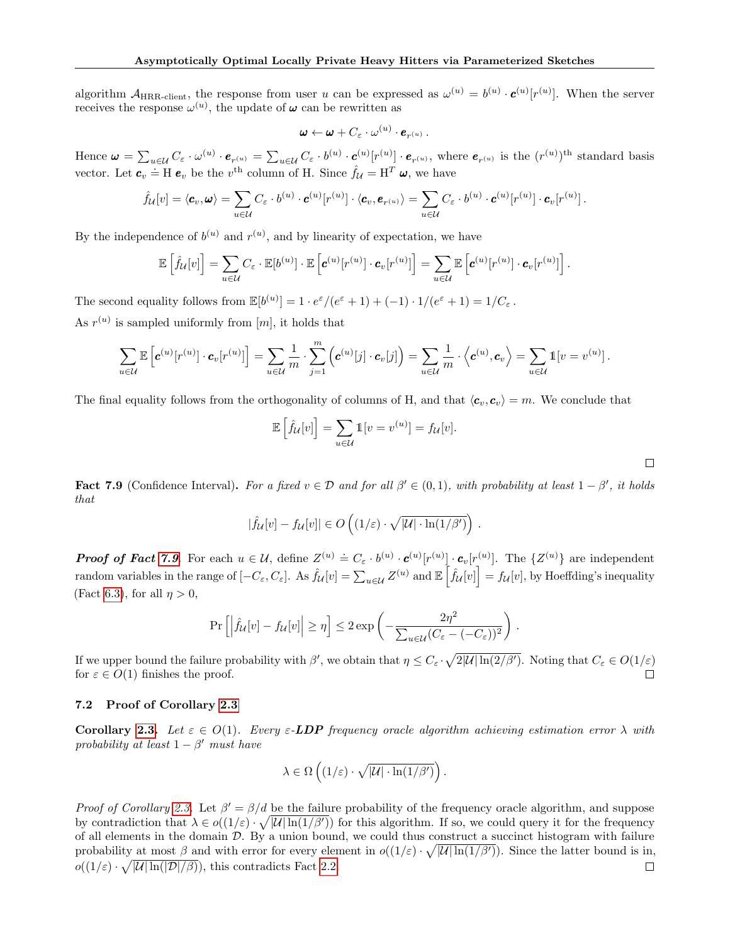algorithm  $A_{\text{HRR-client}}$ , the response from user u can be expressed as  $\omega^{(u)} = b^{(u)} \cdot c^{(u)}[r^{(u)}]$ . When the server receives the response  $\omega^{(u)}$ , the update of  $\omega$  can be rewritten as

$$
\boldsymbol{\omega} \leftarrow \boldsymbol{\omega} + C_{\varepsilon} \cdot \boldsymbol{\omega}^{(u)} \cdot \boldsymbol{e}_{r^{(u)}} \ .
$$

Hence  $\boldsymbol{\omega} = \sum_{u \in \mathcal{U}} C_{\varepsilon} \cdot \omega^{(u)} \cdot \boldsymbol{e}_{r^{(u)}} = \sum_{u \in \mathcal{U}} C_{\varepsilon} \cdot b^{(u)} \cdot \boldsymbol{c}^{(u)} [r^{(u)}] \cdot \boldsymbol{e}_{r^{(u)}},$  where  $\boldsymbol{e}_{r^{(u)}}$  is the  $(r^{(u)})^{\text{th}}$  standard basis vector. Let  $c_v = H e_v$  be the v<sup>th</sup> column of H. Since  $\hat{f}_u = H^T \omega$ , we have

$$
\hat{f}_{\mathcal{U}}[v] = \langle \mathbf{c}_v, \boldsymbol{\omega} \rangle = \sum_{u \in \mathcal{U}} C_{\varepsilon} \cdot b^{(u)} \cdot \mathbf{c}^{(u)}[r^{(u)}] \cdot \langle \mathbf{c}_v, \boldsymbol{e}_{r^{(u)}} \rangle = \sum_{u \in \mathcal{U}} C_{\varepsilon} \cdot b^{(u)} \cdot \mathbf{c}^{(u)}[r^{(u)}] \cdot \mathbf{c}_v[r^{(u)}].
$$

By the independence of  $b^{(u)}$  and  $r^{(u)}$ , and by linearity of expectation, we have

$$
\mathbb{E}\left[\hat{f}_{\mathcal{U}}[v]\right] = \sum_{u \in \mathcal{U}} C_{\varepsilon} \cdot \mathbb{E}[b^{(u)}] \cdot \mathbb{E}\left[\boldsymbol{c}^{(u)}[r^{(u)}] \cdot \boldsymbol{c}_v[r^{(u)}]\right] = \sum_{u \in \mathcal{U}} \mathbb{E}\left[\boldsymbol{c}^{(u)}[r^{(u)}] \cdot \boldsymbol{c}_v[r^{(u)}]\right].
$$

The second equality follows from  $\mathbb{E}[b^{(u)}] = 1 \cdot e^{\varepsilon}/(e^{\varepsilon} + 1) + (-1) \cdot 1/(e^{\varepsilon} + 1) = 1/C_{\varepsilon}$ . As  $r^{(u)}$  is sampled uniformly from [m], it holds that

$$
\sum_{u\in\mathcal{U}}\mathbb{E}\left[\boldsymbol{c}^{(u)}[r^{(u)}]\cdot\boldsymbol{c}_v[r^{(u)}]\right]=\sum_{u\in\mathcal{U}}\frac{1}{m}\cdot\sum_{j=1}^m\left(\boldsymbol{c}^{(u)}[j]\cdot\boldsymbol{c}_v[j]\right)=\sum_{u\in\mathcal{U}}\frac{1}{m}\cdot\left\langle\boldsymbol{c}^{(u)},\boldsymbol{c}_v\right\rangle=\sum_{u\in\mathcal{U}}\mathbb{1}[v=v^{(u)}].
$$

The final equality follows from the orthogonality of columns of H, and that  $\langle c_v, c_v \rangle = m$ . We conclude that

$$
\mathbb{E}\left[\hat{f}_{\mathcal{U}}[v]\right] = \sum_{u \in \mathcal{U}} \mathbb{1}[v = v^{(u)}] = f_{\mathcal{U}}[v].
$$

<span id="page-15-1"></span>Fact 7.9 (Confidence Interval). For a fixed  $v \in \mathcal{D}$  and for all  $\beta' \in (0,1)$ , with probability at least  $1-\beta'$ , it holds that

$$
|\hat{f}_{\mathcal{U}}[v] - f_{\mathcal{U}}[v]| \in O\left((1/\varepsilon) \cdot \sqrt{|\mathcal{U}| \cdot \ln(1/\beta')}\right).
$$

**Proof of Fact [7.9](#page-15-1).** For each  $u \in \mathcal{U}$ , define  $Z^{(u)} \doteq C_{\varepsilon} \cdot b^{(u)} \cdot \mathbf{c}^{(u)}[r^{(u)}] \cdot \mathbf{c}_v[r^{(u)}]$ . The  $\{Z^{(u)}\}$  are independent random variables in the range of  $[-C_{\varepsilon}, C_{\varepsilon}]$ . As  $\hat{f}_{\mathcal{U}}[v] = \sum_{u \in \mathcal{U}} Z^{(u)}$  and  $\mathbb{E} \left[ \hat{f}_{\mathcal{U}}[v] \right] = f_{\mathcal{U}}[v]$ , by Hoeffding's inequality (Fact [6.3\)](#page-10-1), for all  $n > 0$ ,

$$
\Pr\left[\left|\widehat{f}_{\mathcal{U}}[v] - f_{\mathcal{U}}[v]\right| \geq \eta\right] \leq 2 \exp\left(-\frac{2\eta^2}{\sum_{u \in \mathcal{U}}(C_{\varepsilon} - (-C_{\varepsilon}))^2}\right) .
$$

If we upper bound the failure probability with  $\beta'$ , we obtain that  $\eta \leq C_{\varepsilon} \cdot \sqrt{2|\mathcal{U}| \ln(2/\beta')}$ . Noting that  $C_{\varepsilon} \in O(1/\varepsilon)$ for  $\varepsilon \in O(1)$  finishes the proof. П

### <span id="page-15-0"></span>7.2 Proof of Corollary [2.3](#page-2-4)

Corollary [2.3.](#page-2-4) Let  $\varepsilon \in O(1)$ . Every  $\varepsilon$ -LDP frequency oracle algorithm achieving estimation error  $\lambda$  with probability at least  $1 - \beta'$  must have

$$
\lambda \in \Omega\left((1/\varepsilon)\cdot \sqrt{|\mathcal{U}|\cdot \ln(1/\beta')}\right).
$$

Proof of Corollary [2.3.](#page-2-4) Let  $\beta' = \beta/d$  be the failure probability of the frequency oracle algorithm, and suppose by contradiction that  $\lambda \in o((1/\varepsilon) \cdot \sqrt{|U| \ln(1/\beta')})$  for this algorithm. If so, we could query it for the frequency of all elements in the domain  $D$ . By a union bound, we could thus construct a succinct histogram with failure probability at most  $\beta$  and with error for every element in  $o((1/\varepsilon) \cdot \sqrt{|\mathcal{U}| \ln(1/\beta)})$ . Since the latter bound is in,  $o((1/\varepsilon) \cdot \sqrt{|\mathcal{U}| \ln(|\mathcal{D}|/\beta)})$ , this contradicts Fact [2.2.](#page-2-5)  $\Box$ 

 $\Box$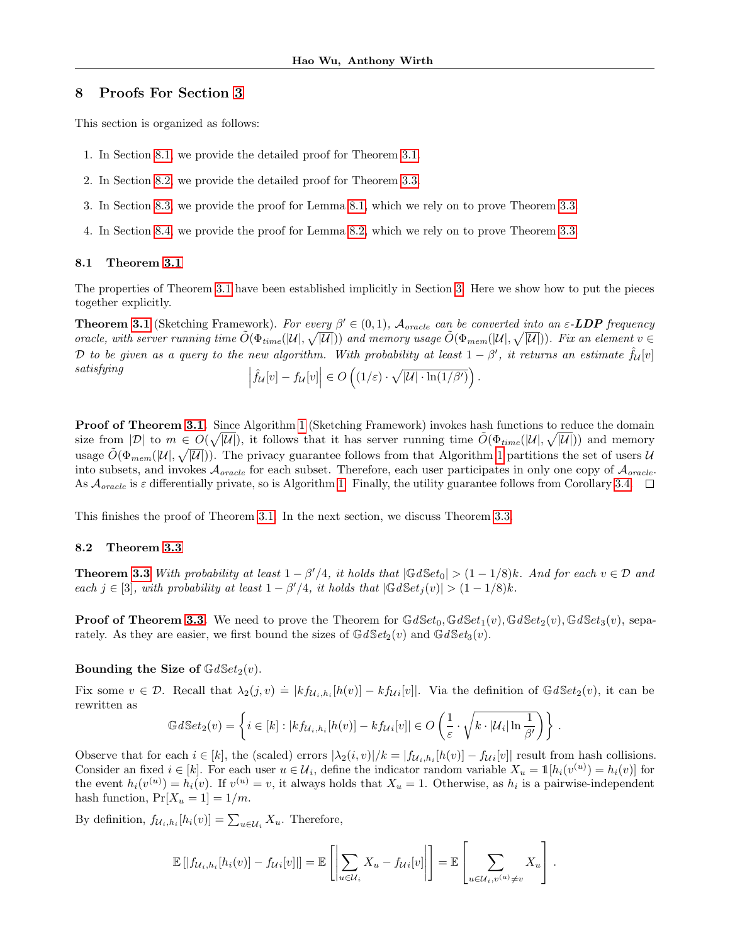# <span id="page-16-0"></span>8 Proofs For Section [3](#page-2-2)

This section is organized as follows:

- 1. In Section [8.1,](#page-16-1) we provide the detailed proof for Theorem [3.1.](#page-2-6)
- 2. In Section [8.2,](#page-16-2) we provide the detailed proof for Theorem [3.3.](#page-4-0)
- 3. In Section [8.3,](#page-18-0) we provide the proof for Lemma [8.1,](#page-18-1) which we rely on to prove Theorem [3.3.](#page-4-0)
- 4. In Section [8.4,](#page-20-0) we provide the proof for Lemma [8.2,](#page-18-2) which we rely on to prove Theorem [3.3.](#page-4-0)

#### <span id="page-16-1"></span>8.1 Theorem [3.1](#page-2-6)

The properties of Theorem [3.1](#page-2-6) have been established implicitly in Section [3.](#page-2-2) Here we show how to put the pieces together explicitly.

**Theorem [3.1](#page-2-6)** (Sketching Framework). For every  $\beta' \in (0,1)$ ,  $\mathcal{A}_{oracle}$  can be converted into an  $\varepsilon$ -**LDP** frequency oracle, with server running time  $\tilde{O}(\Phi_{time}(|\mathcal{U}|, \sqrt{|\mathcal{U}|}))$  and memory usage  $\tilde{O}(\Phi_{mem}(|\mathcal{U}|, \sqrt{|\mathcal{U}|}))$ . Fix an element  $v \in$ D to be given as a query to the new algorithm. With probability at least  $1-\beta'$ , it returns an estimate  $\hat{f}_{\mathcal{U}}[v]$ satisfying   $\left| \hat{f}_{\mathcal{U}}[v] - f_{\mathcal{U}}[v] \right| \in O\left( (1/\varepsilon) \cdot \sqrt{|\mathcal{U}| \cdot \ln(1/\beta')}\right).$ 

**Proof of Theorem [3.1.](#page-2-6)** Since Algorithm [1](#page-3-0) (Sketching Framework) invokes hash functions to reduce the domain size from  $|\mathcal{D}|$  to  $m \in O(\sqrt{|\mathcal{U}|})$ , it follows that it has server running time  $\tilde{O}(\Phi_{time}(|\mathcal{U}|, \sqrt{|\mathcal{U}|}))$  and memory usage  $\tilde{O}(\Phi_{mem}(|\mathcal{U}|, \sqrt{|\mathcal{U}|}))$ . The privacy guarantee follows from that Algorithm [1](#page-3-0) partitions the set of users  $\mathcal{U}$ into subsets, and invokes  $\mathcal{A}_{oracle}$  for each subset. Therefore, each user participates in only one copy of  $\mathcal{A}_{oracle}$ . As  $\mathcal{A}_{oracle}$  is  $\varepsilon$  differentially private, so is Algorithm [1.](#page-3-0) Finally, the utility guarantee follows from Corollary [3.4.](#page-4-1)  $\Box$ 

This finishes the proof of Theorem [3.1.](#page-2-6) In the next section, we discuss Theorem [3.3.](#page-4-0)

# <span id="page-16-2"></span>8.2 Theorem [3.3](#page-4-0)

**Theorem [3.3](#page-4-0)** With probability at least  $1 - \beta'/4$ , it holds that  $|\mathbb{G}dSet_0| > (1 - 1/8)k$ . And for each  $v \in \mathcal{D}$  and each  $j \in [3]$ , with probability at least  $1 - \beta'/4$ , it holds that  $|\mathbb{G}dSet_j(v)| > (1 - 1/8)k$ .

**Proof of Theorem [3.3.](#page-4-0)** We need to prove the Theorem for  $GdSet_0, GdSet_1(v)$ ,  $GdSet_2(v)$ ,  $GdSet_3(v)$ , separately. As they are easier, we first bound the sizes of  $GdSet<sub>2</sub>(v)$  and  $GdSet<sub>3</sub>(v)$ .

# Bounding the Size of  $\mathbb{G}dSet_2(v)$ .

Fix some  $v \in \mathcal{D}$ . Recall that  $\lambda_2(j, v) \doteq |kf_{\mathcal{U}_i, h_i}[h(v)] - kf_{\mathcal{U}_i}[v]|$ . Via the definition of  $\mathbb{G}dSet_2(v)$ , it can be rewritten as

$$
\mathbb{G}d\mathbb{S}et_2(v) = \left\{ i \in [k] : |kf_{\mathcal{U}_i,h_i}[h(v)] - kf_{\mathcal{U}_i}[v]| \in O\left(\frac{1}{\varepsilon} \cdot \sqrt{k \cdot |\mathcal{U}_i| \ln \frac{1}{\beta'}}\right) \right\}.
$$

Observe that for each  $i \in [k]$ , the (scaled) errors  $|\lambda_2(i, v)|/k = |f_{\mathcal{U}_i,h_i}[h(v)] - f_{\mathcal{U}_i}[v]|$  result from hash collisions. Consider an fixed  $i \in [k]$ . For each user  $u \in \mathcal{U}_i$ , define the indicator random variable  $X_u = \mathbb{1}[h_i(v^{(u)}) = h_i(v)]$  for the event  $h_i(v^{(u)}) = h_i(v)$ . If  $v^{(u)} = v$ , it always holds that  $X_u = 1$ . Otherwise, as  $h_i$  is a pairwise-independent hash function,  $Pr[X_u = 1] = 1/m$ .

By definition,  $f_{\mathcal{U}_i, h_i}[h_i(v)] = \sum_{u \in \mathcal{U}_i} X_u$ . Therefore,

$$
\mathbb{E}\left[\left|f_{\mathcal{U}_i,h_i}[h_i(v)]-f_{\mathcal{U}_i}[v]\right|\right]=\mathbb{E}\left[\left|\sum_{u\in\mathcal{U}_i}X_u-f_{\mathcal{U}_i}[v]\right|\right]=\mathbb{E}\left[\sum_{u\in\mathcal{U}_i,v^{(u)}\neq v}X_u\right].
$$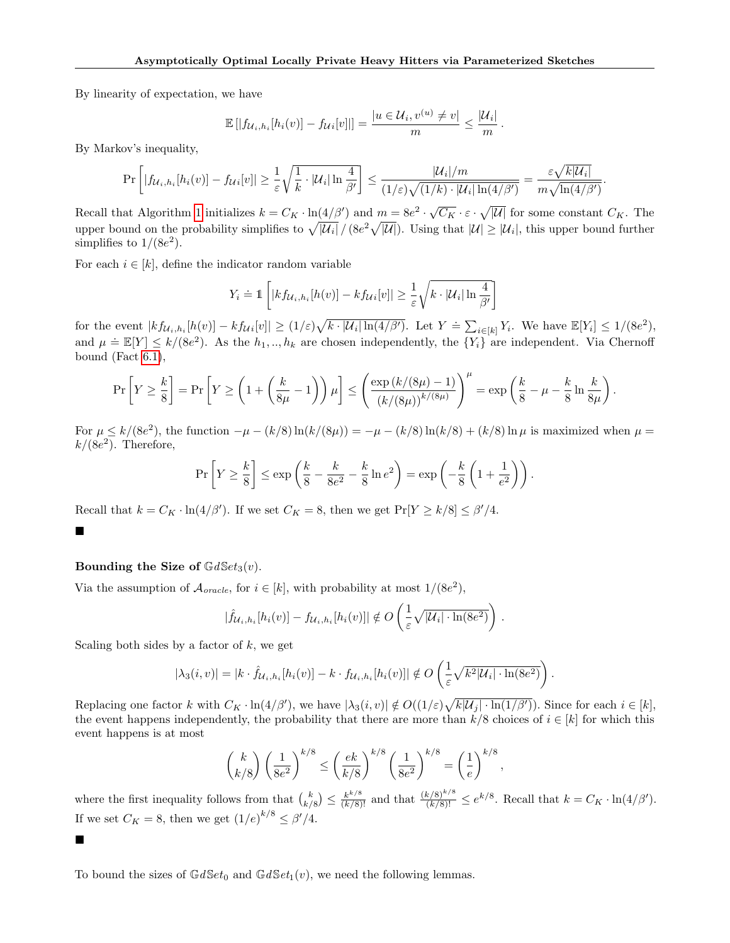By linearity of expectation, we have

$$
\mathbb{E}[|f_{\mathcal{U}_i,h_i}[h_i(v)] - f_{\mathcal{U}_i}[v]|] = \frac{|u \in \mathcal{U}_i, v^{(u)} \neq v|}{m} \leq \frac{|\mathcal{U}_i|}{m}.
$$

By Markov's inequality,

$$
\Pr\left[|f_{\mathcal{U}_i,h_i}[h_i(v)] - f_{\mathcal{U}_i}[v]| \geq \frac{1}{\varepsilon} \sqrt{\frac{1}{k} \cdot |\mathcal{U}_i| \ln \frac{4}{\beta'}}\right] \leq \frac{|\mathcal{U}_i|/m}{(1/\varepsilon)\sqrt{(1/k) \cdot |\mathcal{U}_i| \ln(4/\beta')}} = \frac{\varepsilon \sqrt{k|\mathcal{U}_i|}}{m\sqrt{\ln(4/\beta')}}.
$$

Recall that Algorithm [1](#page-3-0) initializes  $k = C_K \cdot \ln(4/\beta')$  and  $m = 8e^2 \cdot \sqrt{C_K} \cdot \varepsilon \cdot \sqrt{|\mathcal{U}|}$  for some constant  $C_K$ . The upper bound on the probability simplifies to  $\sqrt{|U_i|}/(8e^2\sqrt{|U|})$ . Using that  $|U| \geq |U_i|$ , this upper bound further simplifies to  $1/(8e^2)$ .

For each  $i \in [k]$ , define the indicator random variable

$$
Y_i \doteq 1 \left[ |k f_{\mathcal{U}_i, h_i}[h(v)] - k f_{\mathcal{U}_i}[v]| \geq \frac{1}{\varepsilon} \sqrt{k \cdot |\mathcal{U}_i| \ln \frac{4}{\beta'}} \right]
$$

for the event  $|kf_{\mathcal{U}_i,h_i}[h(v)] - kf_{\mathcal{U}_i}[v]| \geq (1/\varepsilon)\sqrt{k \cdot |\mathcal{U}_i| \ln(4/\beta')}$ . Let  $Y \doteq \sum_{i \in [k]} Y_i$ . We have  $\mathbb{E}[Y_i] \leq 1/(8e^2)$ , and  $\mu = \mathbb{E}[Y] \le k/(8e^2)$ . As the  $h_1, ..., h_k$  are chosen independently, the  $\{Y_i\}$  are independent. Via Chernoff bound (Fact  $6.1$ ),

$$
\Pr\left[Y \ge \frac{k}{8}\right] = \Pr\left[Y \ge \left(1 + \left(\frac{k}{8\mu} - 1\right)\right)\mu\right] \le \left(\frac{\exp\left(k/(8\mu) - 1\right)}{\left(k/(8\mu)\right)^{k/(8\mu)}}\right)^{\mu} = \exp\left(\frac{k}{8} - \mu - \frac{k}{8}\ln\frac{k}{8\mu}\right).
$$

For  $\mu \le k/(8e^2)$ , the function  $-\mu - (k/8) \ln(k/(8\mu)) = -\mu - (k/8) \ln(k/8) + (k/8) \ln \mu$  is maximized when  $\mu =$  $k/(8e^2)$ . Therefore,

$$
\Pr\left[Y \ge \frac{k}{8}\right] \le \exp\left(\frac{k}{8} - \frac{k}{8e^2} - \frac{k}{8}\ln e^2\right) = \exp\left(-\frac{k}{8}\left(1 + \frac{1}{e^2}\right)\right).
$$

Recall that  $k = C_K \cdot \ln(4/\beta')$ . If we set  $C_K = 8$ , then we get  $Pr[Y \ge k/8] \le \beta'/4$ .

# $\blacksquare$

 $\blacksquare$ 

# Bounding the Size of  $GdSet<sub>3</sub>(v)$ .

Via the assumption of  $\mathcal{A}_{oracle}$ , for  $i \in [k]$ , with probability at most  $1/(8e^2)$ ,

$$
|\hat{f}_{\mathcal{U}_i,h_i}[h_i(v)] - f_{\mathcal{U}_i,h_i}[h_i(v)]| \notin O\left(\frac{1}{\varepsilon}\sqrt{|\mathcal{U}_i| \cdot \ln(8e^2)}\right)
$$

.

Scaling both sides by a factor of  $k$ , we get

$$
|\lambda_3(i,v)| = |k \cdot \hat{f}_{\mathcal{U}_i,h_i}[h_i(v)] - k \cdot f_{\mathcal{U}_i,h_i}[h_i(v)]| \notin O\left(\frac{1}{\varepsilon}\sqrt{k^2|\mathcal{U}_i| \cdot \ln(8e^2)}\right).
$$

Replacing one factor k with  $C_K \cdot \ln(4/\beta')$ , we have  $|\lambda_3(i, v)| \notin O((1/\varepsilon)\sqrt{k|U_j| \cdot \ln(1/\beta')})$ . Since for each  $i \in [k]$ , the event happens independently, the probability that there are more than  $k/8$  choices of  $i \in [k]$  for which this event happens is at most

$$
\binom{k}{k/8}\left(\frac{1}{8e^2}\right)^{k/8} \le \left(\frac{ek}{k/8}\right)^{k/8}\left(\frac{1}{8e^2}\right)^{k/8} = \left(\frac{1}{e}\right)^{k/8},
$$

where the first inequality follows from that  $\binom{k}{k/8} \leq \frac{k^{k/8}}{(k/8)!}$  and that  $\frac{(k/8)^{k/8}}{(k/8)!} \leq e^{k/8}$ . Recall that  $k = C_K \cdot \ln(4/\beta')$ . If we set  $C_K = 8$ , then we get  $(1/e)^{k/8} \le \beta'/4$ .

To bound the sizes of  $GdSet_0$  and  $GdSet_1(v)$ , we need the following lemmas.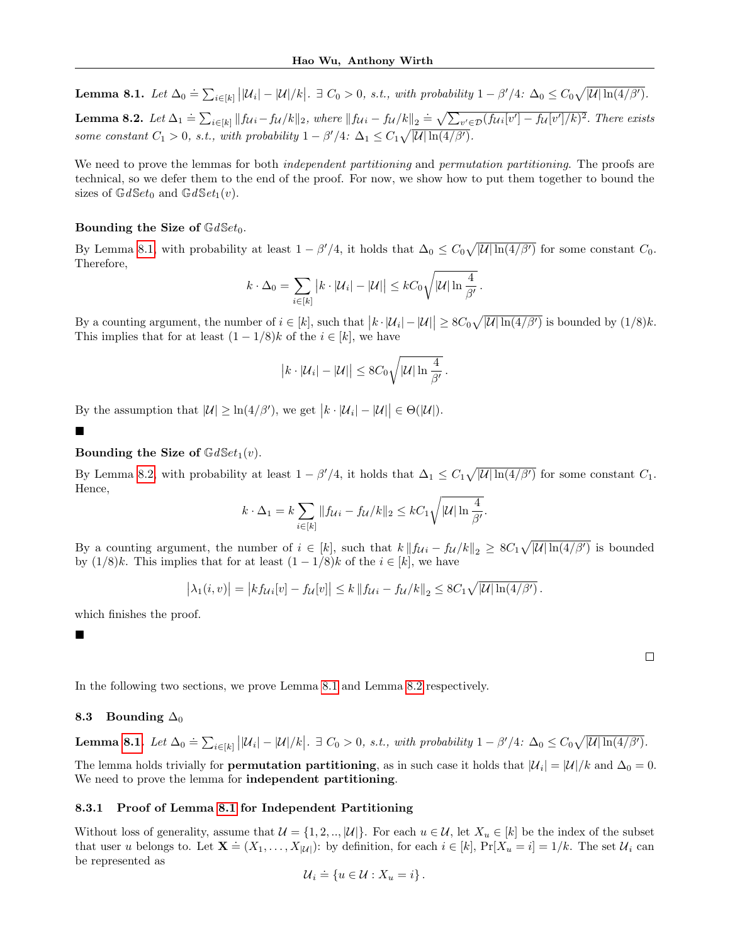<span id="page-18-2"></span><span id="page-18-1"></span>Lemma 8.1. Let  $\Delta_0 \doteq \sum_{i \in [k]} ||\mathcal{U}_i| - |\mathcal{U}|/k$ .  $\exists C_0 > 0$ , s.t., with probability  $1 - \beta'/4$ :  $\Delta_0 \leq C_0 \sqrt{|\mathcal{U}| \ln(4/\beta')}$ . **Lemma 8.2.** Let  $\Delta_1 \doteq \sum_{i \in [k]} ||f_{Ui} - f_{U}/k||_2$ , where  $||f_{Ui} - f_{U}/k||_2 \doteq \sqrt{\sum_{v' \in \mathcal{D}} (f_{Ui}[v'] - f_{U}[v']/k)^2}$ . There exists some constant  $C_1 > 0$ , s.t., with probability  $1 - \beta'/4$ :  $\Delta_1 \leq C_1 \sqrt{|\mathcal{U}| \ln(4/\beta')}$ .

We need to prove the lemmas for both *independent partitioning* and *permutation partitioning*. The proofs are technical, so we defer them to the end of the proof. For now, we show how to put them together to bound the sizes of  $GdSet_0$  and  $GdSet_1(v)$ .

### Bounding the Size of  $\mathbb{G}dSet_0$ .

By Lemma [8.1,](#page-18-1) with probability at least  $1 - \beta'/4$ , it holds that  $\Delta_0 \leq C_0 \sqrt{|\mathcal{U}| \ln(4/\beta')}$  for some constant  $C_0$ . Therefore,

$$
k \cdot \Delta_0 = \sum_{i \in [k]} |k \cdot |\mathcal{U}_i| - |\mathcal{U}|| \leq kC_0 \sqrt{|\mathcal{U}| \ln \frac{4}{\beta'}}.
$$

By a counting argument, the number of  $i \in [k]$ , such that  $|k \cdot |\mathcal{U}_i| - |\mathcal{U}| \ge 8C_0 \sqrt{|\mathcal{U}| \ln(4/\beta')}$  is bounded by  $(1/8)k$ . This implies that for at least  $(1 - 1/8)k$  of the  $i \in [k]$ , we have

$$
|k \cdot |\mathcal{U}_i| - |\mathcal{U}| \leq 8C_0 \sqrt{|\mathcal{U}| \ln \frac{4}{\beta'}}.
$$

By the assumption that  $|\mathcal{U}| \geq \ln(4/\beta')$ , we get  $|k \cdot |\mathcal{U}_i| - |\mathcal{U}| \in \Theta(|\mathcal{U}|)$ .

 $\blacksquare$ 

### Bounding the Size of  $\mathbb{G}dSet_1(v)$ .

By Lemma [8.2,](#page-18-2) with probability at least  $1 - \beta'/4$ , it holds that  $\Delta_1 \leq C_1 \sqrt{|\mathcal{U}| \ln(4/\beta')}$  for some constant  $C_1$ . Hence,

$$
k \cdot \Delta_1 = k \sum_{i \in [k]} \|f_{\mathcal{U}_i} - f_{\mathcal{U}}/k\|_2 \leq kC_1 \sqrt{|\mathcal{U}| \ln \frac{4}{\beta'}}.
$$

By a counting argument, the number of  $i \in [k]$ , such that  $k || f_{\mathcal{U}i} - f_{\mathcal{U}}/k ||_2 \geq 8C_1 \sqrt{|\mathcal{U}| \ln(4/\beta')}$  is bounded by  $(1/8)k$ . This implies that for at least  $(1 - 1/8)k$  of the  $i \in [k]$ , we have

$$
\left|\lambda_1(i,v)\right| = \left|k f_{\mathcal{U}}_i[v] - f_{\mathcal{U}}[v]\right| \leq k \left\|f_{\mathcal{U}}_i - f_{\mathcal{U}}/k\right\|_2 \leq 8C_1 \sqrt{|\mathcal{U}| \ln(4/\beta')}.
$$

which finishes the proof.

 $\blacksquare$ 

 $\Box$ 

In the following two sections, we prove Lemma [8.1](#page-18-1) and Lemma [8.2](#page-18-2) respectively.

# <span id="page-18-0"></span>8.3 Bounding  $\Delta_0$

**Lemma 8.1.** Let 
$$
\Delta_0 \doteq \sum_{i \in [k]} ||\mathcal{U}_i| - |\mathcal{U}|/k
$$
.  $\exists C_0 > 0$ , s.t., with probability  $1 - \beta'/4$ :  $\Delta_0 \leq C_0 \sqrt{|\mathcal{U}| \ln(4/\beta')}$ .

The lemma holds trivially for **permutation partitioning**, as in such case it holds that  $|\mathcal{U}_i| = |\mathcal{U}|/k$  and  $\Delta_0 = 0$ . We need to prove the lemma for independent partitioning.

# 8.3.1 Proof of Lemma [8.1](#page-18-1) for Independent Partitioning

Without loss of generality, assume that  $\mathcal{U} = \{1, 2, ..., |\mathcal{U}|\}$ . For each  $u \in \mathcal{U}$ , let  $X_u \in [k]$  be the index of the subset that user u belongs to. Let  $\mathbf{X} \doteq (X_1, \ldots, X_{|\mathcal{U}|})$ : by definition, for each  $i \in [k]$ ,  $\Pr[X_u = i] = 1/k$ . The set  $\mathcal{U}_i$  can be represented as

$$
\mathcal{U}_i \doteq \{ u \in \mathcal{U} : X_u = i \}.
$$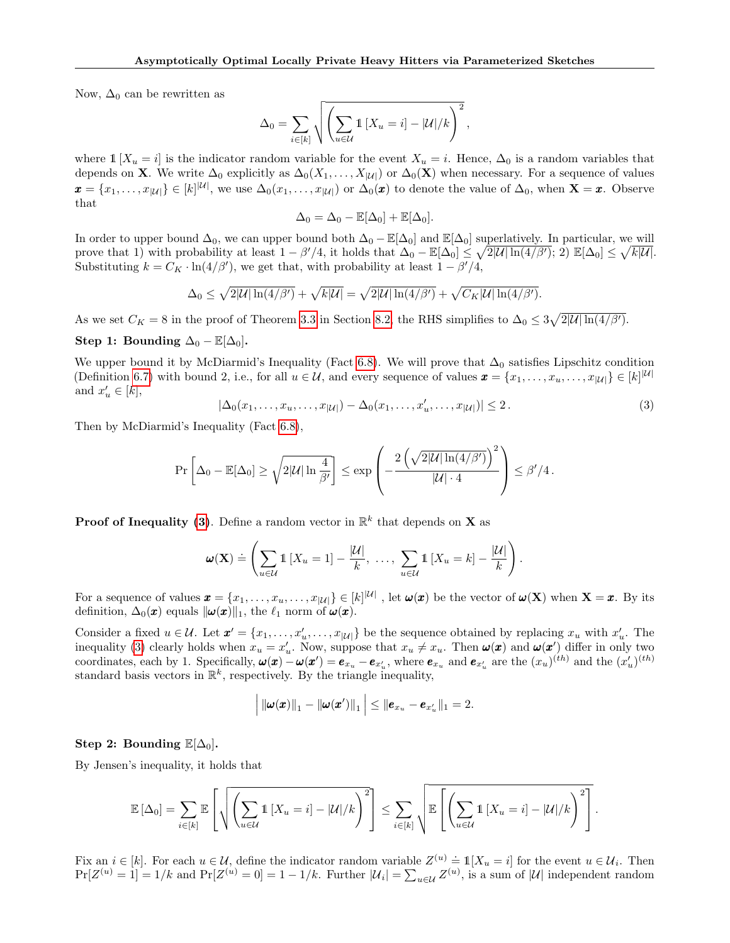Now,  $\Delta_0$  can be rewritten as

$$
\Delta_0 = \sum_{i \in [k]} \sqrt{\left(\sum_{u \in \mathcal{U}} \mathbb{1}\left[X_u = i\right] - |\mathcal{U}|/k\right)^2},
$$

where  $1 [X_u = i]$  is the indicator random variable for the event  $X_u = i$ . Hence,  $\Delta_0$  is a random variables that depends on **X**. We write  $\Delta_0$  explicitly as  $\Delta_0(X_1,\ldots,X_{|\mathcal{U}|})$  or  $\Delta_0(\mathbf{X})$  when necessary. For a sequence of values  $\mathbf{x} = \{x_1, \ldots, x_{|\mathcal{U}|}\} \in [k]^{|\mathcal{U}|}$ , we use  $\Delta_0(x_1, \ldots, x_{|\mathcal{U}|})$  or  $\Delta_0(\mathbf{x})$  to denote the value of  $\Delta_0$ , when  $\mathbf{X} = \mathbf{x}$ . Observe that

$$
\Delta_0 = \Delta_0 - \mathbb{E}[\Delta_0] + \mathbb{E}[\Delta_0].
$$

In order to upper bound  $\Delta_0$ , we can upper bound both  $\Delta_0 - \mathbb{E}[\Delta_0]$  and  $\mathbb{E}[\Delta_0]$  superlatively. In particular, we will prove that 1) with probability at least  $1 - \beta'/4$ , it holds that  $\Delta_0 - \mathbb{E}[\Delta_0] \leq \sqrt{2|\mathcal{U}| \ln(4/\beta')}$ ; 2)  $\mathbb{E}[\Delta_0] \leq \sqrt{k|\mathcal{U}|}$ . Substituting  $k = C_K \cdot \ln(4/\beta')$ , we get that, with probability at least  $1 - \beta'/4$ ,

$$
\Delta_0 \leq \sqrt{2|\mathcal{U}|\ln(4/\beta')} + \sqrt{k|\mathcal{U}|} = \sqrt{2|\mathcal{U}|\ln(4/\beta')} + \sqrt{C_K|\mathcal{U}|\ln(4/\beta')}.
$$

As we set  $C_K = 8$  in the proof of Theorem [3.3](#page-4-0) in Section [8.2,](#page-16-2) the RHS simplifies to  $\Delta_0 \leq 3\sqrt{2|\mathcal{U}|\ln(4/\beta')}$ .

Step 1: Bounding  $\Delta_0 - \mathbb{E}[\Delta_0]$ .

We upper bound it by McDiarmid's Inequality (Fact [6.8\)](#page-11-0). We will prove that  $\Delta_0$  satisfies Lipschitz condition (Definition [6.7\)](#page-11-1) with bound 2, i.e., for all  $u \in \mathcal{U}$ , and every sequence of values  $\boldsymbol{x} = \{x_1, \ldots, x_u, \ldots, x_{|\mathcal{U}|}\} \in [k]^{\mathcal{|U|}}$ and  $x'_u \in [k],$ 

<span id="page-19-0"></span>
$$
|\Delta_0(x_1,\ldots,x_u,\ldots,x_{|\mathcal{U}|}) - \Delta_0(x_1,\ldots,x_u',\ldots,x_{|\mathcal{U}|})| \le 2.
$$
 (3)

Then by McDiarmid's Inequality (Fact [6.8\)](#page-11-0),

$$
\Pr\left[\Delta_0 - \mathbb{E}[\Delta_0] \ge \sqrt{2|\mathcal{U}| \ln \frac{4}{\beta'}}\right] \le \exp\left(-\frac{2\left(\sqrt{2|\mathcal{U}| \ln(4/\beta')}\right)^2}{|\mathcal{U}| \cdot 4}\right) \le \beta'/4.
$$

**Proof of Inequality [\(3\)](#page-19-0)**. Define a random vector in  $\mathbb{R}^k$  that depends on **X** as

$$
\boldsymbol{\omega}(\mathbf{X}) \doteq \left( \sum_{u \in \mathcal{U}} \mathbb{1} \left[ X_u = 1 \right] - \frac{|\mathcal{U}|}{k}, \ \dots, \ \sum_{u \in \mathcal{U}} \mathbb{1} \left[ X_u = k \right] - \frac{|\mathcal{U}|}{k} \right).
$$

For a sequence of values  $\mathbf{x} = \{x_1, \ldots, x_u, \ldots, x_{|\mathcal{U}|}\} \in [k]^{|\mathcal{U}|}$  , let  $\omega(\mathbf{x})$  be the vector of  $\omega(\mathbf{X})$  when  $\mathbf{X} = \mathbf{x}$ . By its definition,  $\Delta_0(\mathbf{x})$  equals  $\|\boldsymbol{\omega}(\mathbf{x})\|_1$ , the  $\ell_1$  norm of  $\boldsymbol{\omega}(\mathbf{x})$ .

Consider a fixed  $u \in \mathcal{U}$ . Let  $\mathbf{x}' = \{x_1, \ldots, x'_u, \ldots, x_{|\mathcal{U}|}\}\)$  be the sequence obtained by replacing  $x_u$  with  $x'_u$ . The inequality [\(3\)](#page-19-0) clearly holds when  $x_u = x'_u$ . Now, suppose that  $x_u \neq x_u$ . Then  $\omega(x)$  and  $\omega(x')$  differ in only two coordinates, each by 1. Specifically,  $\boldsymbol{\omega}(\boldsymbol{x}) - \boldsymbol{\omega}(\boldsymbol{x}') = \boldsymbol{e}_{x_u} - \boldsymbol{e}_{x_u'}$ , where  $\boldsymbol{e}_{x_u}$  and  $\boldsymbol{e}_{x_u'}$  are the  $(x_u)^{(th)}$  and the  $(x_u')^{(th)}$ standard basis vectors in  $\mathbb{R}^k$ , respectively. By the triangle inequality,

$$
\left| \|\boldsymbol{\omega}(\boldsymbol{x})\|_1 - \|\boldsymbol{\omega}(\boldsymbol{x}')\|_1 \right| \leq \|\boldsymbol{e}_{x_u} - \boldsymbol{e}_{x_u'}\|_1 = 2.
$$

Step 2: Bounding  $\mathbb{E}[\Delta_0]$ .

By Jensen's inequality, it holds that

$$
\mathbb{E}\left[\Delta_0\right] = \sum_{i \in [k]} \mathbb{E}\left[\sqrt{\left(\sum_{u \in \mathcal{U}} \mathbb{1}\left[X_u = i\right] - |\mathcal{U}|/k\right)^2}\right] \leq \sum_{i \in [k]} \sqrt{\mathbb{E}\left[\left(\sum_{u \in \mathcal{U}} \mathbb{1}\left[X_u = i\right] - |\mathcal{U}|/k\right)^2\right]}.
$$

Fix an  $i \in [k]$ . For each  $u \in \mathcal{U}$ , define the indicator random variable  $Z^{(u)} \doteq \mathbb{1}[X_u = i]$  for the event  $u \in \mathcal{U}_i$ . Then  $Pr[Z^{(u)} = 1] = 1/k$  and  $Pr[Z^{(u)} = 0] = 1 - 1/k$ . Further  $|\mathcal{U}_i| = \sum_{u \in \mathcal{U}} Z^{(u)}$ , is a sum of  $|\mathcal{U}|$  independent random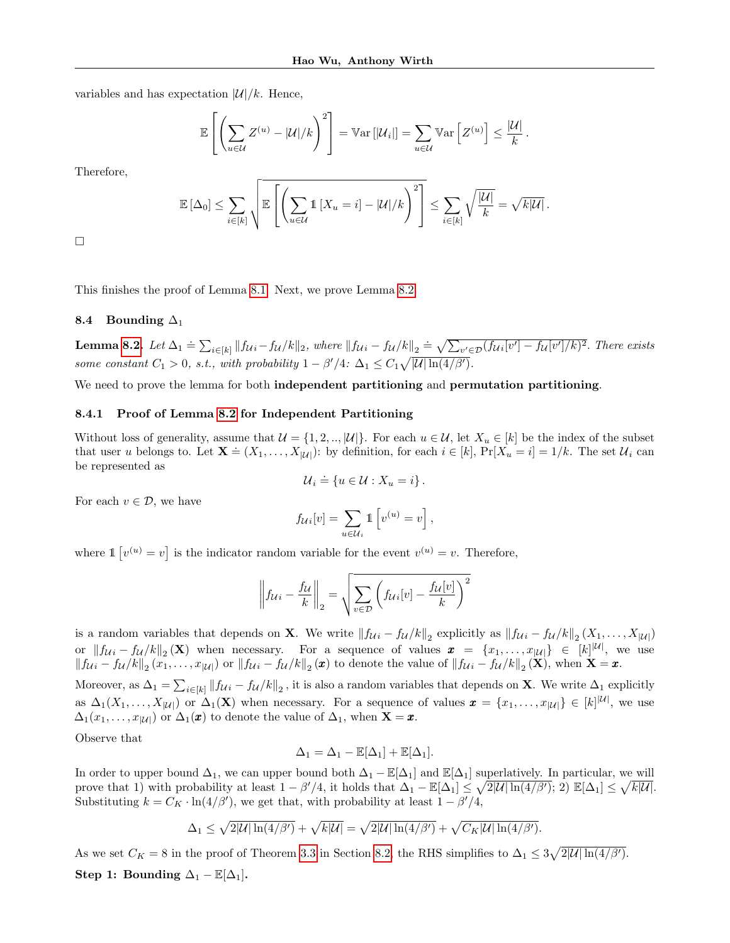variables and has expectation  $|\mathcal{U}|/k$ . Hence,

$$
\mathbb{E}\left[\left(\sum_{u\in\mathcal{U}}Z^{(u)}-|\mathcal{U}|/k\right)^2\right]=\mathbb{V}\mathrm{ar}\left[|\mathcal{U}_i|\right]=\sum_{u\in\mathcal{U}}\mathbb{V}\mathrm{ar}\left[Z^{(u)}\right]\leq\frac{|\mathcal{U}|}{k}.
$$

Therefore,

$$
\mathbb{E}[\Delta_0] \leq \sum_{i \in [k]} \sqrt{\mathbb{E}\left[\left(\sum_{u \in \mathcal{U}} \mathbb{1}\left[X_u = i\right] - |\mathcal{U}|/k\right)^2\right]} \leq \sum_{i \in [k]} \sqrt{\frac{|\mathcal{U}|}{k}} = \sqrt{k|\mathcal{U}|}.
$$

 $\Box$ 

This finishes the proof of Lemma [8.1.](#page-18-1) Next, we prove Lemma [8.2.](#page-18-2)

# <span id="page-20-0"></span>8.4 Bounding  $\Delta_1$

**Lemma [8.2.](#page-18-2)** Let  $\Delta_1 = \sum_{i \in [k]} ||f_{Ui} - f_{U}/k||_2$ , where  $||f_{Ui} - f_{U}/k||_2 = \sqrt{\sum_{v' \in \mathcal{D}} (f_{Ui}[v'] - f_{U}[v']/k)^2}$ . There exists some constant  $C_1 > 0$ , s.t., with probability  $1 - \beta'/4$ :  $\Delta_1 \leq C_1 \sqrt{|\mathcal{U}| \ln(4/\beta')}$ .

We need to prove the lemma for both independent partitioning and permutation partitioning.

# 8.4.1 Proof of Lemma [8.2](#page-18-2) for Independent Partitioning

Without loss of generality, assume that  $\mathcal{U} = \{1, 2, \ldots | \mathcal{U} | \}$ . For each  $u \in \mathcal{U}$ , let  $X_u \in [k]$  be the index of the subset that user u belongs to. Let  $\mathbf{X} \doteq (X_1, \ldots, X_{|\mathcal{U}|})$ : by definition, for each  $i \in [k]$ ,  $\Pr[X_u = i] = 1/k$ . The set  $\mathcal{U}_i$  can be represented as

$$
\mathcal{U}_i \doteq \{ u \in \mathcal{U} : X_u = i \}.
$$

For each  $v \in \mathcal{D}$ , we have

$$
f_{\mathcal{U}i}[v] = \sum_{u \in \mathcal{U}_i} \mathbb{1} \left[ v^{(u)} = v \right],
$$

where  $\mathbb{1} [v^{(u)} = v]$  is the indicator random variable for the event  $v^{(u)} = v$ . Therefore,

$$
\left\|f_{\mathcal{U}i} - \frac{f_{\mathcal{U}}}{k}\right\|_2 = \sqrt{\sum_{v \in \mathcal{D}} \left(f_{\mathcal{U}i}[v] - \frac{f_{\mathcal{U}}[v]}{k}\right)^2}
$$

is a random variables that depends on **X**. We write  $||f_{Ui} - f_{U}/k||_2$  explicitly as  $||f_{Ui} - f_{U}/k||_2 (X_1, \ldots, X_{|U|})$ or  $||f_{U_i} - f_U /k||_2(\mathbf{X})$  when necessary. For a sequence of values  $\mathbf{x} = \{x_1, \ldots, x_{|U|}\} \in [k]^{|U|}$ , we use  $||f_{\mathcal{U}i} - f_{\mathcal{U}}/k||_2(x_1,\ldots,x_{|\mathcal{U}|})$  or  $||f_{\mathcal{U}i} - f_{\mathcal{U}}/k||_2(\bm{x})$  to denote the value of  $||f_{\mathcal{U}i} - f_{\mathcal{U}}/k||_2(\bm{X})$ , when  $\bm{X} = \bm{x}$ .

Moreover, as  $\Delta_1 = \sum_{i \in [k]} ||f_{\mathcal{U}i} - f_{\mathcal{U}}/k||_2$ , it is also a random variables that depends on **X**. We write  $\Delta_1$  explicitly as  $\Delta_1(X_1,\ldots,X_{|\mathcal{U}|})$  or  $\Delta_1(\mathbf{X})$  when necessary. For a sequence of values  $\boldsymbol{x} = \{x_1,\ldots,x_{|\mathcal{U}|}\} \in [k]^{|\mathcal{U}|}$ , we use  $\Delta_1(x_1,\ldots,x_{|\mathcal{U}|})$  or  $\Delta_1(\pmb{x})$  to denote the value of  $\Delta_1$ , when  $\mathbf{X} = \pmb{x}$ .

Observe that

$$
\Delta_1 = \Delta_1 - \mathbb{E}[\Delta_1] + \mathbb{E}[\Delta_1].
$$

In order to upper bound  $\Delta_1$ , we can upper bound both  $\Delta_1 - \mathbb{E}[\Delta_1]$  and  $\mathbb{E}[\Delta_1]$  superlatively. In particular, we will prove that 1) with probability at least  $1 - \beta'/4$ , it holds that  $\Delta_1 - \mathbb{E}[\Delta_1] \leq \sqrt{2|\mathcal{U}| \ln(4/\beta')}$ ; 2)  $\mathbb{E}[\Delta_1] \leq \sqrt{k|\mathcal{U}|}$ . Substituting  $k = C_K \cdot \ln(4/\beta')$ , we get that, with probability at least  $1 - \beta'/4$ ,

$$
\Delta_1 \leq \sqrt{2|\mathcal{U}|\ln(4/\beta')} + \sqrt{k|\mathcal{U}|} = \sqrt{2|\mathcal{U}|\ln(4/\beta')} + \sqrt{C_K|\mathcal{U}|\ln(4/\beta')}.
$$

As we set  $C_K = 8$  in the proof of Theorem [3.3](#page-4-0) in Section [8.2,](#page-16-2) the RHS simplifies to  $\Delta_1 \leq 3\sqrt{2|\mathcal{U}|\ln(4/\beta')}$ . Step 1: Bounding  $\Delta_1 - \mathbb{E}[\Delta_1]$ .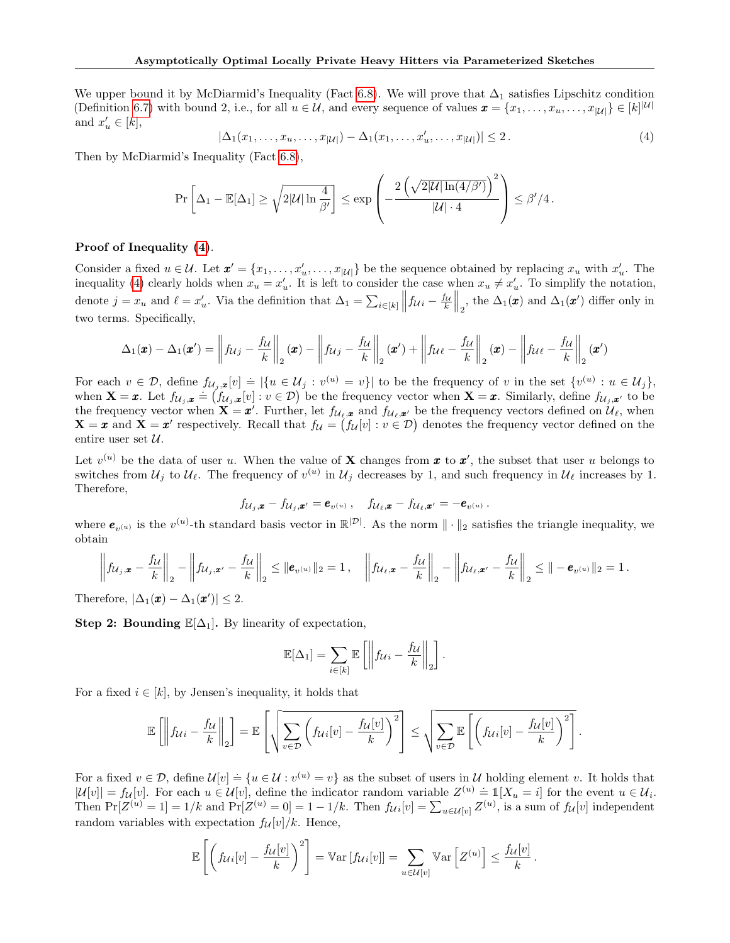We upper bound it by McDiarmid's Inequality (Fact [6.8\)](#page-11-0). We will prove that  $\Delta_1$  satisfies Lipschitz condition (Definition [6.7\)](#page-11-1) with bound 2, i.e., for all  $u \in \mathcal{U}$ , and every sequence of values  $\boldsymbol{x} = \{x_1, \ldots, x_u, \ldots, x_{|\mathcal{U}|}\} \in [k]^{\mathcal{|U|}}$ and  $x'_u \in [k],$ 

<span id="page-21-0"></span>
$$
|\Delta_1(x_1,\ldots,x_u,\ldots,x_{|\mathcal{U}|}) - \Delta_1(x_1,\ldots,x'_u,\ldots,x_{|\mathcal{U}|})| \le 2.
$$
\n(4)

Then by McDiarmid's Inequality (Fact [6.8\)](#page-11-0),

$$
\Pr\left[\Delta_1 - \mathbb{E}[\Delta_1] \ge \sqrt{2|\mathcal{U}| \ln \frac{4}{\beta'}}\right] \le \exp\left(-\frac{2\left(\sqrt{2|\mathcal{U}| \ln(4/\beta')}\right)^2}{|\mathcal{U}| \cdot 4}\right) \le \beta'/4.
$$

# Proof of Inequality [\(4\)](#page-21-0).

Consider a fixed  $u \in \mathcal{U}$ . Let  $\mathbf{x}' = \{x_1, \ldots, x'_u, \ldots, x_{|\mathcal{U}|}\}\)$  be the sequence obtained by replacing  $x_u$  with  $x'_u$ . The inequality [\(4\)](#page-21-0) clearly holds when  $x_u = x'_u$ . It is left to consider the case when  $x_u \neq x'_u$ . To simplify the notation, denote  $j = x_u$  and  $\ell = x'_u$ . Via the definition that  $\Delta_1 = \sum_{i \in [k]} ||f_{\mathcal{U}_i} - \frac{f_{\mathcal{U}}}{k}||_2$ , the  $\Delta_1(\mathbf{x})$  and  $\Delta_1(\mathbf{x}')$  differ only in two terms. Specifically,

$$
\Delta_1(\boldsymbol{x}) - \Delta_1(\boldsymbol{x}') = \left\| f_{\mathcal{U}j} - \frac{f_{\mathcal{U}}}{k} \right\|_2 (\boldsymbol{x}) - \left\| f_{\mathcal{U}j} - \frac{f_{\mathcal{U}}}{k} \right\|_2 (\boldsymbol{x}') + \left\| f_{\mathcal{U}\ell} - \frac{f_{\mathcal{U}}}{k} \right\|_2 (\boldsymbol{x}) - \left\| f_{\mathcal{U}\ell} - \frac{f_{\mathcal{U}}}{k} \right\|_2 (\boldsymbol{x}')
$$

For each  $v \in \mathcal{D}$ , define  $f_{\mathcal{U}_j,\mathbf{x}}[v] \doteq \left|\{u \in \mathcal{U}_j : v^{(u)} = v\}\right|$  to be the frequency of v in the set  $\{v^{(u)} : u \in \mathcal{U}_j\}$ , when  $\mathbf{X} = \mathbf{x}$ . Let  $f_{\mathcal{U}_j, \mathbf{x}}[v] = f(\mathbf{x} \in \mathcal{U}_j)$ .  $v = v_j$  be the frequency vector when  $\mathbf{X} = \mathbf{x}$ . Similarly, define  $f_{\mathcal{U}_j, \mathbf{x}'}$  to be the frequency vector when  $\mathbf{X} = \mathbf{x}'$ . Further, let  $f_{\mathcal{U}_{\ell},\mathbf{x}}$  and  $f_{\mathcal{U}_{\ell},\mathbf{x}'}$  be the frequency vectors defined on  $\mathcal{U}_{\ell}$ , when  $X = x$  and  $X = x'$  respectively. Recall that  $f_{\mathcal{U}} = (f_{\mathcal{U}}[v] : v \in \mathcal{D})$  denotes the frequency vector defined on the entire user set  $\mathcal{U}$ .

Let  $v^{(u)}$  be the data of user u. When the value of **X** changes from **x** to **x'**, the subset that user u belongs to switches from  $\mathcal{U}_j$  to  $\mathcal{U}_\ell$ . The frequency of  $v^{(u)}$  in  $\mathcal{U}_j$  decreases by 1, and such frequency in  $\mathcal{U}_\ell$  increases by 1. Therefore,

$$
f_{\mathcal{U}_j,\boldsymbol{x}}-f_{\mathcal{U}_j,\boldsymbol{x}'}=\boldsymbol{e}_{v^{(u)}}\,,\quad f_{\mathcal{U}_\ell,\boldsymbol{x}}-f_{\mathcal{U}_\ell,\boldsymbol{x}'}=-\boldsymbol{e}_{v^{(u)}}\,.
$$

where  $e_{v^{(u)}}$  is the  $v^{(u)}$ -th standard basis vector in  $\mathbb{R}^{|\mathcal{D}|}$ . As the norm  $\|\cdot\|_2$  satisfies the triangle inequality, we obtain

$$
\left\|f_{\mathcal{U}_{j},\boldsymbol{x}}-\frac{f_{\mathcal{U}}}{k}\right\|_{2}-\left\|f_{\mathcal{U}_{j},\boldsymbol{x}'}-\frac{f_{\mathcal{U}}}{k}\right\|_{2}\leq\|\boldsymbol{e}_{v^{(u)}}\|_{2}=1, \quad \left\|f_{\mathcal{U}_{\ell},\boldsymbol{x}}-\frac{f_{\mathcal{U}}}{k}\right\|_{2}-\left\|f_{\mathcal{U}_{\ell},\boldsymbol{x}'}-\frac{f_{\mathcal{U}}}{k}\right\|_{2}\leq\|\boldsymbol{-\boldsymbol{e}}_{v^{(u)}}\|_{2}=1.
$$

Therefore,  $|\Delta_1(\pmb{x}) - \Delta_1(\pmb{x}')| \leq 2$ .

Step 2: Bounding  $\mathbb{E}[\Delta_1]$ . By linearity of expectation,

$$
\mathbb{E}[\Delta_1] = \sum_{i \in [k]} \mathbb{E}\left[\left\|f_{\mathcal{U}i} - \frac{f_{\mathcal{U}}}{k}\right\|_2\right].
$$

For a fixed  $i \in [k]$ , by Jensen's inequality, it holds that

$$
\mathbb{E}\left[\left\|f_{\mathcal{U}i} - \frac{f_{\mathcal{U}}}{k}\right\|_{2}\right] = \mathbb{E}\left[\sqrt{\sum_{v \in \mathcal{D}}\left(f_{\mathcal{U}i}[v] - \frac{f_{\mathcal{U}}[v]}{k}\right)^{2}}\right] \leq \sqrt{\sum_{v \in \mathcal{D}}\mathbb{E}\left[\left(f_{\mathcal{U}i}[v] - \frac{f_{\mathcal{U}}[v]}{k}\right)^{2}\right]}
$$

.

For a fixed  $v \in \mathcal{D}$ , define  $\mathcal{U}[v] \doteq \{u \in \mathcal{U} : v^{(u)} = v\}$  as the subset of users in U holding element v. It holds that  $|\mathcal{U}[v]| = f_{\mathcal{U}}[v]$ . For each  $u \in \mathcal{U}[v]$ , define the indicator random variable  $Z^{(u)} \doteq \mathbb{1}[X_u = i]$  for the event  $u \in \mathcal{U}_i$ . Then  $Pr[Z^{(u)} = 1] = 1/k$  and  $Pr[Z^{(u)} = 0] = 1 - 1/k$ . Then  $f_{\mathcal{U}}[v] = \sum_{u \in \mathcal{U}[v]} Z^{(u)}$ , is a sum of  $f_{\mathcal{U}}[v]$  independent random variables with expectation  $f_{\mathcal{U}}[v]/k$ . Hence,

$$
\mathbb{E}\left[\left(f_{\mathcal{U}i}[v] - \frac{f_{\mathcal{U}}[v]}{k}\right)^2\right] = \mathbb{V}\text{ar}\left[f_{\mathcal{U}i}[v]\right] = \sum_{u \in \mathcal{U}[v]} \mathbb{V}\text{ar}\left[Z^{(u)}\right] \leq \frac{f_{\mathcal{U}}[v]}{k}.
$$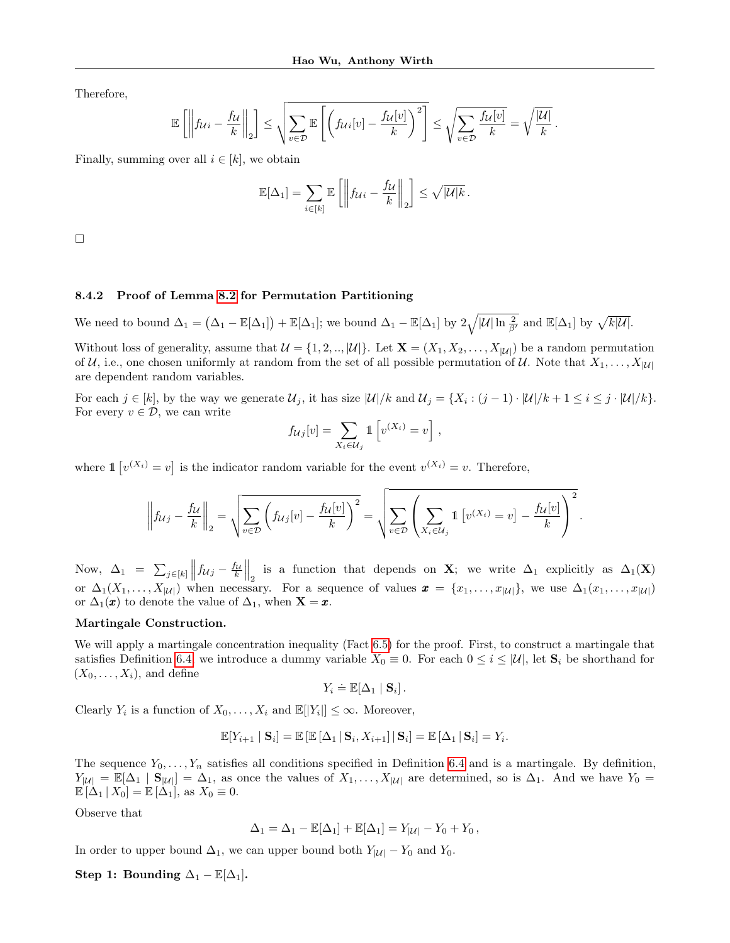Therefore,

$$
\mathbb{E}\left[\left\|f_{\mathcal{U}i}-\frac{f_{\mathcal{U}}}{k}\right\|_2\right] \leq \sqrt{\sum_{v\in\mathcal{D}}\mathbb{E}\left[\left(f_{\mathcal{U}i}[v]-\frac{f_{\mathcal{U}}[v]}{k}\right)^2\right]} \leq \sqrt{\sum_{v\in\mathcal{D}}\frac{f_{\mathcal{U}}[v]}{k}} = \sqrt{\frac{|\mathcal{U}|}{k}}.
$$

Finally, summing over all  $i \in [k]$ , we obtain

$$
\mathbb{E}[\Delta_1] = \sum_{i \in [k]} \mathbb{E}\left[\left\|f_{\mathcal{U}i} - \frac{f_{\mathcal{U}}}{k}\right\|_2\right] \leq \sqrt{|\mathcal{U}|k}.
$$

 $\Box$ 

### 8.4.2 Proof of Lemma [8.2](#page-18-2) for Permutation Partitioning

We need to bound  $\Delta_1 = (\Delta_1 - \mathbb{E}[\Delta_1]) + \mathbb{E}[\Delta_1]$ ; we bound  $\Delta_1 - \mathbb{E}[\Delta_1]$  by  $2\sqrt{|\mathcal{U}| \ln \frac{2}{\beta'}}$  and  $\mathbb{E}[\Delta_1]$  by  $\sqrt{k|\mathcal{U}|}$ .

Without loss of generality, assume that  $\mathcal{U} = \{1, 2, \dots, |\mathcal{U}|\}$ . Let  $\mathbf{X} = (X_1, X_2, \dots, X_{|\mathcal{U}|})$  be a random permutation of U, i.e., one chosen uniformly at random from the set of all possible permutation of U. Note that  $X_1, \ldots, X_{|\mathcal{U}|}$ are dependent random variables.

For each  $j \in [k]$ , by the way we generate  $\mathcal{U}_j$ , it has size  $|\mathcal{U}|/k$  and  $\mathcal{U}_j = \{X_i : (j-1) \cdot |\mathcal{U}|/k + 1 \le i \le j \cdot |\mathcal{U}|/k\}$ . For every  $v \in \mathcal{D}$ , we can write

$$
f_{\mathcal{U}j}[v] = \sum_{X_i \in \mathcal{U}_j} \mathbb{1}\left[v^{(X_i)} = v\right],
$$

where  $\mathbb{1} [v^{(X_i)} = v]$  is the indicator random variable for the event  $v^{(X_i)} = v$ . Therefore,

$$
\left\|f_{\mathcal{U}j} - \frac{f_{\mathcal{U}}}{k}\right\|_2 = \sqrt{\sum_{v \in \mathcal{D}} \left(f_{\mathcal{U}j}[v] - \frac{f_{\mathcal{U}}[v]}{k}\right)^2} = \sqrt{\sum_{v \in \mathcal{D}} \left(\sum_{X_i \in \mathcal{U}_j} \mathbb{1}\left[v^{(X_i)} = v\right] - \frac{f_{\mathcal{U}}[v]}{k}\right)^2}.
$$

Now,  $\Delta_1 = \sum_{j \in [k]} ||f_{Uj} - \frac{f_U}{k}||_2$  is a function that depends on **X**; we write  $\Delta_1$  explicitly as  $\Delta_1(\mathbf{X})$ or  $\Delta_1(X_1,\ldots,X_{|\mathcal{U}|})$  when necessary. For a sequence of values  $\boldsymbol{x} = \{x_1,\ldots,x_{|\mathcal{U}|}\},$  we use  $\Delta_1(x_1,\ldots,x_{|\mathcal{U}|})$ or  $\Delta_1(\boldsymbol{x})$  to denote the value of  $\Delta_1$ , when  $\mathbf{X} = \boldsymbol{x}$ .

#### Martingale Construction.

We will apply a martingale concentration inequality (Fact [6.5\)](#page-11-2) for the proof. First, to construct a martingale that satisfies Definition [6.4,](#page-10-3) we introduce a dummy variable  $X_0 \equiv 0$ . For each  $0 \leq i \leq |\mathcal{U}|$ , let  $\mathbf{S}_i$  be shorthand for  $(X_0, \ldots, X_i)$ , and define

$$
Y_i \doteq \mathbb{E}[\Delta_1 | \mathbf{S}_i].
$$

Clearly  $Y_i$  is a function of  $X_0, \ldots, X_i$  and  $\mathbb{E}[|Y_i|] \leq \infty$ . Moreover,

$$
\mathbb{E}[Y_{i+1} | \mathbf{S}_i] = \mathbb{E}[\mathbb{E}[\Delta_1 | \mathbf{S}_i, X_{i+1}] | \mathbf{S}_i] = \mathbb{E}[\Delta_1 | \mathbf{S}_i] = Y_i.
$$

The sequence  $Y_0, \ldots, Y_n$  satisfies all conditions specified in Definition [6.4](#page-10-3) and is a martingale. By definition,  $Y_{|\mathcal{U}|} = \mathbb{E}[\Delta_1 | S_{|\mathcal{U}|}] = \Delta_1$ , as once the values of  $X_1, \ldots, X_{|\mathcal{U}|}$  are determined, so is  $\Delta_1$ . And we have  $Y_0 =$  $\mathbb{E}[\Delta_1 | X_0] = \mathbb{E}[\Delta_1],$  as  $X_0 \equiv 0.$ 

Observe that

$$
\Delta_1 = \Delta_1 - \mathbb{E}[\Delta_1] + \mathbb{E}[\Delta_1] = Y_{|\mathcal{U}|} - Y_0 + Y_0,
$$

In order to upper bound  $\Delta_1$ , we can upper bound both  $Y_{|\mathcal{U}|} - Y_0$  and  $Y_0$ .

Step 1: Bounding  $\Delta_1 - \mathbb{E}[\Delta_1]$ .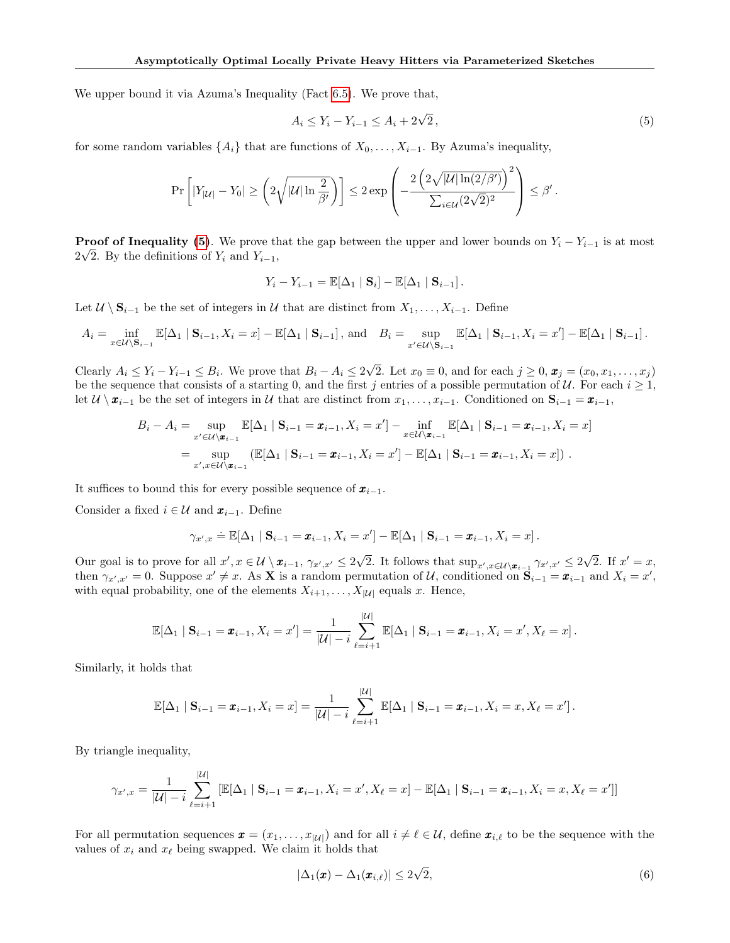We upper bound it via Azuma's Inequality (Fact [6.5\)](#page-11-2). We prove that,

<span id="page-23-0"></span>
$$
A_i \le Y_i - Y_{i-1} \le A_i + 2\sqrt{2},\tag{5}
$$

for some random variables  $\{A_i\}$  that are functions of  $X_0, \ldots, X_{i-1}$ . By Azuma's inequality,

$$
\Pr\left[|Y_{|\mathcal{U}|} - Y_0| \ge \left(2\sqrt{|\mathcal{U}|\ln\frac{2}{\beta'}}\right)\right] \le 2\exp\left(-\frac{2\left(2\sqrt{|\mathcal{U}|\ln(2/\beta')}\right)^2}{\sum_{i\in\mathcal{U}}(2\sqrt{2})^2}\right) \le \beta'.
$$

**Proof of Inequality [\(5\)](#page-23-0)**. We prove that the gap between the upper and lower bounds on  $Y_i - Y_{i-1}$  is at most  $2\sqrt{2}$ . By the definitions of  $Y_i$  and  $Y_{i-1}$ ,

$$
Y_i - Y_{i-1} = \mathbb{E}[\Delta_1 | \mathbf{S}_i] - \mathbb{E}[\Delta_1 | \mathbf{S}_{i-1}].
$$

Let  $\mathcal{U} \setminus \mathbf{S}_{i-1}$  be the set of integers in  $\mathcal{U}$  that are distinct from  $X_1, \ldots, X_{i-1}$ . Define

$$
A_i = \inf_{x \in \mathcal{U} \setminus \mathbf{S}_{i-1}} \mathbb{E}[\Delta_1 \mid \mathbf{S}_{i-1}, X_i = x] - \mathbb{E}[\Delta_1 \mid \mathbf{S}_{i-1}], \text{ and } B_i = \sup_{x' \in \mathcal{U} \setminus \mathbf{S}_{i-1}} \mathbb{E}[\Delta_1 \mid \mathbf{S}_{i-1}, X_i = x'] - \mathbb{E}[\Delta_1 \mid \mathbf{S}_{i-1}].
$$

Clearly  $A_i \leq Y_i - Y_{i-1} \leq B_i$ . We prove that  $B_i - A_i \leq 2$ √ 2. Let  $x_0 \equiv 0$ , and for each  $j \geq 0$ ,  $\mathbf{x}_j = (x_0, x_1, \dots, x_j)$ be the sequence that consists of a starting 0, and the first j entries of a possible permutation of U. For each  $i \ge 1$ , let  $U \setminus x_{i-1}$  be the set of integers in U that are distinct from  $x_1, \ldots, x_{i-1}$ . Conditioned on  $S_{i-1} = x_{i-1}$ ,

$$
B_i - A_i = \sup_{x' \in \mathcal{U} \setminus \mathbf{x}_{i-1}} \mathbb{E}[\Delta_1 | \mathbf{S}_{i-1} = \mathbf{x}_{i-1}, X_i = x'] - \inf_{x \in \mathcal{U} \setminus \mathbf{x}_{i-1}} \mathbb{E}[\Delta_1 | \mathbf{S}_{i-1} = \mathbf{x}_{i-1}, X_i = x]
$$
  
= 
$$
\sup_{x', x \in \mathcal{U} \setminus \mathbf{x}_{i-1}} (\mathbb{E}[\Delta_1 | \mathbf{S}_{i-1} = \mathbf{x}_{i-1}, X_i = x'] - \mathbb{E}[\Delta_1 | \mathbf{S}_{i-1} = \mathbf{x}_{i-1}, X_i = x]) .
$$

It suffices to bound this for every possible sequence of  $x_{i-1}$ .

Consider a fixed  $i \in \mathcal{U}$  and  $\boldsymbol{x}_{i-1}$ . Define

$$
\gamma_{x',x} \doteq \mathbb{E}[\Delta_1 \mid \mathbf{S}_{i-1} = \pmb{x}_{i-1}, X_i = x'] - \mathbb{E}[\Delta_1 \mid \mathbf{S}_{i-1} = \pmb{x}_{i-1}, X_i = x].
$$

Our goal is to prove for all  $x', x \in \mathcal{U} \setminus \mathbf{x}_{i-1}, \gamma_{x',x'} \leq 2$ √ 2. It follows that  $\sup_{x',x\in\mathcal{U}\setminus\mathbf{x}_{i-1}} \gamma_{x',x'} \leq 2$ √  $\overline{2}$ . If  $x' = x$ , then  $\gamma_{x',x'} = 0$ . Suppose  $x' \neq x$ . As **X** is a random permutation of U, conditioned on  $\mathbf{S}_{i-1} = \mathbf{x}_{i-1}$  and  $X_i = x'$ , with equal probability, one of the elements  $X_{i+1}, \ldots, X_{|\mathcal{U}|}$  equals x. Hence,

$$
\mathbb{E}[\Delta_1 | \mathbf{S}_{i-1} = \pmb{x}_{i-1}, X_i = x'] = \frac{1}{|\mathcal{U}| - i} \sum_{\ell=i+1}^{|\mathcal{U}|} \mathbb{E}[\Delta_1 | \mathbf{S}_{i-1} = \pmb{x}_{i-1}, X_i = x', X_\ell = x].
$$

Similarly, it holds that

$$
\mathbb{E}[\Delta_1 | \mathbf{S}_{i-1} = \pmb{x}_{i-1}, X_i = x] = \frac{1}{|\mathcal{U}| - i} \sum_{\ell=i+1}^{|\mathcal{U}|} \mathbb{E}[\Delta_1 | \mathbf{S}_{i-1} = \pmb{x}_{i-1}, X_i = x, X_{\ell} = x'].
$$

By triangle inequality,

$$
\gamma_{x',x} = \frac{1}{|\mathcal{U}| - i} \sum_{\ell=i+1}^{|\mathcal{U}|} [\mathbb{E}[\Delta_1 | \mathbf{S}_{i-1} = \pmb{x}_{i-1}, X_i = x', X_\ell = x] - \mathbb{E}[\Delta_1 | \mathbf{S}_{i-1} = \pmb{x}_{i-1}, X_i = x, X_\ell = x']]
$$

For all permutation sequences  $\boldsymbol{x} = (x_1, \ldots, x_{|\mathcal{U}|})$  and for all  $i \neq \ell \in \mathcal{U}$ , define  $\boldsymbol{x}_{i,\ell}$  to be the sequence with the values of  $x_i$  and  $x_\ell$  being swapped. We claim it holds that

<span id="page-23-1"></span>
$$
|\Delta_1(\pmb{x}) - \Delta_1(\pmb{x}_{i,\ell})| \le 2\sqrt{2},\tag{6}
$$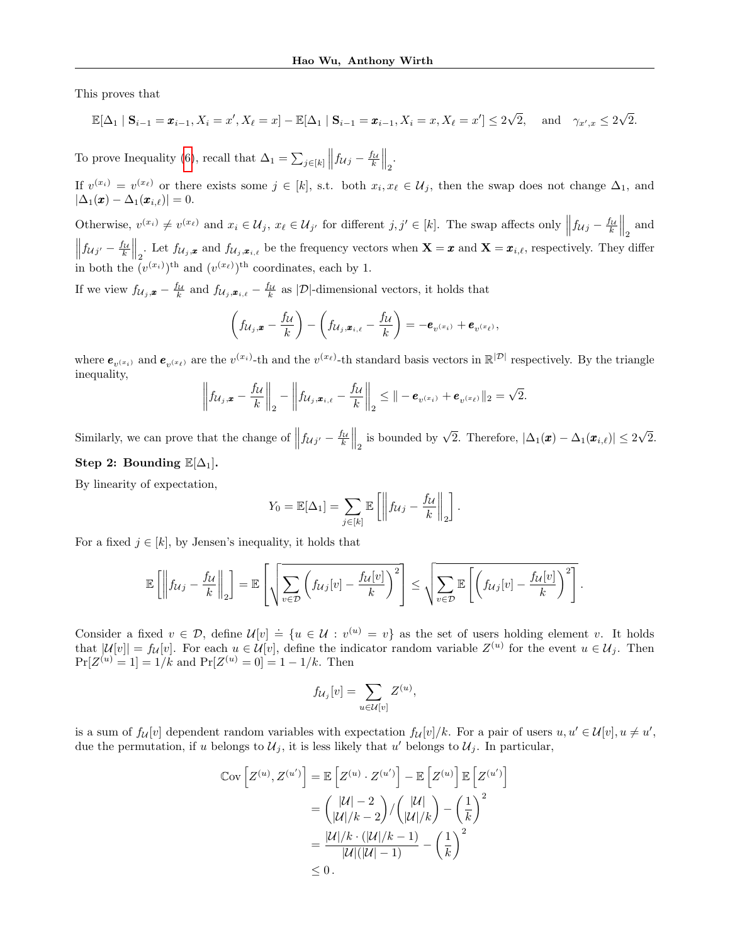This proves that

$$
\mathbb{E}[\Delta_1 \mid \mathbf{S}_{i-1} = \pmb{x}_{i-1}, X_i = x', X_\ell = x] - \mathbb{E}[\Delta_1 \mid \mathbf{S}_{i-1} = \pmb{x}_{i-1}, X_i = x, X_\ell = x'] \le 2\sqrt{2}, \text{ and } \gamma_{x',x} \le 2\sqrt{2}.
$$

To prove Inequality [\(6\)](#page-23-1), recall that  $\Delta_1 = \sum_{j \in [k]} ||f_{\mathcal{U}j} - \frac{f_{\mathcal{U}}}{k}||_2$ .

If  $v^{(x_i)} = v^{(x_\ell)}$  or there exists some  $j \in [k]$ , s.t. both  $x_i, x_\ell \in \mathcal{U}_j$ , then the swap does not change  $\Delta_1$ , and  $|\Delta_1(\boldsymbol{x}) - \Delta_1(\boldsymbol{x}_{i,\ell})| = 0.$ 

Otherwise,  $v^{(x_i)} \neq v^{(x_\ell)}$  and  $x_i \in \mathcal{U}_j$ ,  $x_\ell \in \mathcal{U}_{j'}$  for different  $j, j' \in [k]$ . The swap affects only  $\left\|f_{\mathcal{U}j} - \frac{f_{\mathcal{U}}}{k}\right\|_2$  and  $\left\|f_{\mathcal{U}j'}-\frac{f_{\mathcal{U}}}{k}\right\|_2$ . Let  $f_{\mathcal{U}_j,\mathbf{x}}$  and  $f_{\mathcal{U}_j,\mathbf{x}_{i,\ell}}$  be the frequency vectors when  $\mathbf{X}=\mathbf{x}$  and  $\mathbf{X}=\mathbf{x}_{i,\ell}$ , respectively. They differ in both the  $(v^{(x_i)})^{\text{th}}$  and  $(v^{(x_\ell)})^{\text{th}}$  coordinates, each by 1.

If we view  $f_{\mathcal{U}_j,\mathbf{x}} - \frac{f_{\mathcal{U}}}{k}$  and  $f_{\mathcal{U}_j,\mathbf{x}_{i,\ell}} - \frac{f_{\mathcal{U}}}{k}$  as |D|-dimensional vectors, it holds that

$$
\left(f_{\mathcal{U}_j,\boldsymbol{x}}-\frac{f_{\mathcal{U}}}{k}\right)-\left(f_{\mathcal{U}_j,\boldsymbol{x}_{i,\ell}}-\frac{f_{\mathcal{U}}}{k}\right)=-\boldsymbol{e}_{v^{(x_i)}}+\boldsymbol{e}_{v^{(x_\ell)}},
$$

where  $e_{v^{(x_i)}}$  and  $e_{v^{(x_\ell)}}$  are the  $v^{(x_i)}$ -th and the  $v^{(x_\ell)}$ -th standard basis vectors in  $\mathbb{R}^{|\mathcal{D}|}$  respectively. By the triangle inequality,

$$
\left\|f_{\mathcal{U}_j,\boldsymbol{x}}-\frac{f_{\mathcal{U}}}{k}\right\|_2-\left\|f_{\mathcal{U}_j,\boldsymbol{x}_{i,\ell}}-\frac{f_{\mathcal{U}}}{k}\right\|_2\leq\|\boldsymbol{-e}_{v^{(x_i)}}+\boldsymbol{e}_{v^{(x_\ell)}}\|_2=\sqrt{2}.
$$

Similarly, we can prove that the change of  $||f_{\mathcal{U}j'} - \frac{f_{\mathcal{U}}}{k}||_2$  is bounded by  $\sqrt{2}$ . Therefore,  $|\Delta_1(\pmb{x}) - \Delta_1(\pmb{x}_{i,\ell})| \leq 2$ √ 2. Step 2: Bounding  $\mathbb{E}[\Delta_1]$ .

By linearity of expectation,

$$
Y_0 = \mathbb{E}[\Delta_1] = \sum_{j \in [k]} \mathbb{E}\left[\left\|f_{\mathcal{U}j} - \frac{f_{\mathcal{U}}}{k}\right\|_2\right]
$$

.

For a fixed  $j \in [k]$ , by Jensen's inequality, it holds that

$$
\mathbb{E}\left[\left\|f_{\mathcal{U}j}-\frac{f_{\mathcal{U}}}{k}\right\|_2\right]=\mathbb{E}\left[\sqrt{\sum_{v\in\mathcal{D}}\left(f_{\mathcal{U}j}[v]-\frac{f_{\mathcal{U}}[v]}{k}\right)^2}\right]\leq\sqrt{\sum_{v\in\mathcal{D}}\mathbb{E}\left[\left(f_{\mathcal{U}j}[v]-\frac{f_{\mathcal{U}}[v]}{k}\right)^2\right]}.
$$

Consider a fixed  $v \in \mathcal{D}$ , define  $\mathcal{U}[v] \doteq \{u \in \mathcal{U} : v^{(u)} = v\}$  as the set of users holding element v. It holds that  $|\mathcal{U}[v]| = f_{\mathcal{U}}[v]$ . For each  $u \in \mathcal{U}[v]$ , define the indicator random variable  $Z^{(u)}$  for the event  $u \in \mathcal{U}_j$ . Then  $Pr[Z^{(u)} = 1] = 1/k$  and  $Pr[Z^{(u)} = 0] = 1 - 1/k$ . Then

$$
f_{\mathcal{U}_j}[v] = \sum_{u \in \mathcal{U}[v]} Z^{(u)},
$$

is a sum of  $f_{\mathcal{U}}[v]$  dependent random variables with expectation  $f_{\mathcal{U}}[v]/k$ . For a pair of users  $u, u' \in \mathcal{U}[v], u \neq u'$ , due the permutation, if u belongs to  $\mathcal{U}_j$ , it is less likely that u' belongs to  $\mathcal{U}_j$ . In particular,

$$
\begin{aligned} \mathbb{C}\text{ov}\left[Z^{(u)}, Z^{(u')}\right] &= \mathbb{E}\left[Z^{(u)} \cdot Z^{(u')}\right] - \mathbb{E}\left[Z^{(u)}\right] \mathbb{E}\left[Z^{(u')}\right] \\ &= \binom{|\mathcal{U}| - 2}{|\mathcal{U}|/k - 2} / \binom{|\mathcal{U}|}{|\mathcal{U}|/k} - \left(\frac{1}{k}\right)^2 \\ &= \frac{|\mathcal{U}|/k \cdot (|\mathcal{U}|/k - 1)}{|\mathcal{U}|(|\mathcal{U}| - 1)} - \left(\frac{1}{k}\right)^2 \\ &\leq 0 \,. \end{aligned}
$$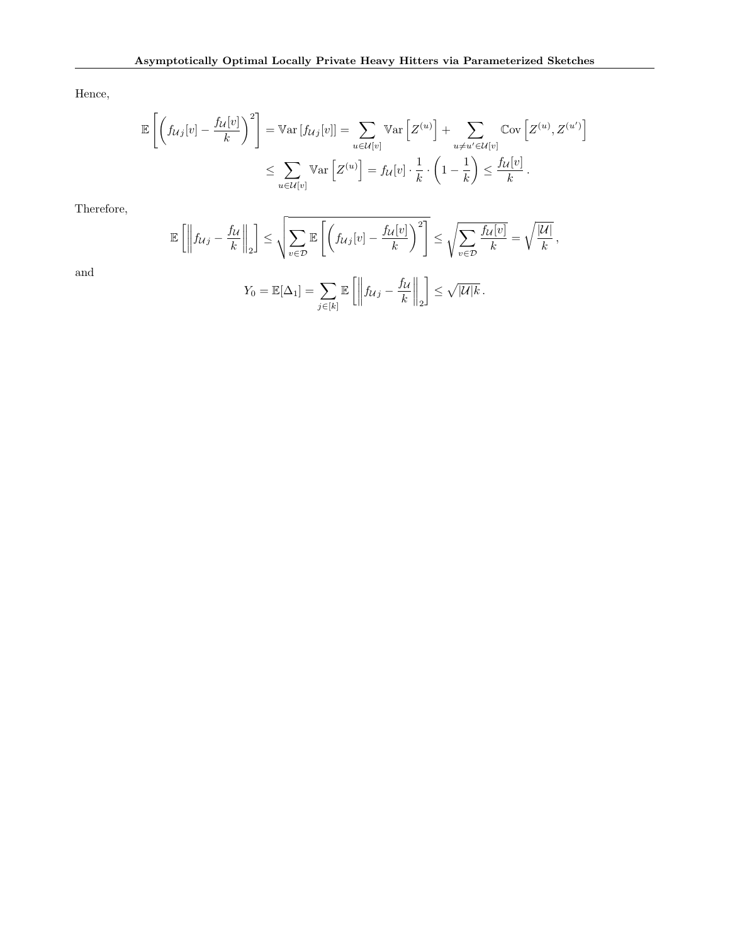Hence,

$$
\mathbb{E}\left[\left(f_{\mathcal{U}j}[v] - \frac{f_{\mathcal{U}}[v]}{k}\right)^2\right] = \mathbb{V}\text{ar}\left[f_{\mathcal{U}j}[v]\right] = \sum_{u \in \mathcal{U}[v]} \mathbb{V}\text{ar}\left[Z^{(u)}\right] + \sum_{u \neq u' \in \mathcal{U}[v]} \mathbb{C}\text{ov}\left[Z^{(u)}, Z^{(u')}\right]
$$

$$
\leq \sum_{u \in \mathcal{U}[v]} \mathbb{V}\text{ar}\left[Z^{(u)}\right] = f_{\mathcal{U}}[v] \cdot \frac{1}{k} \cdot \left(1 - \frac{1}{k}\right) \leq \frac{f_{\mathcal{U}}[v]}{k}.
$$

Therefore,

$$
\mathbb{E}\left[\left\|f_{\mathcal{U}j}-\frac{f_{\mathcal{U}}}{k}\right\|_{2}\right] \leq \sqrt{\sum_{v\in\mathcal{D}}\mathbb{E}\left[\left(f_{\mathcal{U}j}[v]-\frac{f_{\mathcal{U}}[v]}{k}\right)^{2}\right]} \leq \sqrt{\sum_{v\in\mathcal{D}}\frac{f_{\mathcal{U}}[v]}{k}} = \sqrt{\frac{|\mathcal{U}|}{k}},
$$

and

$$
Y_0 = \mathbb{E}[\Delta_1] = \sum_{j \in [k]} \mathbb{E}\left[\left\|f_{\mathcal{U}j} - \frac{f_{\mathcal{U}}}{k}\right\|_2\right] \leq \sqrt{|\mathcal{U}|k}.
$$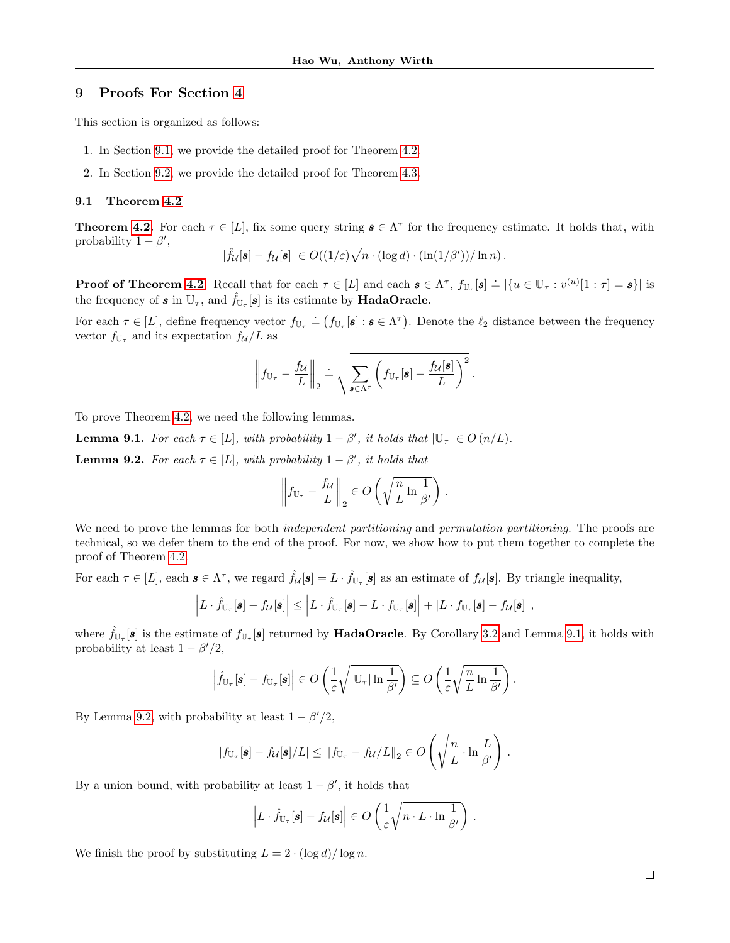# <span id="page-26-0"></span>9 Proofs For Section [4](#page-5-0)

This section is organized as follows:

- 1. In Section [9.1,](#page-26-1) we provide the detailed proof for Theorem [4.2.](#page-6-1)
- 2. In Section [9.2,](#page-31-0) we provide the detailed proof for Theorem [4.3.](#page-6-0)

### <span id="page-26-1"></span>9.1 Theorem [4.2](#page-6-1)

**Theorem [4.2.](#page-6-1)** For each  $\tau \in [L]$ , fix some query string  $s \in \Lambda^{\tau}$  for the frequency estimate. It holds that, with probability  $1 - \beta'$ ,

$$
|\widehat{f}_{\mathcal{U}}[\pmb{s}] - f_{\mathcal{U}}[\pmb{s}]| \in O((1/\varepsilon)\sqrt{n\cdot(\log d)\cdot(\ln(1/\beta'))/\ln n}).
$$

**Proof of Theorem [4.2.](#page-6-1)** Recall that for each  $\tau \in [L]$  and each  $\mathbf{s} \in \Lambda^{\tau}$ ,  $f_{\mathbb{U}_{\tau}}[\mathbf{s}] \doteq \{u \in \mathbb{U}_{\tau} : v^{(u)}[1:\tau] = \mathbf{s}\}\$  is the frequency of  $s$  in  $\mathbb{U}_{\tau}$ , and  $\hat{f}_{\mathbb{U}_{\tau}}[s]$  is its estimate by **HadaOracle**.

For each  $\tau \in [L]$ , define frequency vector  $f_{\mathbb{U}_{\tau}} \doteq (f_{\mathbb{U}_{\tau}}[\mathbf{s}] : \mathbf{s} \in \Lambda^{\tau})$ . Denote the  $\ell_2$  distance between the frequency vector  $f_{\mathbb{U}_{\tau}}$  and its expectation  $f_{\mathcal{U}}/L$  as

$$
\left\|f_{\mathbb{U}_{\tau}} - \frac{f_{\mathcal{U}}}{L}\right\|_2 = \sqrt{\sum_{\mathbf{s} \in \Lambda^{\tau}} \left(f_{\mathbb{U}_{\tau}}[\mathbf{s}] - \frac{f_{\mathcal{U}}[\mathbf{s}]}{L}\right)^2}.
$$

To prove Theorem [4.2,](#page-6-1) we need the following lemmas.

<span id="page-26-3"></span><span id="page-26-2"></span>**Lemma 9.1.** For each  $\tau \in [L]$ , with probability  $1 - \beta'$ , it holds that  $|\mathbb{U}_{\tau}| \in O(n/L)$ . **Lemma 9.2.** For each  $\tau \in [L]$ , with probability  $1 - \beta'$ , it holds that

$$
\left\|f_{\mathbb{U}_{\tau}} - \frac{f_{\mathcal{U}}}{L}\right\|_2 \in O\left(\sqrt{\frac{n}{L} \ln \frac{1}{\beta'}}\right).
$$

We need to prove the lemmas for both *independent partitioning* and *permutation partitioning*. The proofs are technical, so we defer them to the end of the proof. For now, we show how to put them together to complete the proof of Theorem [4.2.](#page-6-1)

For each  $\tau \in [L]$ , each  $\mathbf{s} \in \Lambda^{\tau}$ , we regard  $\hat{f}_{\mathcal{U}}[\mathbf{s}] = L \cdot \hat{f}_{\mathbb{U}_{\tau}}[\mathbf{s}]$  as an estimate of  $f_{\mathcal{U}}[\mathbf{s}]$ . By triangle inequality,

$$
\left| L \cdot \hat{f}_{\mathbb{U}_{\tau}}[\mathbf{s}] - f_{\mathcal{U}}[\mathbf{s}] \right| \leq \left| L \cdot \hat{f}_{\mathbb{U}_{\tau}}[\mathbf{s}] - L \cdot f_{\mathbb{U}_{\tau}}[\mathbf{s}] \right| + \left| L \cdot f_{\mathbb{U}_{\tau}}[\mathbf{s}] - f_{\mathcal{U}}[\mathbf{s}] \right|,
$$

where  $\hat{f}_{\mathbb{U}_\tau}[\mathbf{s}]$  is the estimate of  $f_{\mathbb{U}_\tau}[\mathbf{s}]$  returned by **HadaOracle**. By Corollary [3.2](#page-3-2) and Lemma [9.1,](#page-26-2) it holds with probability at least  $1 - \beta'/2$ ,

$$
\left|\widehat{f}_{\mathbb{U}_{\tau}}[\mathbf{s}]-f_{\mathbb{U}_{\tau}}[\mathbf{s}]\right|\in O\left(\frac{1}{\varepsilon}\sqrt{\left|\mathbb{U}_{\tau}\right|\ln\frac{1}{\beta'}}\right)\subseteq O\left(\frac{1}{\varepsilon}\sqrt{\frac{n}{L}\ln\frac{1}{\beta'}}\right).
$$

By Lemma [9.2,](#page-26-3) with probability at least  $1 - \beta'/2$ ,

$$
|f_{\mathbb{U}_{\tau}}[\mathbf{s}] - f_{\mathcal{U}}[\mathbf{s}]/L| \leq ||f_{\mathbb{U}_{\tau}} - f_{\mathcal{U}}/L||_2 \in O\left(\sqrt{\frac{n}{L} \cdot \ln \frac{L}{\beta'}}\right).
$$

By a union bound, with probability at least  $1 - \beta'$ , it holds that

$$
\left| L \cdot \hat{f}_{\mathbb{U}_{\tau}}[\mathbf{s}] - f_{\mathcal{U}}[\mathbf{s}] \right| \in O\left( \frac{1}{\varepsilon} \sqrt{n \cdot L \cdot \ln \frac{1}{\beta'}} \right) .
$$

We finish the proof by substituting  $L = 2 \cdot (\log d)/\log n$ .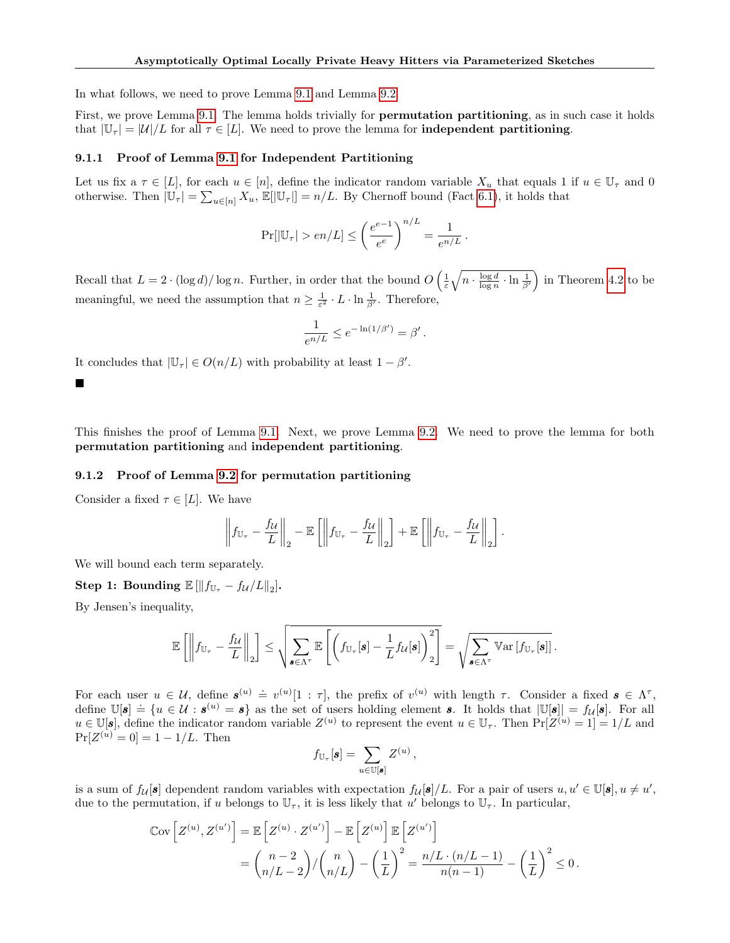In what follows, we need to prove Lemma [9.1](#page-26-2) and Lemma [9.2.](#page-26-3)

First, we prove Lemma [9.1.](#page-26-2) The lemma holds trivially for **permutation partitioning**, as in such case it holds that  $|\mathbb{U}_{\tau}| = |\mathcal{U}|/L$  for all  $\tau \in [L]$ . We need to prove the lemma for **independent partitioning**.

### 9.1.1 Proof of Lemma [9.1](#page-26-2) for Independent Partitioning

Let us fix a  $\tau \in [L]$ , for each  $u \in [n]$ , define the indicator random variable  $X_u$  that equals 1 if  $u \in \mathbb{U}_{\tau}$  and 0 otherwise. Then  $|\mathbb{U}_{\tau}| = \sum_{u \in [n]} X_u$ ,  $\mathbb{E}[|\mathbb{U}_{\tau}|] = n/L$ . By Chernoff bound (Fact [6.1\)](#page-10-2), it holds that

$$
Pr[|\mathbb{U}_{\tau}| > en/L] \leq \left(\frac{e^{e-1}}{e^e}\right)^{n/L} = \frac{1}{e^{n/L}}.
$$

Recall that  $L = 2 \cdot (\log d) / \log n$ . Further, in order that the bound  $O\left(\frac{1}{\varepsilon} \sqrt{n \cdot \frac{\log d}{\log n} \cdot \ln \frac{1}{\beta'}}\right)$  in Theorem [4.2](#page-6-1) to be meaningful, we need the assumption that  $n \geq \frac{1}{\varepsilon^2} \cdot L \cdot \ln \frac{1}{\beta'}$ . Therefore,

$$
\frac{1}{e^{n/L}} \le e^{-\ln(1/\beta')} = \beta'.
$$

It concludes that  $|\mathbb{U}_{\tau}| \in O(n/L)$  with probability at least  $1 - \beta'$ .

 $\blacksquare$ 

This finishes the proof of Lemma [9.1.](#page-26-2) Next, we prove Lemma [9.2.](#page-26-3) We need to prove the lemma for both permutation partitioning and independent partitioning.

# 9.1.2 Proof of Lemma [9.2](#page-26-3) for permutation partitioning

Consider a fixed  $\tau \in [L]$ . We have

$$
\left\|f_{\mathbb{U}_{\tau}} - \frac{f_{\mathcal{U}}}{L}\right\|_{2} - \mathbb{E}\left[\left\|f_{\mathbb{U}_{\tau}} - \frac{f_{\mathcal{U}}}{L}\right\|_{2}\right] + \mathbb{E}\left[\left\|f_{\mathbb{U}_{\tau}} - \frac{f_{\mathcal{U}}}{L}\right\|_{2}\right].
$$

We will bound each term separately.

Step 1: Bounding  $\mathbb{E}[\|f_{\mathbb{U}_{\tau}}-f_{\mathcal{U}}/L\|_2].$ 

By Jensen's inequality,

$$
\mathbb{E}\left[\left\|f_{\mathbb{U}_{\tau}} - \frac{f_{\mathcal{U}}}{L}\right\|_{2}\right] \leq \sqrt{\sum_{\boldsymbol{s}\in\Lambda^{\tau}}\mathbb{E}\left[\left(f_{\mathbb{U}_{\tau}}[\boldsymbol{s}]-\frac{1}{L}f_{\mathcal{U}}[\boldsymbol{s}]\right)^{2}\right]} = \sqrt{\sum_{\boldsymbol{s}\in\Lambda^{\tau}}\mathbb{V}\mathrm{ar}\left[f_{\mathbb{U}_{\tau}}[\boldsymbol{s}]\right]}.
$$

For each user  $u \in \mathcal{U}$ , define  $\mathbf{s}^{(u)} \doteq v^{(u)}[1:\tau]$ , the prefix of  $v^{(u)}$  with length  $\tau$ . Consider a fixed  $\mathbf{s} \in \Lambda^{\tau}$ , define  $\mathbb{U}[s] \doteq \{u \in \mathcal{U} : s^{(u)} = s\}$  as the set of users holding element s. It holds that  $|\mathbb{U}[s]| = f_{\mathcal{U}}[s]$ . For all  $u \in \mathbb{U}[s]$ , define the indicator random variable  $Z^{(u)}$  to represent the event  $u \in \mathbb{U}_{\tau}$ . Then  $Pr[Z^{(u)} = 1] = 1/L$  and  $Pr[Z^{(u)} = 0] = 1 - 1/L$ . Then

$$
f_{\mathbb{U}_{\tau}}[\mathbf{s}] = \sum_{u \in \mathbb{U}[\mathbf{s}]} Z^{(u)},
$$

is a sum of  $f_{\mathcal{U}}[\mathbf{s}]$  dependent random variables with expectation  $f_{\mathcal{U}}[\mathbf{s}]/L$ . For a pair of users  $u, u' \in \mathbb{U}[\mathbf{s}], u \neq u'$ , due to the permutation, if u belongs to  $\mathbb{U}_{\tau}$ , it is less likely that u' belongs to  $\mathbb{U}_{\tau}$ . In particular,

$$
\begin{aligned} \mathbb{C}\text{ov}\left[Z^{(u)}, Z^{(u')} \right] &= \mathbb{E}\left[Z^{(u)} \cdot Z^{(u')} \right] - \mathbb{E}\left[Z^{(u)} \right] \mathbb{E}\left[Z^{(u')} \right] \\ &= \binom{n-2}{n/L-2} / \binom{n}{n/L} - \left(\frac{1}{L}\right)^2 = \frac{n/L \cdot (n/L-1)}{n(n-1)} - \left(\frac{1}{L}\right)^2 \le 0 \,. \end{aligned}
$$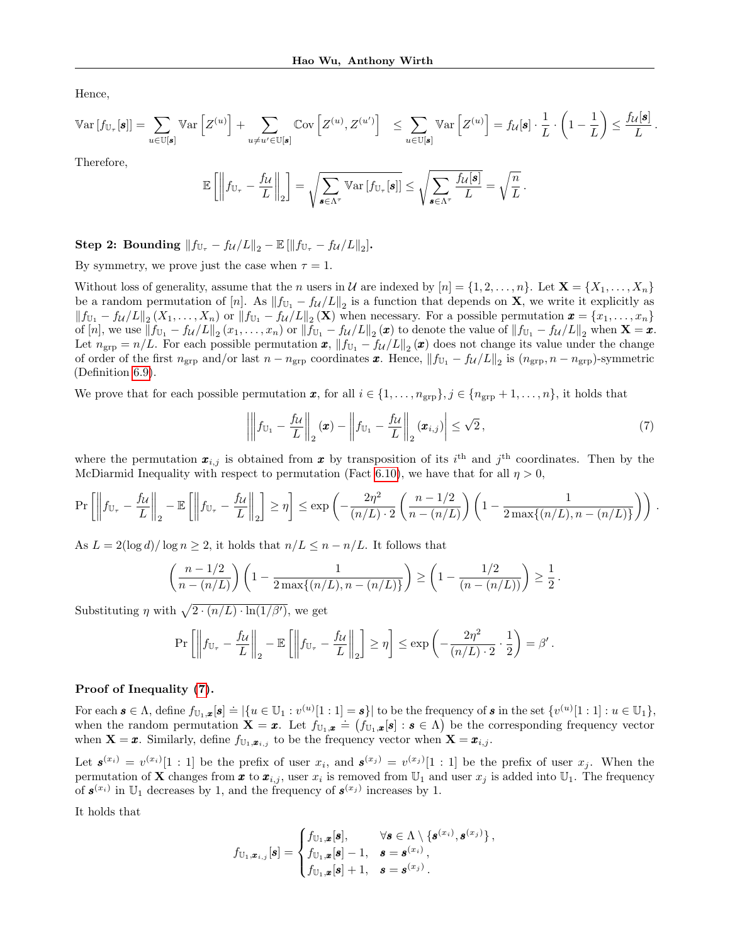Hence,

$$
\operatorname{Var}\left[f_{\mathbb{U}_{\tau}}[\mathbf{s}]\right] = \sum_{u \in \mathbb{U}[\mathbf{s}]} \operatorname{Var}\left[Z^{(u)}\right] + \sum_{u \neq u' \in \mathbb{U}[\mathbf{s}]} \mathbb{C}ov\left[Z^{(u)}, Z^{(u')} \right] \le \sum_{u \in \mathbb{U}[\mathbf{s}]} \operatorname{Var}\left[Z^{(u)}\right] = f_{\mathcal{U}}[\mathbf{s}] \cdot \frac{1}{L} \cdot \left(1 - \frac{1}{L}\right) \le \frac{f_{\mathcal{U}}[\mathbf{s}]}{L}.
$$
\nTherefore

1 nerefore,

$$
\mathbb{E}\left[\left\|f_{\mathbb{U}_{\tau}} - \frac{f_{\mathcal{U}}}{L}\right\|_{2}\right] = \sqrt{\sum_{\mathbf{s} \in \Lambda^{\tau}} \mathbb{V}\text{ar}\left[f_{\mathbb{U}_{\tau}}[\mathbf{s}]\right]} \leq \sqrt{\sum_{\mathbf{s} \in \Lambda^{\tau}} \frac{f_{\mathcal{U}}[\mathbf{s}]}{L}} = \sqrt{\frac{n}{L}}
$$

Step 2: Bounding  $||f_{\mathbb{U}_{\tau}} - f_{\mathcal{U}}/L||_2 - \mathbb{E} [\|f_{\mathbb{U}_{\tau}} - f_{\mathcal{U}}/L\|_2].$ 

By symmetry, we prove just the case when  $\tau = 1$ .

Without loss of generality, assume that the n users in U are indexed by  $[n] = \{1, 2, \ldots, n\}$ . Let  $\mathbf{X} = \{X_1, \ldots, X_n\}$ be a random permutation of  $[n]$ . As  $||f_{U_1} - f_{\mathcal{U}}/L||_2$  is a function that depends on **X**, we write it explicitly as  $||f_{U_1} - f_{\mathcal{U}}/L||_2(X_1,\ldots,X_n)$  or  $||f_{U_1} - f_{\mathcal{U}}/L||_2(\mathbf{X})$  when necessary. For a possible permutation  $\mathbf{x} = \{x_1,\ldots,x_n\}$ of  $[n]$ , we use  $||f_{\mathbb{U}_1} - f_{\mathcal{U}}/L||_2 (x_1, \ldots, x_n)$  or  $||f_{\mathbb{U}_1} - f_{\mathcal{U}}/L||_2 (\boldsymbol{x})$  to denote the value of  $||f_{\mathbb{U}_1} - f_{\mathcal{U}}/L||_2$  when  $\mathbf{X} = \boldsymbol{x}$ . Let  $n_{\text{grp}} = n/L$ . For each possible permutation  $\boldsymbol{x}$ ,  $||f_{\mathbb{U}_1} - f_{\mathcal{U}}/L||_2(\boldsymbol{x})$  does not change its value under the change of order of the first  $n_{\text{grp}}$  and/or last  $n - n_{\text{grp}}$  coordinates  $\boldsymbol{x}$ . Hence,  $||f_{\text{U}_1} - f_{\mathcal{U}}/L||_2$  is  $(n_{\text{grp}}, n - n_{\text{grp}})$ -symmetric (Definition [6.9\)](#page-11-3).

We prove that for each possible permutation x, for all  $i \in \{1, \ldots, n_{\text{app}}\}, j \in \{n_{\text{app}} + 1, \ldots, n\},\$ it holds that

<span id="page-28-0"></span>
$$
\left| \left\| f_{\mathbb{U}_1} - \frac{f_{\mathcal{U}}}{L} \right\|_2 (\boldsymbol{x}) - \left\| f_{\mathbb{U}_1} - \frac{f_{\mathcal{U}}}{L} \right\|_2 (\boldsymbol{x}_{i,j}) \right| \leq \sqrt{2}, \tag{7}
$$

.

where the permutation  $\mathbf{x}_{i,j}$  is obtained from  $\mathbf{x}$  by transposition of its i<sup>th</sup> and j<sup>th</sup> coordinates. Then by the McDiarmid Inequality with respect to permutation (Fact [6.10\)](#page-11-4), we have that for all  $\eta > 0$ ,

$$
\Pr\left[\left\|f_{\mathbb{U}_{\tau}} - \frac{f_{\mathcal{U}}}{L}\right\|_{2} - \mathbb{E}\left[\left\|f_{\mathbb{U}_{\tau}} - \frac{f_{\mathcal{U}}}{L}\right\|_{2}\right] \geq \eta\right] \leq \exp\left(-\frac{2\eta^{2}}{(n/L)\cdot 2}\left(\frac{n-1/2}{n-(n/L)}\right)\left(1 - \frac{1}{2\max\{(n/L), n-(n/L)\}}\right)\right).
$$

As  $L = 2(\log d)/\log n \geq 2$ , it holds that  $n/L \leq n - n/L$ . It follows that

$$
\left(\frac{n-1/2}{n-(n/L)}\right)\left(1-\frac{1}{2\max\{(n/L),n-(n/L)\}}\right) \ge \left(1-\frac{1/2}{(n-(n/L))}\right) \ge \frac{1}{2}.
$$

Substituting  $\eta$  with  $\sqrt{2 \cdot (n/L) \cdot \ln(1/\beta')}$ , we get

$$
\Pr\left[\left\|f_{\mathbb{U}_{\tau}} - \frac{f_{\mathcal{U}}}{L}\right\|_{2} - \mathbb{E}\left[\left\|f_{\mathbb{U}_{\tau}} - \frac{f_{\mathcal{U}}}{L}\right\|_{2}\right] \geq \eta\right] \leq \exp\left(-\frac{2\eta^{2}}{(n/L) \cdot 2} \cdot \frac{1}{2}\right) = \beta'.
$$

#### Proof of Inequality [\(7\)](#page-28-0).

For each  $\mathbf{s} \in \Lambda$ , define  $f_{\mathbb{U}_1,\mathbf{x}}[\mathbf{s}] \doteq \left| \{ u \in \mathbb{U}_1 : v^{(u)}[1:1] = \mathbf{s} \} \right|$  to be the frequency of  $\mathbf{s}$  in the set  $\{v^{(u)}[1:1] : u \in \mathbb{U}_1 \}$ , when the random permutation  $\mathbf{X} = \mathbf{x}$ . Let  $f_{\mathbb{U}_1,\mathbf{z}} = (f_{\mathbb{U}_1,\mathbf{z}}[s] : s \in \Lambda)$  be the corresponding frequency vector when  $\mathbf{X} = \boldsymbol{x}$ . Similarly, define  $f_{\mathbb{U}_1,\boldsymbol{x}_{i,j}}$  to be the frequency vector when  $\mathbf{X} = \boldsymbol{x}_{i,j}$ .

Let  $s^{(x_i)} = v^{(x_i)}[1:1]$  be the prefix of user  $x_i$ , and  $s^{(x_j)} = v^{(x_j)}[1:1]$  be the prefix of user  $x_j$ . When the permutation of **X** changes from **x** to  $x_{i,j}$ , user  $x_i$  is removed from  $\mathbb{U}_1$  and user  $x_j$  is added into  $\mathbb{U}_1$ . The frequency of  $s^{(x_i)}$  in  $\mathbb{U}_1$  decreases by 1, and the frequency of  $s^{(x_j)}$  increases by 1.

It holds that

$$
f_{\mathbb{U}_1,\boldsymbol{x}_{i,j}}[\boldsymbol{s}] = \begin{cases} f_{\mathbb{U}_1,\boldsymbol{x}}[\boldsymbol{s}], & \forall \boldsymbol{s} \in \Lambda \setminus \{\boldsymbol{s}^{(x_i)}, \boldsymbol{s}^{(x_j)}\}, \\ f_{\mathbb{U}_1,\boldsymbol{x}}[\boldsymbol{s}] - 1, & \boldsymbol{s} = \boldsymbol{s}^{(x_i)}, \\ f_{\mathbb{U}_1,\boldsymbol{x}}[\boldsymbol{s}] + 1, & \boldsymbol{s} = \boldsymbol{s}^{(x_j)}. \end{cases}
$$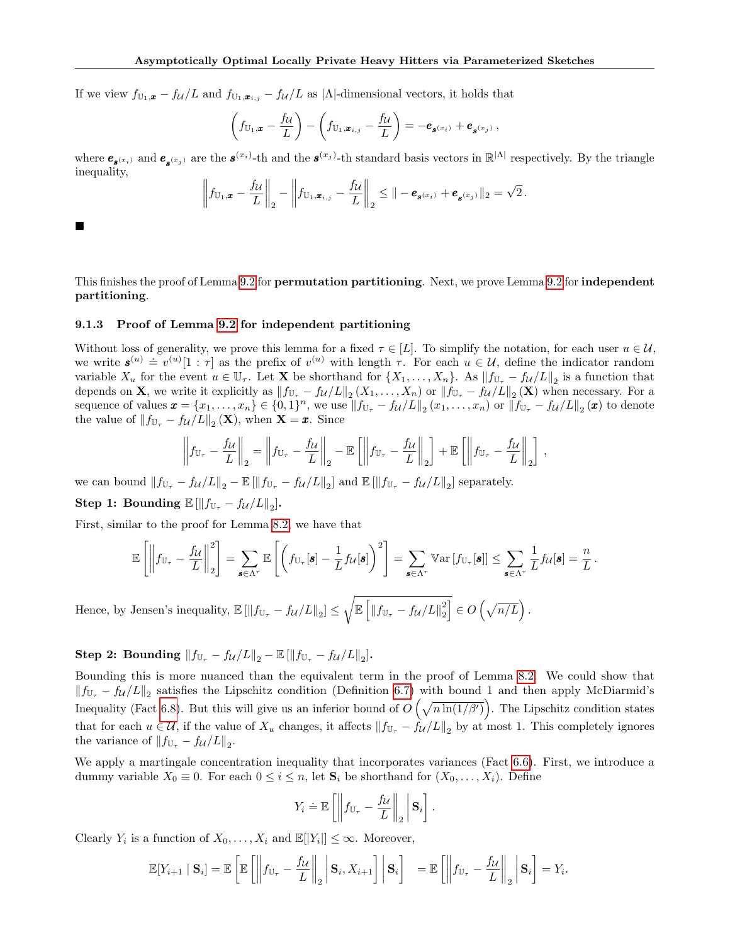If we view  $f_{U_1,\mathbf{x}} - f_{\mathcal{U}}/L$  and  $f_{U_1,\mathbf{x}_{i,j}} - f_{\mathcal{U}}/L$  as  $|\Lambda|$ -dimensional vectors, it holds that

$$
\left(f_{\mathbb{U}_1,\pmb{x}}-\frac{f_{\mathcal{U}}}{L}\right)-\left(f_{\mathbb{U}_1,\pmb{x}_{i,j}}-\frac{f_{\mathcal{U}}}{L}\right)=-\pmb{e}_{\pmb{s}^{(x_i)}}+\pmb{e}_{\pmb{s}^{(x_j)}}\,,
$$

where  $e_{s^{(x_i)}}$  and  $e_{s^{(x_j)}}$  are the  $s^{(x_i)}$ -th and the  $s^{(x_j)}$ -th standard basis vectors in  $\mathbb{R}^{|\Lambda|}$  respectively. By the triangle inequality,

$$
\left\|f_{\mathbb{U}_1,\boldsymbol{x}}-\frac{f_{\mathcal{U}}}{L}\right\|_2-\left\|f_{\mathbb{U}_1,\boldsymbol{x}_{i,j}}-\frac{f_{\mathcal{U}}}{L}\right\|_2\leq\left\|-\boldsymbol{e}_{\boldsymbol{s}^{(x_i)}}+\boldsymbol{e}_{\boldsymbol{s}^{(x_j)}}\right\|_2=\sqrt{2}.
$$

 $\blacksquare$ 

This finishes the proof of Lemma [9.2](#page-26-3) for **permutation partitioning**. Next, we prove Lemma 9.2 for **independent** partitioning.

# 9.1.3 Proof of Lemma [9.2](#page-26-3) for independent partitioning

Without loss of generality, we prove this lemma for a fixed  $\tau \in [L]$ . To simplify the notation, for each user  $u \in \mathcal{U}$ , which is or generatity, we prove this fermina for a fixed  $\ell \in [L]$ . To simplify the hotation, for each user  $u \in \mathcal{U}$ , we write  $\mathbf{s}^{(u)} \doteq v^{(u)}[1:\tau]$  as the prefix of  $v^{(u)}$  with length  $\tau$ . For each  $u \in \mathcal{U}$ , variable  $X_u$  for the event  $u \in \mathbb{U}_{\tau}$ . Let **X** be shorthand for  $\{X_1, \ldots, X_n\}$ . As  $||f_{\mathbb{U}_{\tau}} - f_{\mathcal{U}}/L||_2$  is a function that depends on **X**, we write it explicitly as  $||f_{\mathbb{U}_{\tau}} - f_{\mathcal{U}}/L||_2(X_1,\ldots,X_n)$  or  $||f_{\mathbb{U}_{\tau}} - f_{\mathcal{U}}/L||_2(\mathbf{X})$  when necessary. For a sequence of values  $\boldsymbol{x} = \{x_1, \ldots, x_n\} \in \{0,1\}^n$ , we use  $||f_{\mathbb{U}_{\tau}} - f_{\mathcal{U}}/L||_2(x_1, \ldots, x_n)$  or  $||f_{\mathbb{U}_{\tau}} - f_{\mathcal{U}}/L||_2(\boldsymbol{x})$  to denote the value of  $||f_{\mathbb{U}_{\tau}} - f_{\mathcal{U}}/L||_2(\mathbf{X}),$  when  $\mathbf{X} = \mathbf{x}$ . Since

$$
\left\|f_{\mathbb{U}_{\tau}} - \frac{f_{\mathcal{U}}}{L}\right\|_{2} = \left\|f_{\mathbb{U}_{\tau}} - \frac{f_{\mathcal{U}}}{L}\right\|_{2} - \mathbb{E}\left[\left\|f_{\mathbb{U}_{\tau}} - \frac{f_{\mathcal{U}}}{L}\right\|_{2}\right] + \mathbb{E}\left[\left\|f_{\mathbb{U}_{\tau}} - \frac{f_{\mathcal{U}}}{L}\right\|_{2}\right],
$$

we can bound  $||f_{\mathbb{U}_{\tau}} - f_{\mathcal{U}}/L||_2 - \mathbb{E}[\|f_{\mathbb{U}_{\tau}} - f_{\mathcal{U}}/L\|_2]$  and  $\mathbb{E}[\|f_{\mathbb{U}_{\tau}} - f_{\mathcal{U}}/L\|_2]$  separately.

Step 1: Bounding  $\mathbb{E} [\Vert f_{\mathbb{U}_{\tau}} - f_{\mathcal{U}}/L \Vert_2].$ 

First, similar to the proof for Lemma [8.2,](#page-18-2) we have that

$$
\mathbb{E}\left[\left\|f_{\mathbb{U}_{\tau}}-\frac{f_{\mathcal{U}}}{L}\right\|_{2}^{2}\right]=\sum_{\boldsymbol{s}\in\Lambda^{\tau}}\mathbb{E}\left[\left(f_{\mathbb{U}_{\tau}}[\boldsymbol{s}]-\frac{1}{L}f_{\mathcal{U}}[\boldsymbol{s}]\right)^{2}\right]=\sum_{\boldsymbol{s}\in\Lambda^{\tau}}\mathbb{V}\text{ar}\left[f_{\mathbb{U}_{\tau}}[\boldsymbol{s}]\right]\leq\sum_{\boldsymbol{s}\in\Lambda^{\tau}}\frac{1}{L}f_{\mathcal{U}}[\boldsymbol{s}]=\frac{n}{L}.
$$

Hence, by Jensen's inequality,  $\mathbb{E} [\|f_{\mathbb{U}_{\tau}} - f_{\mathcal{U}}/L\|_2] \leq \sqrt{\mathbb{E} [\|f_{\mathbb{U}_{\tau}} - f_{\mathcal{U}}/L\|_2^2]} \in O(\sqrt{n/L}).$ 

Step 2: Bounding  $||f_{\mathbb{U}_{\tau}} - f_{\mathcal{U}}/L||_2 - \mathbb{E} [\|f_{\mathbb{U}_{\tau}} - f_{\mathcal{U}}/L\|_2].$ 

Bounding this is more nuanced than the equivalent term in the proof of Lemma [8.2.](#page-18-2) We could show that  $||f_{\mathbb{U}_{\tau}} - f_{\mathcal{U}}/L||_2$  satisfies the Lipschitz condition (Definition [6.7\)](#page-11-1) with bound 1 and then apply McDiarmid's Inequality (Fact [6.8\)](#page-11-0). But this will give us an inferior bound of  $O(\sqrt{n \ln(1/\beta')})$ . The Lipschitz condition states that for each  $u \in \mathcal{U}$ , if the value of  $X_u$  changes, it affects  $||f_{\mathbb{U}_{\tau}} - f_{\mathcal{U}}/L||_2$  by at most 1. This completely ignores the variance of  $||f_{\mathbb{U}_{\tau}} - f_{\mathcal{U}}/L||_2$ .

We apply a martingale concentration inequality that incorporates variances (Fact [6.6\)](#page-11-5). First, we introduce a dummy variable  $X_0 \equiv 0$ . For each  $0 \leq i \leq n$ , let  $\mathbf{S}_i$  be shorthand for  $(X_0, \ldots, X_i)$ . Define

$$
Y_i \doteq \mathbb{E}\left[\left\|f_{\mathbb{U}_{\tau}} - \frac{f_{\mathcal{U}}}{L}\right\|_2 \middle| \mathbf{S}_i\right].
$$

Clearly  $Y_i$  is a function of  $X_0, \ldots, X_i$  and  $\mathbb{E}[|Y_i|] \leq \infty$ . Moreover,

$$
\mathbb{E}[Y_{i+1} | \mathbf{S}_i] = \mathbb{E}\left[\mathbb{E}\left[\left\|f_{\mathbb{U}_{\tau}} - \frac{f_{\mathcal{U}}}{L}\right\|_2 \bigg| \mathbf{S}_i, X_{i+1}\right] \bigg| \mathbf{S}_i\right] = \mathbb{E}\left[\left\|f_{\mathbb{U}_{\tau}} - \frac{f_{\mathcal{U}}}{L}\right\|_2 \bigg| \mathbf{S}_i\right] = Y_i.
$$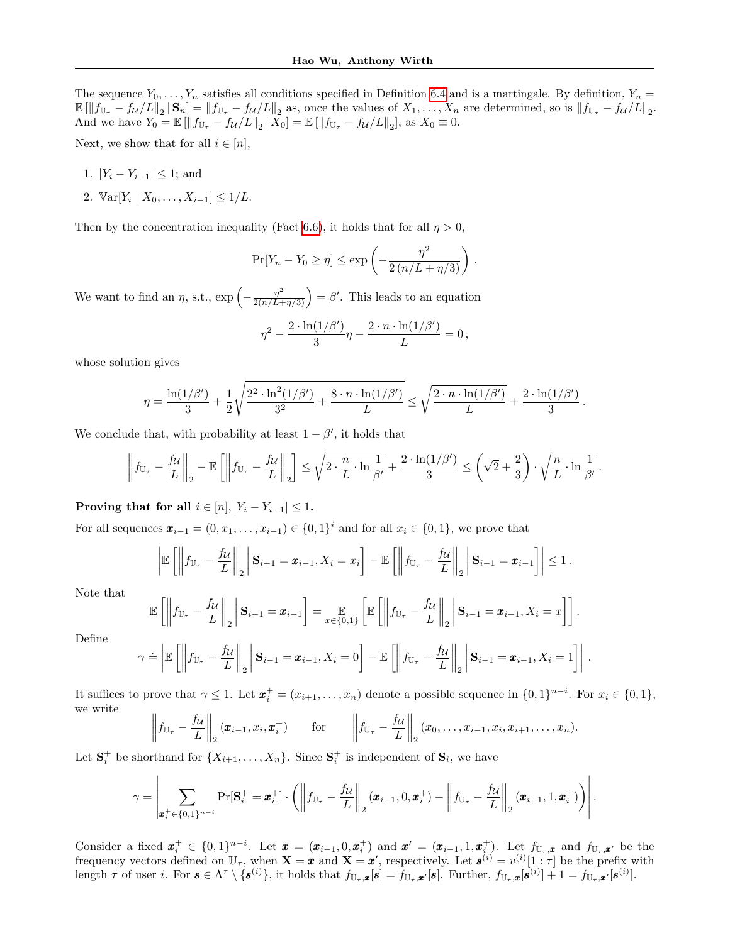The sequence  $Y_0, \ldots, Y_n$  satisfies all conditions specified in Definition [6.4](#page-10-3) and is a martingale. By definition,  $Y_n =$  $\mathbb{E}[\left\|f_{\mathbb{U}_{\tau}}-f_{\mathcal{U}}/L\right\|_2 | \mathbf{S}_n] = \|f_{\mathbb{U}_{\tau}}-f_{\mathcal{U}}/L\|_2$  as, once the values of  $X_1, \ldots, X_n$  are determined, so is  $\|f_{\mathbb{U}_{\tau}}-f_{\mathcal{U}}/L\|_2$ . And we have  $Y_0 = \mathbb{E} [\|f_{\mathbb{U}_{\tau}} - f_{\mathcal{U}}/L\|_2 | X_0] = \mathbb{E} [\|f_{\mathbb{U}_{\tau}} - f_{\mathcal{U}}/L\|_2],$  as  $X_0 \equiv 0$ .

Next, we show that for all  $i \in [n]$ ,

- 1.  $|Y_i Y_{i-1}| \leq 1$ ; and
- 2.  $\mathbb{V}\text{ar}[Y_i | X_0, \ldots, X_{i-1}] \leq 1/L$ .

Then by the concentration inequality (Fact [6.6\)](#page-11-5), it holds that for all  $\eta > 0$ ,

$$
\Pr[Y_n - Y_0 \ge \eta] \le \exp\left(-\frac{\eta^2}{2\left(n/L + \eta/3\right)}\right).
$$

We want to find an  $\eta$ , s.t.,  $\exp\left(-\frac{\eta^2}{2(n/L+\eta/3)}\right) = \beta'$ . This leads to an equation

$$
\eta^2 - \frac{2 \cdot \ln(1/\beta')}{3} \eta - \frac{2 \cdot n \cdot \ln(1/\beta')}{L} = 0,
$$

whose solution gives

$$
\eta = \frac{\ln(1/\beta')}{3} + \frac{1}{2} \sqrt{\frac{2^2 \cdot \ln^2(1/\beta')}{3^2} + \frac{8 \cdot n \cdot \ln(1/\beta')}{L}} \le \sqrt{\frac{2 \cdot n \cdot \ln(1/\beta')}{L}} + \frac{2 \cdot \ln(1/\beta')}{3}
$$

.

We conclude that, with probability at least  $1 - \beta'$ , it holds that

$$
\left\|f_{\mathbb{U}_{\tau}} - \frac{f_{\mathcal{U}}}{L}\right\|_{2} - \mathbb{E}\left[\left\|f_{\mathbb{U}_{\tau}} - \frac{f_{\mathcal{U}}}{L}\right\|_{2}\right] \leq \sqrt{2 \cdot \frac{n}{L} \cdot \ln \frac{1}{\beta'}} + \frac{2 \cdot \ln(1/\beta')}{3} \leq \left(\sqrt{2} + \frac{2}{3}\right) \cdot \sqrt{\frac{n}{L} \cdot \ln \frac{1}{\beta'}}.
$$

Proving that for all  $i \in [n], |Y_i - Y_{i-1}| \leq 1$ .

For all sequences  $\boldsymbol{x}_{i-1} = (0, x_1, \ldots, x_{i-1}) \in \{0, 1\}^i$  and for all  $x_i \in \{0, 1\}$ , we prove that

$$
\left|\mathbb{E}\left[\left\|f_{\mathbb{U}_{\tau}}-\frac{f_{\mathcal{U}}}{L}\right\|_{2}\middle|\mathbf{S}_{i-1}=\boldsymbol{x}_{i-1},X_{i}=x_{i}\right]-\mathbb{E}\left[\left\|f_{\mathbb{U}_{\tau}}-\frac{f_{\mathcal{U}}}{L}\right\|_{2}\middle|\mathbf{S}_{i-1}=\boldsymbol{x}_{i-1}\right]\right|\leq 1.
$$

Note that

$$
\mathbb{E}\left[\left\|f_{\mathbb{U}_{\tau}} - \frac{f_{\mathcal{U}}}{L}\right\|_{2}\middle|\mathbf{S}_{i-1} = \boldsymbol{x}_{i-1}\right] = \mathop{\mathbb{E}}_{x \in \{0,1\}}\left[\mathbb{E}\left[\left\|f_{\mathbb{U}_{\tau}} - \frac{f_{\mathcal{U}}}{L}\right\|_{2}\middle|\mathbf{S}_{i-1} = \boldsymbol{x}_{i-1}, X_{i} = x\right]\right].
$$

Define

$$
\gamma \doteq \left| \mathbb{E}\left[ \left\| f_{\mathbb{U}_{\tau}} - \frac{f_{\mathcal{U}}}{L} \right\|_2 \right| \mathbf{S}_{i-1} = \pmb{x}_{i-1}, X_i = 0 \right] - \mathbb{E}\left[ \left\| f_{\mathbb{U}_{\tau}} - \frac{f_{\mathcal{U}}}{L} \right\|_2 \right| \mathbf{S}_{i-1} = \pmb{x}_{i-1}, X_i = 1 \right].
$$

It suffices to prove that  $\gamma \leq 1$ . Let  $\boldsymbol{x}_i^+ = (x_{i+1}, \ldots, x_n)$  denote a possible sequence in  $\{0,1\}^{n-i}$ . For  $x_i \in \{0,1\}$ , we write

$$
\left\|f_{\mathbb{U}_{\tau}}-\frac{f_{\mathcal{U}}}{L}\right\|_{2}(\boldsymbol{x}_{i-1},x_{i},\boldsymbol{x}_{i}^{+})\qquad\text{for}\qquad\left\|f_{\mathbb{U}_{\tau}}-\frac{f_{\mathcal{U}}}{L}\right\|_{2}(x_{0},\ldots,x_{i-1},x_{i},x_{i+1},\ldots,x_{n}).
$$

Let  $S_i^+$  be shorthand for  $\{X_{i+1}, \ldots, X_n\}$ . Since  $S_i^+$  is independent of  $S_i$ , we have

$$
\gamma = \left| \sum_{\mathbf{x}_i^+ \in \{0,1\}^{n-i}} \Pr[\mathbf{S}_i^+ = \mathbf{x}_i^+] \cdot \left( \left\| f_{\mathbb{U}_{\tau}} - \frac{f_{\mathcal{U}}}{L} \right\|_2 (\mathbf{x}_{i-1}, 0, \mathbf{x}_i^+) - \left\| f_{\mathbb{U}_{\tau}} - \frac{f_{\mathcal{U}}}{L} \right\|_2 (\mathbf{x}_{i-1}, 1, \mathbf{x}_i^+) \right) \right|.
$$

Consider a fixed  $\mathbf{x}_i^+ \in \{0,1\}^{n-i}$ . Let  $\mathbf{x} = (\mathbf{x}_{i-1}, 0, \mathbf{x}_i^+)$  and  $\mathbf{x}' = (\mathbf{x}_{i-1}, 1, \mathbf{x}_i^+)$ . Let  $f_{\mathbb{U}_\tau, \mathbf{x}}$  and  $f_{\mathbb{U}_\tau, \mathbf{x}'}$  be the frequency vectors defined on  $\mathbb{U}_{\tau}$ , when  $\mathbf{X} = \mathbf{x}$  and  $\mathbf{X} = \mathbf{x}'$ , respectively. Let  $\mathbf{s}^{(i)} = v^{(i)}[1:\tau]$  be the prefix with length  $\tau$  of user i. For  $\mathbf{s} \in \Lambda^{\tau} \setminus \{\mathbf{s}^{(i)}\},\$ it holds that  $f_{\mathbb{U}_{\tau},\mathbf{x}}[\mathbf{s}] = f_{\mathbb{U}_{\tau},\mathbf{x}'}[\mathbf{s}]$ . Further,  $f_{\mathbb{U}_{\tau},\mathbf{x}}[\mathbf{s}^{(i)}] + 1 = f_{\mathbb{U}_{\tau},\mathbf{x}'}[\mathbf{s}^{(i)}].$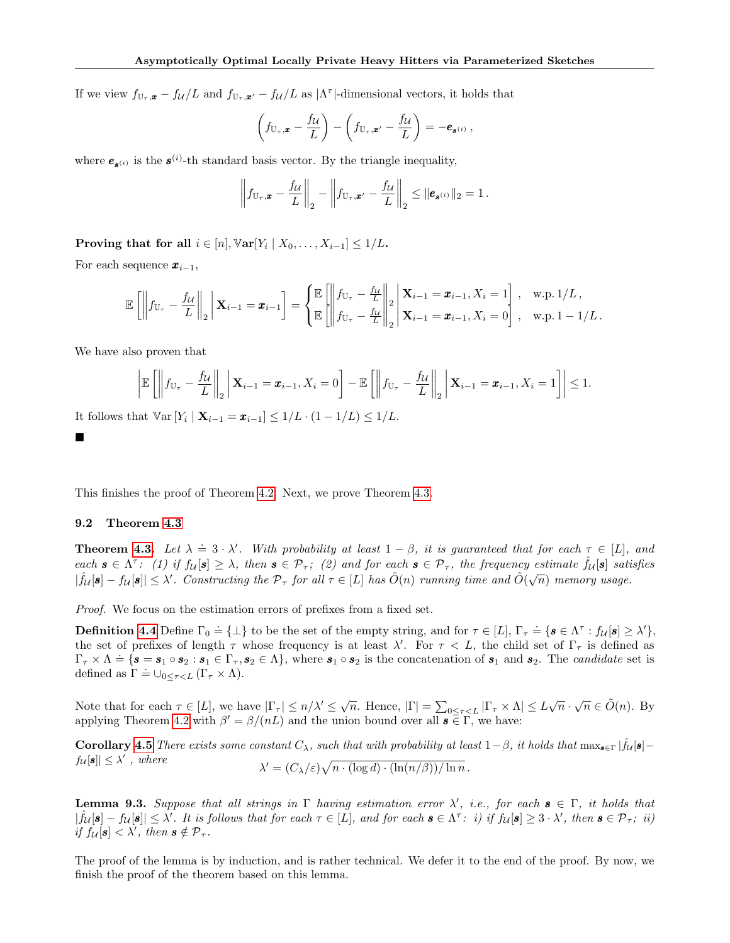If we view  $f_{\mathbb{U}_\tau,\mathbf{x}} - f_{\mathcal{U}}/L$  and  $f_{\mathbb{U}_\tau,\mathbf{x}'} - f_{\mathcal{U}}/L$  as  $|\Lambda^{\tau}|$ -dimensional vectors, it holds that

$$
\left(f_{\mathbb{U}_{\tau},\boldsymbol{x}}-\frac{f_{\mathcal{U}}}{L}\right)-\left(f_{\mathbb{U}_{\tau},\boldsymbol{x}'}-\frac{f_{\mathcal{U}}}{L}\right)=-\boldsymbol{e}_{\boldsymbol{s}^{(i)}}\,,
$$

where  $e_{s^{(i)}}$  is the  $s^{(i)}$ -th standard basis vector. By the triangle inequality,

$$
\left\|f_{\mathbb{U}_{\tau},\boldsymbol{x}}-\frac{f_{\mathcal{U}}}{L}\right\|_{2}-\left\|f_{\mathbb{U}_{\tau},\boldsymbol{x}'}-\frac{f_{\mathcal{U}}}{L}\right\|_{2}\leq\|\boldsymbol{e}_{\boldsymbol{s}^{(i)}}\|_{2}=1.
$$

Proving that for all  $i \in [n], \mathbb{V}\text{ar}[Y_i \mid X_0, \ldots, X_{i-1}] \leq 1/L$ .

For each sequence  $x_{i-1}$ ,

$$
\mathbb{E}\left[\left\|f_{\mathbb{U}_{\tau}} - \frac{f_{\mathcal{U}}}{L}\right\|_{2}\middle|\mathbf{X}_{i-1} = \mathbf{x}_{i-1}\right] = \left\{\begin{aligned}\n\mathbb{E}\left[\left\|f_{\mathbb{U}_{\tau}} - \frac{f_{\mathcal{U}}}{L}\right\|_{2}\middle|\mathbf{X}_{i-1} = \mathbf{x}_{i-1}, X_{i} = 1\right], & \text{w.p. } 1/L, \\
\mathbb{E}\left[\left\|f_{\mathbb{U}_{\tau}} - \frac{f_{\mathcal{U}}}{L}\right\|_{2}\middle|\mathbf{X}_{i-1} = \mathbf{x}_{i-1}, X_{i} = 0\right], & \text{w.p. } 1 - 1/L.\n\end{aligned}\right.
$$

We have also proven that

$$
\left|\mathbb{E}\left[\left\|f_{\mathbb{U}_{\tau}}-\frac{f_{\mathcal{U}}}{L}\right\|_{2}\middle|\mathbf{X}_{i-1}=\boldsymbol{x}_{i-1},X_{i}=0\right]-\mathbb{E}\left[\left\|f_{\mathbb{U}_{\tau}}-\frac{f_{\mathcal{U}}}{L}\right\|_{2}\middle|\mathbf{X}_{i-1}=\boldsymbol{x}_{i-1},X_{i}=1\right]\right|\leq 1.
$$

It follows that  $\mathbb{V}\text{ar}[Y_i \mid \mathbf{X}_{i-1} = \pmb{x}_{i-1}] \leq 1/L \cdot (1 - 1/L) \leq 1/L$ .

■

This finishes the proof of Theorem [4.2.](#page-6-1) Next, we prove Theorem [4.3.](#page-6-0)

# <span id="page-31-0"></span>9.2 Theorem [4.3](#page-6-0)

**Theorem [4.3.](#page-6-0)** Let  $\lambda = 3 \cdot \lambda'$ . With probability at least  $1 - \beta$ , it is guaranteed that for each  $\tau \in [L]$ , and each  $\mathbf{s} \in \Lambda^{\tau}$ : (1) if  $f_{\mathcal{U}}[\mathbf{s}] \geq \lambda$ , then  $\mathbf{s} \in \mathcal{P}_{\tau}$ ; (2) and for each  $\mathbf{s} \in \mathcal{P}_{\tau}$ , the frequency estimate  $\hat{f}_{\mathcal{U}}[\mathbf{s}]$  satisfies  $|\hat{f}_{\mathcal{U}}[\mathbf{s}]-f_{\mathcal{U}}[\mathbf{s}]|\leq \lambda'$ . Constructing the  $\mathcal{P}_{\tau}$  for all  $\tau \in [L]$  has  $\tilde{O}(n)$  running time and  $\tilde{O}(\sqrt{n})$  memory usage.

Proof. We focus on the estimation errors of prefixes from a fixed set.

**Definition [4.4](#page-7-0)** Define  $\Gamma_0 \doteq \{\bot\}$  to be the set of the empty string, and for  $\tau \in [L]$ ,  $\Gamma_{\tau} \doteq \{\mathbf{s} \in \Lambda^{\tau} : f_{\mathcal{U}}[\mathbf{s}] \geq \lambda'\},\$ the set of prefixes of length  $\tau$  whose frequency is at least  $\lambda'$ . For  $\tau < L$ , the child set of  $\Gamma_{\tau}$  is defined as  $\Gamma_{\tau} \times \Lambda \doteq {\{\boldsymbol{s} = \boldsymbol{s}_1 \circ \boldsymbol{s}_2 : \boldsymbol{s}_1 \in \Gamma_{\tau}, \boldsymbol{s}_2 \in \Lambda\}},$  where  $\boldsymbol{s}_1 \circ \boldsymbol{s}_2$  is the concatenation of  $\boldsymbol{s}_1$  and  $\boldsymbol{s}_2$ . The *candidate* set is defined as  $\Gamma \doteq \cup_{0 \leq \tau < L} (\Gamma_\tau \times \Lambda)$ .

Note that for each  $\tau \in [L]$ , we have  $|\Gamma_{\tau}| \leq n/\lambda' \leq \sqrt{n}$ . Hence,  $|\Gamma| = \sum_{0 \leq \tau < L} |\Gamma_{\tau} \times \Lambda| \leq L\sqrt{n} \cdot \sqrt{n} \in \tilde{O}(n)$ . By applying Theorem [4.2](#page-6-1) with  $\beta' = \beta/(nL)$  and the union bound over all  $\mathbf{s} \in \Gamma$ , we have:

**Corollary [4.5](#page-7-1)** There exists some constant  $C_\lambda$ , such that with probability at least  $1-\beta$ , it holds that  $\max_{s\in\Gamma}|\hat{f}_U[s]$  $f_{\mathcal{U}}[\mathbf{s}] \leq \lambda'$ , where  $\lambda' = (C_{\lambda}/\varepsilon) \sqrt{n \cdot (\log d) \cdot (\ln(n/\beta)) / \ln n}$ .

<span id="page-31-1"></span>**Lemma 9.3.** Suppose that all strings in  $\Gamma$  having estimation error  $\lambda'$ , i.e., for each  $s \in \Gamma$ , it holds that  $|\hat{f}_{\mathcal{U}}[\mathbf{s}] - f_{\mathcal{U}}[\mathbf{s}]| \leq \lambda'.$  It is follows that for each  $\tau \in [L]$ , and for each  $\mathbf{s} \in \Lambda^{\tau}:$  i) if  $f_{\mathcal{U}}[\mathbf{s}] \geq 3 \cdot \lambda',$  then  $\mathbf{s} \in \mathcal{P}_{\tau};$  ii) if  $f_{\mathcal{U}}[\mathbf{s}] < \lambda'$ , then  $\mathbf{s} \notin \mathcal{P}_{\tau}$ .

The proof of the lemma is by induction, and is rather technical. We defer it to the end of the proof. By now, we finish the proof of the theorem based on this lemma.